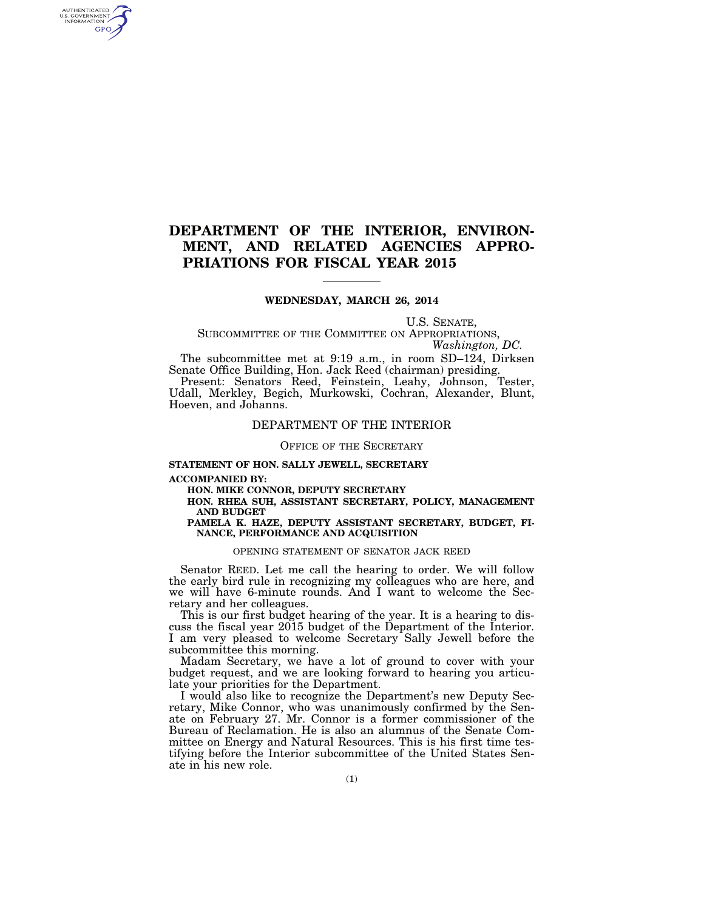# **DEPARTMENT OF THE INTERIOR, ENVIRON-MENT, AND RELATED AGENCIES APPRO-PRIATIONS FOR FISCAL YEAR 2015**

# **WEDNESDAY, MARCH 26, 2014**

U.S. SENATE,

SUBCOMMITTEE OF THE COMMITTEE ON APPROPRIATIONS, *Washington, DC.* 

The subcommittee met at 9:19 a.m., in room SD–124, Dirksen Senate Office Building, Hon. Jack Reed (chairman) presiding.

Present: Senators Reed, Feinstein, Leahy, Johnson, Tester, Udall, Merkley, Begich, Murkowski, Cochran, Alexander, Blunt, Hoeven, and Johanns.

# DEPARTMENT OF THE INTERIOR

# OFFICE OF THE SECRETARY

# **STATEMENT OF HON. SALLY JEWELL, SECRETARY**

**ACCOMPANIED BY:** 

AUTHENTICATED<br>U.S. GOVERNMENT<br>INFORMATION **GPO** 

**HON. MIKE CONNOR, DEPUTY SECRETARY** 

**HON. RHEA SUH, ASSISTANT SECRETARY, POLICY, MANAGEMENT AND BUDGET** 

# **PAMELA K. HAZE, DEPUTY ASSISTANT SECRETARY, BUDGET, FI-NANCE, PERFORMANCE AND ACQUISITION**

# OPENING STATEMENT OF SENATOR JACK REED

Senator REED. Let me call the hearing to order. We will follow the early bird rule in recognizing my colleagues who are here, and we will have 6-minute rounds. And I want to welcome the Secretary and her colleagues.

This is our first budget hearing of the year. It is a hearing to discuss the fiscal year 2015 budget of the Department of the Interior. I am very pleased to welcome Secretary Sally Jewell before the subcommittee this morning.

Madam Secretary, we have a lot of ground to cover with your budget request, and we are looking forward to hearing you articulate your priorities for the Department.

I would also like to recognize the Department's new Deputy Secretary, Mike Connor, who was unanimously confirmed by the Senate on February 27. Mr. Connor is a former commissioner of the Bureau of Reclamation. He is also an alumnus of the Senate Committee on Energy and Natural Resources. This is his first time testifying before the Interior subcommittee of the United States Senate in his new role.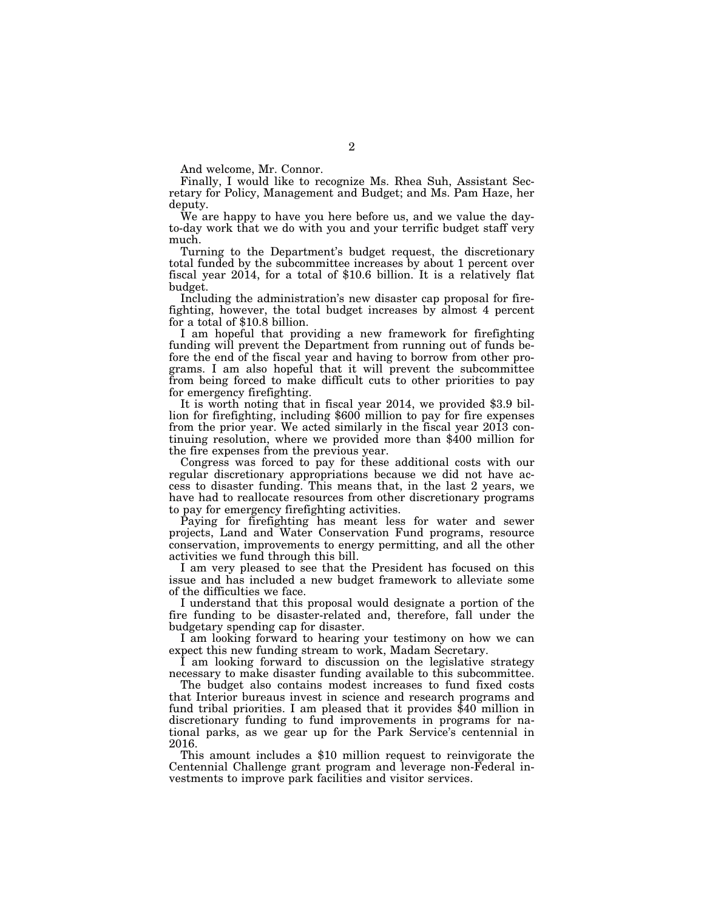And welcome, Mr. Connor.

Finally, I would like to recognize Ms. Rhea Suh, Assistant Secretary for Policy, Management and Budget; and Ms. Pam Haze, her deputy.

We are happy to have you here before us, and we value the dayto-day work that we do with you and your terrific budget staff very much.

Turning to the Department's budget request, the discretionary total funded by the subcommittee increases by about 1 percent over fiscal year 2014, for a total of \$10.6 billion. It is a relatively flat budget.

Including the administration's new disaster cap proposal for firefighting, however, the total budget increases by almost 4 percent for a total of \$10.8 billion.

I am hopeful that providing a new framework for firefighting funding will prevent the Department from running out of funds before the end of the fiscal year and having to borrow from other programs. I am also hopeful that it will prevent the subcommittee from being forced to make difficult cuts to other priorities to pay for emergency firefighting.

It is worth noting that in fiscal year 2014, we provided \$3.9 billion for firefighting, including \$600 million to pay for fire expenses from the prior year. We acted similarly in the fiscal year 2013 continuing resolution, where we provided more than \$400 million for the fire expenses from the previous year.

Congress was forced to pay for these additional costs with our regular discretionary appropriations because we did not have access to disaster funding. This means that, in the last 2 years, we have had to reallocate resources from other discretionary programs to pay for emergency firefighting activities.

Paying for firefighting has meant less for water and sewer projects, Land and Water Conservation Fund programs, resource conservation, improvements to energy permitting, and all the other activities we fund through this bill.

I am very pleased to see that the President has focused on this issue and has included a new budget framework to alleviate some of the difficulties we face.

I understand that this proposal would designate a portion of the fire funding to be disaster-related and, therefore, fall under the budgetary spending cap for disaster.

I am looking forward to hearing your testimony on how we can expect this new funding stream to work, Madam Secretary.

I am looking forward to discussion on the legislative strategy necessary to make disaster funding available to this subcommittee.

The budget also contains modest increases to fund fixed costs that Interior bureaus invest in science and research programs and fund tribal priorities. I am pleased that it provides \$40 million in discretionary funding to fund improvements in programs for national parks, as we gear up for the Park Service's centennial in 2016.

This amount includes a \$10 million request to reinvigorate the Centennial Challenge grant program and leverage non-Federal investments to improve park facilities and visitor services.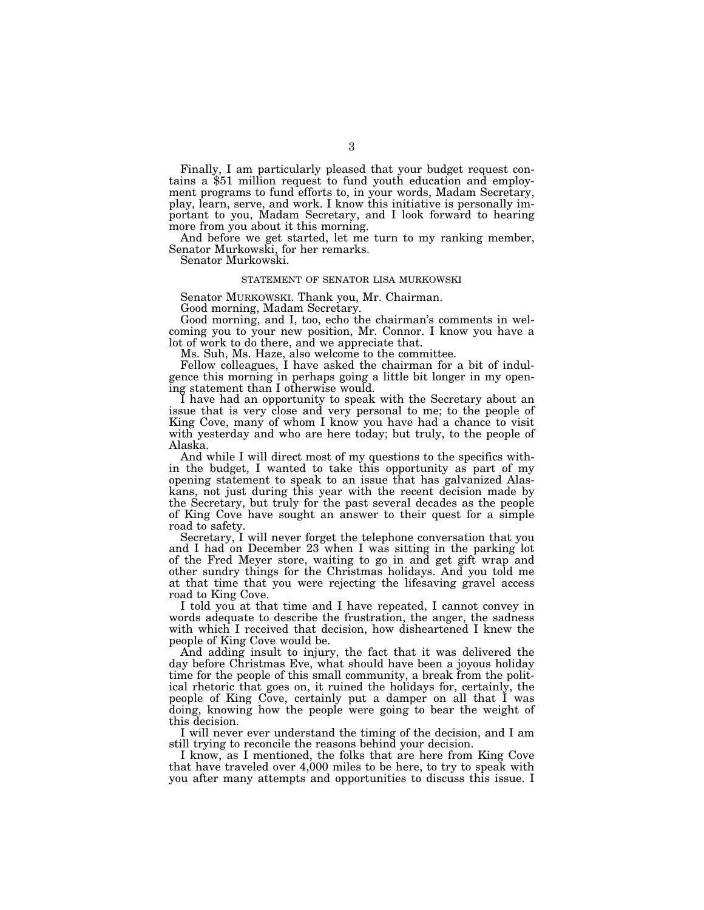Finally, I am particularly pleased that your budget request con- tains a \$51 million request to fund youth education and employment programs to fund efforts to, in your words, Madam Secretary, play, learn, serve, and work. I know this initiative is personally important to you, Madam Secretary, and I look forward to hearing more from you about it this morning.

And before we get started, let me turn to my ranking member, Senator Murkowski, for her remarks.

Senator Murkowski.

# STATEMENT OF SENATOR LISA MURKOWSKI

Senator MURKOWSKI. Thank you, Mr. Chairman.

Good morning, Madam Secretary.

Good morning, and I, too, echo the chairman's comments in welcoming you to your new position, Mr. Connor. I know you have a lot of work to do there, and we appreciate that.

Ms. Suh, Ms. Haze, also welcome to the committee.

Fellow colleagues, I have asked the chairman for a bit of indulgence this morning in perhaps going a little bit longer in my opening statement than I otherwise would.

I have had an opportunity to speak with the Secretary about an issue that is very close and very personal to me; to the people of King Cove, many of whom I know you have had a chance to visit with yesterday and who are here today; but truly, to the people of Alaska.

And while I will direct most of my questions to the specifics within the budget, I wanted to take this opportunity as part of my opening statement to speak to an issue that has galvanized Alaskans, not just during this year with the recent decision made by the Secretary, but truly for the past several decades as the people of King Cove have sought an answer to their quest for a simple road to safety.

Secretary, I will never forget the telephone conversation that you and I had on December 23 when I was sitting in the parking lot of the Fred Meyer store, waiting to go in and get gift wrap and other sundry things for the Christmas holidays. And you told me at that time that you were rejecting the lifesaving gravel access road to King Cove.

I told you at that time and I have repeated, I cannot convey in words adequate to describe the frustration, the anger, the sadness with which I received that decision, how disheartened I knew the people of King Cove would be.

And adding insult to injury, the fact that it was delivered the day before Christmas Eve, what should have been a joyous holiday time for the people of this small community, a break from the political rhetoric that goes on, it ruined the holidays for, certainly, the people of King Cove, certainly put a damper on all that I was doing, knowing how the people were going to bear the weight of this decision.

I will never ever understand the timing of the decision, and I am still trying to reconcile the reasons behind your decision.

I know, as I mentioned, the folks that are here from King Cove that have traveled over 4,000 miles to be here, to try to speak with you after many attempts and opportunities to discuss this issue. I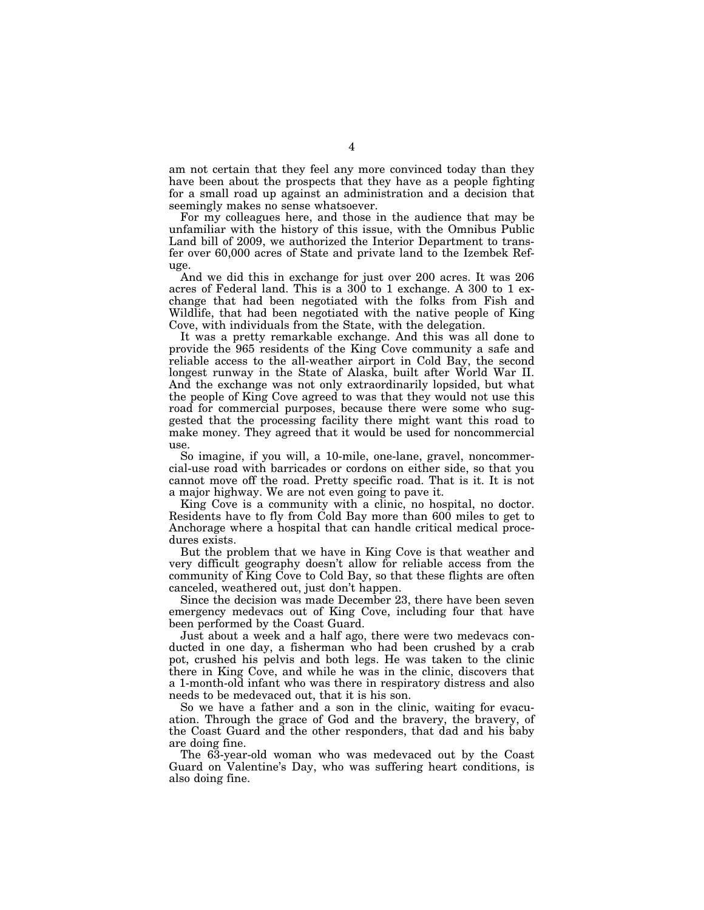am not certain that they feel any more convinced today than they have been about the prospects that they have as a people fighting for a small road up against an administration and a decision that seemingly makes no sense whatsoever.

For my colleagues here, and those in the audience that may be unfamiliar with the history of this issue, with the Omnibus Public Land bill of 2009, we authorized the Interior Department to transfer over 60,000 acres of State and private land to the Izembek Refuge.

And we did this in exchange for just over 200 acres. It was 206 acres of Federal land. This is a 300 to 1 exchange. A 300 to 1 exchange that had been negotiated with the folks from Fish and Wildlife, that had been negotiated with the native people of King Cove, with individuals from the State, with the delegation.

It was a pretty remarkable exchange. And this was all done to provide the 965 residents of the King Cove community a safe and reliable access to the all-weather airport in Cold Bay, the second longest runway in the State of Alaska, built after World War II. And the exchange was not only extraordinarily lopsided, but what the people of King Cove agreed to was that they would not use this road for commercial purposes, because there were some who suggested that the processing facility there might want this road to make money. They agreed that it would be used for noncommercial use.

So imagine, if you will, a 10-mile, one-lane, gravel, noncommercial-use road with barricades or cordons on either side, so that you cannot move off the road. Pretty specific road. That is it. It is not a major highway. We are not even going to pave it.

King Cove is a community with a clinic, no hospital, no doctor. Residents have to fly from Cold Bay more than 600 miles to get to Anchorage where a hospital that can handle critical medical procedures exists.

But the problem that we have in King Cove is that weather and very difficult geography doesn't allow for reliable access from the community of King Cove to Cold Bay, so that these flights are often canceled, weathered out, just don't happen.

Since the decision was made December 23, there have been seven emergency medevacs out of King Cove, including four that have been performed by the Coast Guard.

Just about a week and a half ago, there were two medevacs conducted in one day, a fisherman who had been crushed by a crab pot, crushed his pelvis and both legs. He was taken to the clinic there in King Cove, and while he was in the clinic, discovers that a 1-month-old infant who was there in respiratory distress and also needs to be medevaced out, that it is his son.

So we have a father and a son in the clinic, waiting for evacuation. Through the grace of God and the bravery, the bravery, of the Coast Guard and the other responders, that dad and his baby are doing fine.

The 63-year-old woman who was medevaced out by the Coast Guard on Valentine's Day, who was suffering heart conditions, is also doing fine.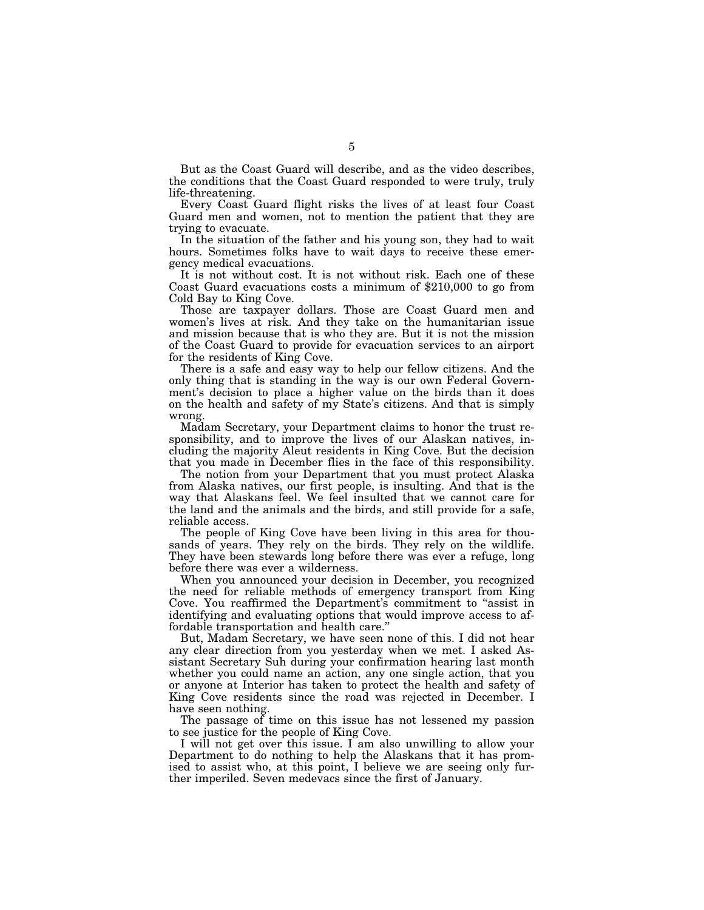But as the Coast Guard will describe, and as the video describes, the conditions that the Coast Guard responded to were truly, truly life-threatening.

Every Coast Guard flight risks the lives of at least four Coast Guard men and women, not to mention the patient that they are trying to evacuate.

In the situation of the father and his young son, they had to wait hours. Sometimes folks have to wait days to receive these emergency medical evacuations.

It is not without cost. It is not without risk. Each one of these Coast Guard evacuations costs a minimum of \$210,000 to go from Cold Bay to King Cove.

Those are taxpayer dollars. Those are Coast Guard men and women's lives at risk. And they take on the humanitarian issue and mission because that is who they are. But it is not the mission of the Coast Guard to provide for evacuation services to an airport for the residents of King Cove.

There is a safe and easy way to help our fellow citizens. And the only thing that is standing in the way is our own Federal Government's decision to place a higher value on the birds than it does on the health and safety of my State's citizens. And that is simply wrong.

Madam Secretary, your Department claims to honor the trust responsibility, and to improve the lives of our Alaskan natives, including the majority Aleut residents in King Cove. But the decision that you made in December flies in the face of this responsibility.

The notion from your Department that you must protect Alaska from Alaska natives, our first people, is insulting. And that is the way that Alaskans feel. We feel insulted that we cannot care for the land and the animals and the birds, and still provide for a safe, reliable access.

The people of King Cove have been living in this area for thousands of years. They rely on the birds. They rely on the wildlife. They have been stewards long before there was ever a refuge, long before there was ever a wilderness.

When you announced your decision in December, you recognized the need for reliable methods of emergency transport from King Cove. You reaffirmed the Department's commitment to ''assist in identifying and evaluating options that would improve access to affordable transportation and health care.''

But, Madam Secretary, we have seen none of this. I did not hear any clear direction from you yesterday when we met. I asked Assistant Secretary Suh during your confirmation hearing last month whether you could name an action, any one single action, that you or anyone at Interior has taken to protect the health and safety of King Cove residents since the road was rejected in December. I have seen nothing.

The passage of time on this issue has not lessened my passion to see justice for the people of King Cove.

I will not get over this issue. I am also unwilling to allow your Department to do nothing to help the Alaskans that it has promised to assist who, at this point, I believe we are seeing only further imperiled. Seven medevacs since the first of January.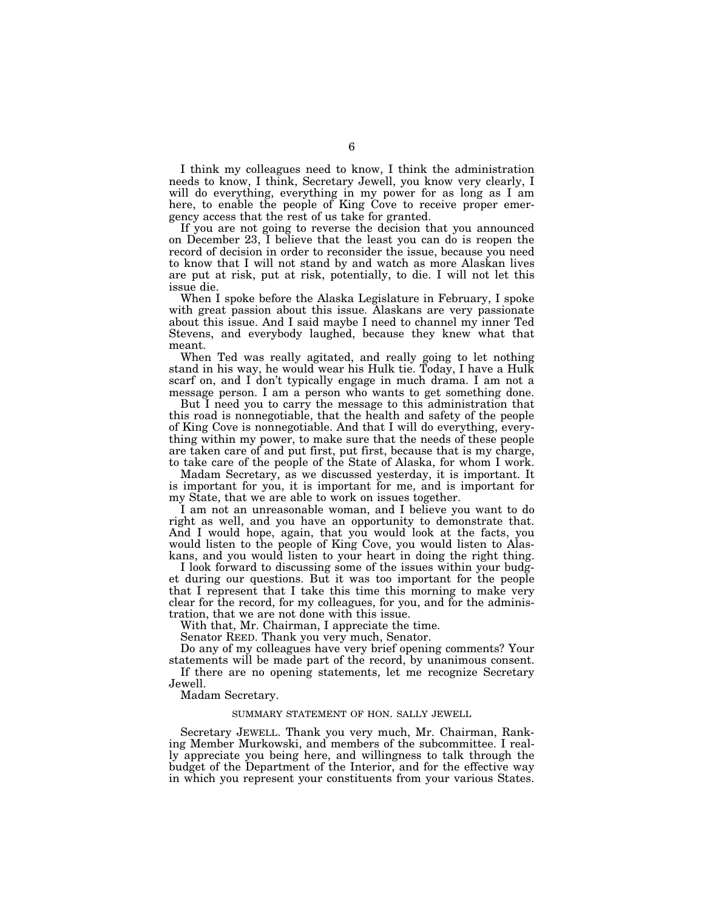I think my colleagues need to know, I think the administration needs to know, I think, Secretary Jewell, you know very clearly, I will do everything, everything in my power for as long as I am here, to enable the people of King Cove to receive proper emergency access that the rest of us take for granted.

If you are not going to reverse the decision that you announced on December 23, I believe that the least you can do is reopen the record of decision in order to reconsider the issue, because you need to know that I will not stand by and watch as more Alaskan lives are put at risk, put at risk, potentially, to die. I will not let this issue die.

When I spoke before the Alaska Legislature in February, I spoke with great passion about this issue. Alaskans are very passionate about this issue. And I said maybe I need to channel my inner Ted Stevens, and everybody laughed, because they knew what that meant.

When Ted was really agitated, and really going to let nothing stand in his way, he would wear his Hulk tie. Today, I have a Hulk scarf on, and I don't typically engage in much drama. I am not a message person. I am a person who wants to get something done.

But I need you to carry the message to this administration that this road is nonnegotiable, that the health and safety of the people of King Cove is nonnegotiable. And that I will do everything, everything within my power, to make sure that the needs of these people are taken care of and put first, put first, because that is my charge, to take care of the people of the State of Alaska, for whom I work.

Madam Secretary, as we discussed yesterday, it is important. It is important for you, it is important for me, and is important for my State, that we are able to work on issues together.

I am not an unreasonable woman, and I believe you want to do right as well, and you have an opportunity to demonstrate that. And I would hope, again, that you would look at the facts, you would listen to the people of King Cove, you would listen to Alaskans, and you would listen to your heart in doing the right thing.

I look forward to discussing some of the issues within your budget during our questions. But it was too important for the people that I represent that I take this time this morning to make very clear for the record, for my colleagues, for you, and for the administration, that we are not done with this issue.

With that, Mr. Chairman, I appreciate the time.

Senator REED. Thank you very much, Senator.

Do any of my colleagues have very brief opening comments? Your statements will be made part of the record, by unanimous consent.

If there are no opening statements, let me recognize Secretary Jewell.

Madam Secretary.

# SUMMARY STATEMENT OF HON. SALLY JEWELL

Secretary JEWELL. Thank you very much, Mr. Chairman, Ranking Member Murkowski, and members of the subcommittee. I really appreciate you being here, and willingness to talk through the budget of the Department of the Interior, and for the effective way in which you represent your constituents from your various States.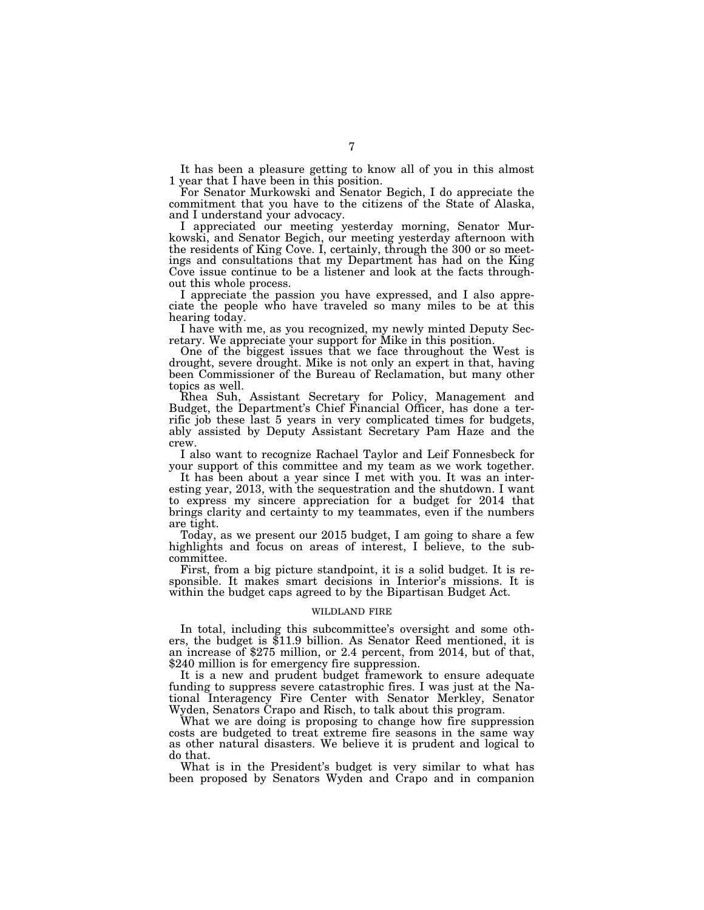It has been a pleasure getting to know all of you in this almost 1 year that I have been in this position.

For Senator Murkowski and Senator Begich, I do appreciate the commitment that you have to the citizens of the State of Alaska, and I understand your advocacy.

I appreciated our meeting yesterday morning, Senator Murkowski, and Senator Begich, our meeting yesterday afternoon with the residents of King Cove. I, certainly, through the 300 or so meetings and consultations that my Department has had on the King Cove issue continue to be a listener and look at the facts throughout this whole process.

I appreciate the passion you have expressed, and I also appreciate the people who have traveled so many miles to be at this hearing today.

I have with me, as you recognized, my newly minted Deputy Secretary. We appreciate your support for Mike in this position.

One of the biggest issues that we face throughout the West is drought, severe drought. Mike is not only an expert in that, having been Commissioner of the Bureau of Reclamation, but many other topics as well.

Rhea Suh, Assistant Secretary for Policy, Management and Budget, the Department's Chief Financial Officer, has done a terrific job these last 5 years in very complicated times for budgets, ably assisted by Deputy Assistant Secretary Pam Haze and the crew.

I also want to recognize Rachael Taylor and Leif Fonnesbeck for your support of this committee and my team as we work together.

It has been about a year since I met with you. It was an interesting year, 2013, with the sequestration and the shutdown. I want to express my sincere appreciation for a budget for 2014 that brings clarity and certainty to my teammates, even if the numbers are tight.

Today, as we present our 2015 budget, I am going to share a few highlights and focus on areas of interest, I believe, to the subcommittee.

First, from a big picture standpoint, it is a solid budget. It is responsible. It makes smart decisions in Interior's missions. It is within the budget caps agreed to by the Bipartisan Budget Act.

# WILDLAND FIRE

In total, including this subcommittee's oversight and some others, the budget is \$11.9 billion. As Senator Reed mentioned, it is an increase of \$275 million, or 2.4 percent, from 2014, but of that, \$240 million is for emergency fire suppression.

It is a new and prudent budget framework to ensure adequate funding to suppress severe catastrophic fires. I was just at the National Interagency Fire Center with Senator Merkley, Senator Wyden, Senators Crapo and Risch, to talk about this program.

What we are doing is proposing to change how fire suppression costs are budgeted to treat extreme fire seasons in the same way as other natural disasters. We believe it is prudent and logical to do that.

What is in the President's budget is very similar to what has been proposed by Senators Wyden and Crapo and in companion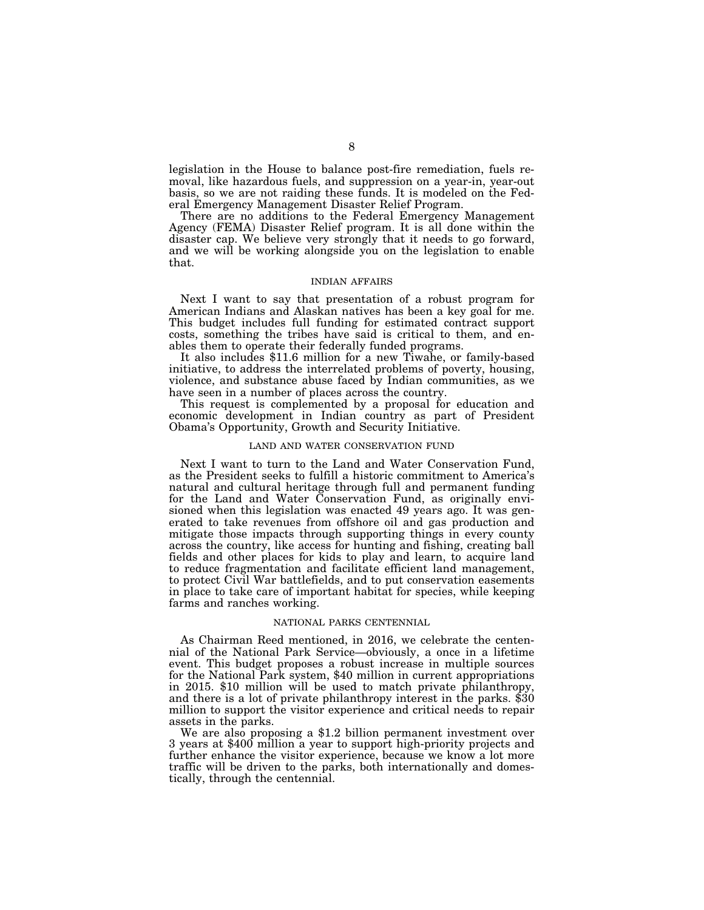legislation in the House to balance post-fire remediation, fuels removal, like hazardous fuels, and suppression on a year-in, year-out basis, so we are not raiding these funds. It is modeled on the Federal Emergency Management Disaster Relief Program.

There are no additions to the Federal Emergency Management Agency (FEMA) Disaster Relief program. It is all done within the disaster cap. We believe very strongly that it needs to go forward, and we will be working alongside you on the legislation to enable that.

### INDIAN AFFAIRS

Next I want to say that presentation of a robust program for American Indians and Alaskan natives has been a key goal for me. This budget includes full funding for estimated contract support costs, something the tribes have said is critical to them, and enables them to operate their federally funded programs.

It also includes \$11.6 million for a new Tiwahe, or family-based initiative, to address the interrelated problems of poverty, housing, violence, and substance abuse faced by Indian communities, as we have seen in a number of places across the country.

This request is complemented by a proposal for education and economic development in Indian country as part of President Obama's Opportunity, Growth and Security Initiative.

# LAND AND WATER CONSERVATION FUND

Next I want to turn to the Land and Water Conservation Fund, as the President seeks to fulfill a historic commitment to America's natural and cultural heritage through full and permanent funding for the Land and Water Conservation Fund, as originally envisioned when this legislation was enacted 49 years ago. It was generated to take revenues from offshore oil and gas production and mitigate those impacts through supporting things in every county across the country, like access for hunting and fishing, creating ball fields and other places for kids to play and learn, to acquire land to reduce fragmentation and facilitate efficient land management, to protect Civil War battlefields, and to put conservation easements in place to take care of important habitat for species, while keeping farms and ranches working.

## NATIONAL PARKS CENTENNIAL

As Chairman Reed mentioned, in 2016, we celebrate the centennial of the National Park Service—obviously, a once in a lifetime event. This budget proposes a robust increase in multiple sources for the National Park system, \$40 million in current appropriations in 2015. \$10 million will be used to match private philanthropy, and there is a lot of private philanthropy interest in the parks. \$30 million to support the visitor experience and critical needs to repair assets in the parks.

We are also proposing a \$1.2 billion permanent investment over 3 years at \$400 million a year to support high-priority projects and further enhance the visitor experience, because we know a lot more traffic will be driven to the parks, both internationally and domestically, through the centennial.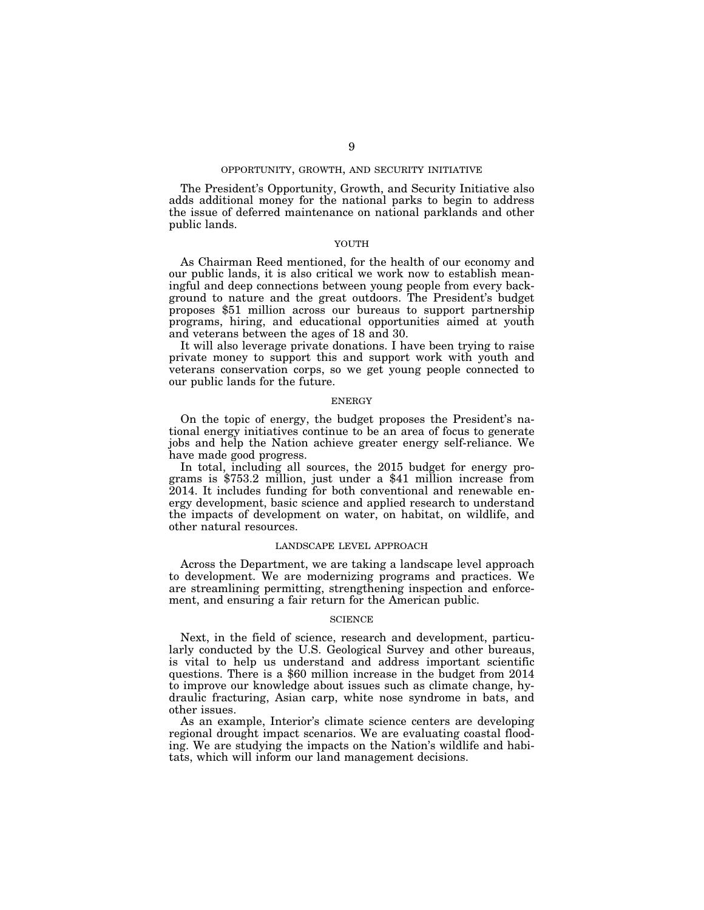# OPPORTUNITY, GROWTH, AND SECURITY INITIATIVE

The President's Opportunity, Growth, and Security Initiative also adds additional money for the national parks to begin to address the issue of deferred maintenance on national parklands and other public lands.

# YOUTH

As Chairman Reed mentioned, for the health of our economy and our public lands, it is also critical we work now to establish meaningful and deep connections between young people from every background to nature and the great outdoors. The President's budget proposes \$51 million across our bureaus to support partnership programs, hiring, and educational opportunities aimed at youth and veterans between the ages of 18 and 30.

It will also leverage private donations. I have been trying to raise private money to support this and support work with youth and veterans conservation corps, so we get young people connected to our public lands for the future.

### ENERGY

On the topic of energy, the budget proposes the President's national energy initiatives continue to be an area of focus to generate jobs and help the Nation achieve greater energy self-reliance. We have made good progress.

In total, including all sources, the 2015 budget for energy programs is \$753.2 million, just under a \$41 million increase from 2014. It includes funding for both conventional and renewable energy development, basic science and applied research to understand the impacts of development on water, on habitat, on wildlife, and other natural resources.

# LANDSCAPE LEVEL APPROACH

Across the Department, we are taking a landscape level approach to development. We are modernizing programs and practices. We are streamlining permitting, strengthening inspection and enforcement, and ensuring a fair return for the American public.

### **SCIENCE**

Next, in the field of science, research and development, particularly conducted by the U.S. Geological Survey and other bureaus, is vital to help us understand and address important scientific questions. There is a \$60 million increase in the budget from 2014 to improve our knowledge about issues such as climate change, hydraulic fracturing, Asian carp, white nose syndrome in bats, and other issues.

As an example, Interior's climate science centers are developing regional drought impact scenarios. We are evaluating coastal flooding. We are studying the impacts on the Nation's wildlife and habitats, which will inform our land management decisions.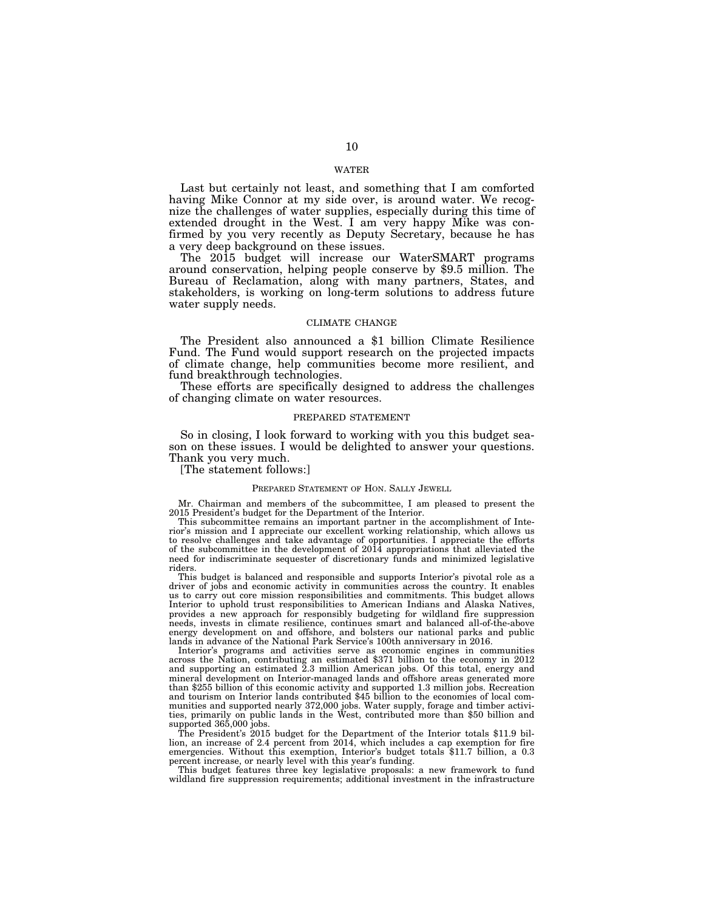# WATER

Last but certainly not least, and something that I am comforted having Mike Connor at my side over, is around water. We recognize the challenges of water supplies, especially during this time of extended drought in the West. I am very happy Mike was confirmed by you very recently as Deputy Secretary, because he has a very deep background on these issues.

The 2015 budget will increase our WaterSMART programs around conservation, helping people conserve by \$9.5 million. The Bureau of Reclamation, along with many partners, States, and stakeholders, is working on long-term solutions to address future water supply needs.

### CLIMATE CHANGE

The President also announced a \$1 billion Climate Resilience Fund. The Fund would support research on the projected impacts of climate change, help communities become more resilient, and fund breakthrough technologies.

These efforts are specifically designed to address the challenges of changing climate on water resources.

# PREPARED STATEMENT

So in closing, I look forward to working with you this budget season on these issues. I would be delighted to answer your questions. Thank you very much.

[The statement follows:]

#### PREPARED STATEMENT OF HON. SALLY JEWELL

Mr. Chairman and members of the subcommittee, I am pleased to present the 2015 President's budget for the Department of the Interior.

This subcommittee remains an important partner in the accomplishment of Interior's mission and I appreciate our excellent working relationship, which allows us to resolve challenges and take advantage of opportunities. I appreciate the efforts of the subcommittee in the development of 2014 appropriations that alleviated the need for indiscriminate sequester of discretionary funds and minimized legislative riders.

This budget is balanced and responsible and supports Interior's pivotal role as a driver of jobs and economic activity in communities across the country. It enables us to carry out core mission responsibilities and commitments. This budget allows Interior to uphold trust responsibilities to American Indians and Alaska Natives, provides a new approach for responsibly budgeting for wildland fire suppression needs, invests in climate resilience, continues smart and balanced all-of-the-above energy development on and offshore, and bolsters our national parks and public lands in advance of the National Park Service's 100th anniversary in 2016.

Interior's programs and activities serve as economic engines in communities across the Nation, contributing an estimated \$371 billion to the economy in 2012 and supporting an estimated 2.3 million American jobs. Of this total, energy and mineral development on Interior-managed lands and offshore areas generated more than \$255 billion of this economic activity and supported 1.3 million jobs. Recreation and tourism on Interior lands contributed \$45 billion to the economies of local communities and supported nearly 372,000 jobs. Water supply, forage and timber activities, primarily on public lands in the West, contributed more than \$50 billion and supported 365,000 jobs.

The President's 2015 budget for the Department of the Interior totals \$11.9 billion, an increase of 2.4 percent from 2014, which includes a cap exemption for fire emergencies. Without this exemption, Interior's budget totals \$11.7 billion, a 0.3 percent increase, or nearly level with this year's funding.

This budget features three key legislative proposals: a new framework to fund wildland fire suppression requirements; additional investment in the infrastructure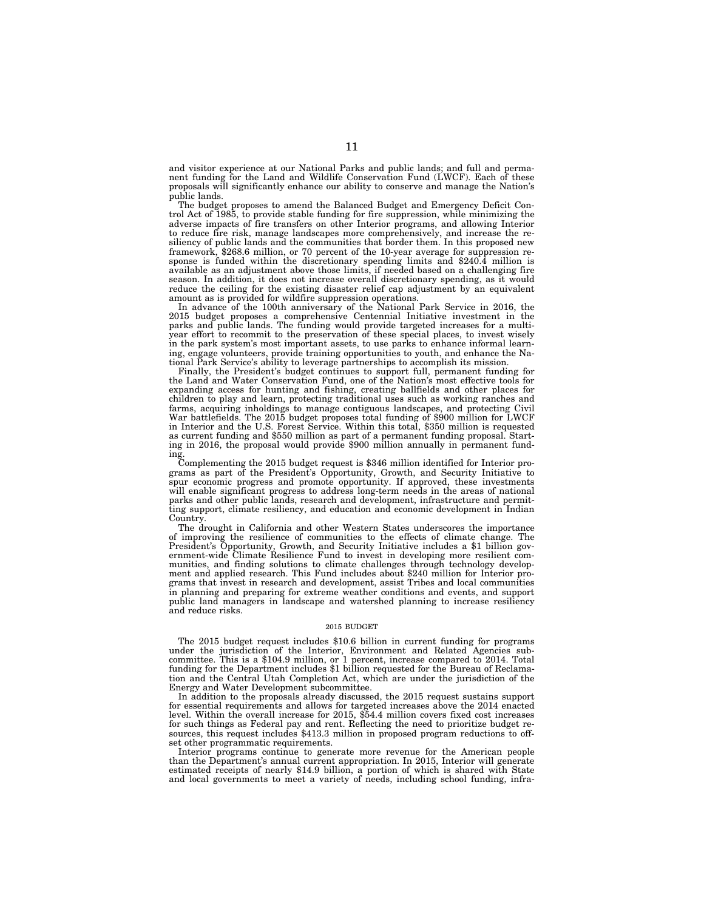and visitor experience at our National Parks and public lands; and full and permanent funding for the Land and Wildlife Conservation Fund (LWCF). Each of these proposals will significantly enhance our ability to conserve and manage the Nation's public lands.

The budget proposes to amend the Balanced Budget and Emergency Deficit Control Act of 1985, to provide stable funding for fire suppression, while minimizing the adverse impacts of fire transfers on other Interior programs, and allowing Interior to reduce fire risk, manage landscapes more comprehensively, and increase the resiliency of public lands and the communities that border them. In this proposed new framework, \$268.6 million, or 70 percent of the 10-year average for suppression response is funded within the discretionary spending limits and \$240.4 million is available as an adjustment above those limits, if needed based on a challenging fire season. In addition, it does not increase overall discretionary spending, as it would reduce the ceiling for the existing disaster relief cap adjustment by an equivalent amount as is provided for wildfire suppression operations.

In advance of the 100th anniversary of the National Park Service in 2016, the 2015 budget proposes a comprehensive Centennial Initiative investment in the parks and public lands. The funding would provide targeted increases for a multiyear effort to recommit to the preservation of these special places, to invest wisely in the park system's most important assets, to use parks to enhance informal learning, engage volunteers, provide training opportunities to youth, and enhance the National Park Service's ability to leverage partnerships to accomplish its mission.

Finally, the President's budget continues to support full, permanent funding for the Land and Water Conservation Fund, one of the Nation's most effective tools for expanding access for hunting and fishing, creating ballfields and other places for children to play and learn, protecting traditional uses such as working ranches and farms, acquiring inholdings to manage contiguous landscapes, and protecting Civil War battlefields. The 2015 budget proposes total funding of \$900 million for LWCF in Interior and the U.S. Forest Service. Within this total, \$350 million is requested as current funding and \$550 million as part of a permanent funding proposal. Starting in 2016, the proposal would provide \$900 million annually in permanent funding.

Complementing the 2015 budget request is \$346 million identified for Interior programs as part of the President's Opportunity, Growth, and Security Initiative to spur economic progress and promote opportunity. If approved, these investments will enable significant progress to address long-term needs in the areas of national parks and other public lands, research and development, infrastructure and permitting support, climate resiliency, and education and economic development in Indian Country.

The drought in California and other Western States underscores the importance of improving the resilience of communities to the effects of climate change. The President's Opportunity, Growth, and Security Initiative includes a \$1 billion government-wide Climate Resilience Fund to invest in developing more resilient communities, and finding solutions to climate challenges through technology development and applied research. This Fund includes about \$240 million for Interior programs that invest in research and development, assist Tribes and local communities in planning and preparing for extreme weather conditions and events, and support public land managers in landscape and watershed planning to increase resiliency and reduce risks.

#### $2015$  BUDGET  $\,$

The 2015 budget request includes \$10.6 billion in current funding for programs under the jurisdiction of the Interior, Environment and Related Agencies subcommittee. This is a \$104.9 million, or 1 percent, increase compared to 2014. Total funding for the Department includes \$1 billion requested for the Bureau of Reclamation and the Central Utah Completion Act, which are under the jurisdiction of the Energy and Water Development subcommittee.

In addition to the proposals already discussed, the 2015 request sustains support for essential requirements and allows for targeted increases above the 2014 enacted level. Within the overall increase for 2015, \$54.4 million covers fixed cost increases for such things as Federal pay and rent. Reflecting the need to prioritize budget resources, this request includes \$413.3 million in proposed program reductions to offset other programmatic requirements.

Interior programs continue to generate more revenue for the American people than the Department's annual current appropriation. In 2015, Interior will generate estimated receipts of nearly \$14.9 billion, a portion of which is shared with State and local governments to meet a variety of needs, including school funding, infra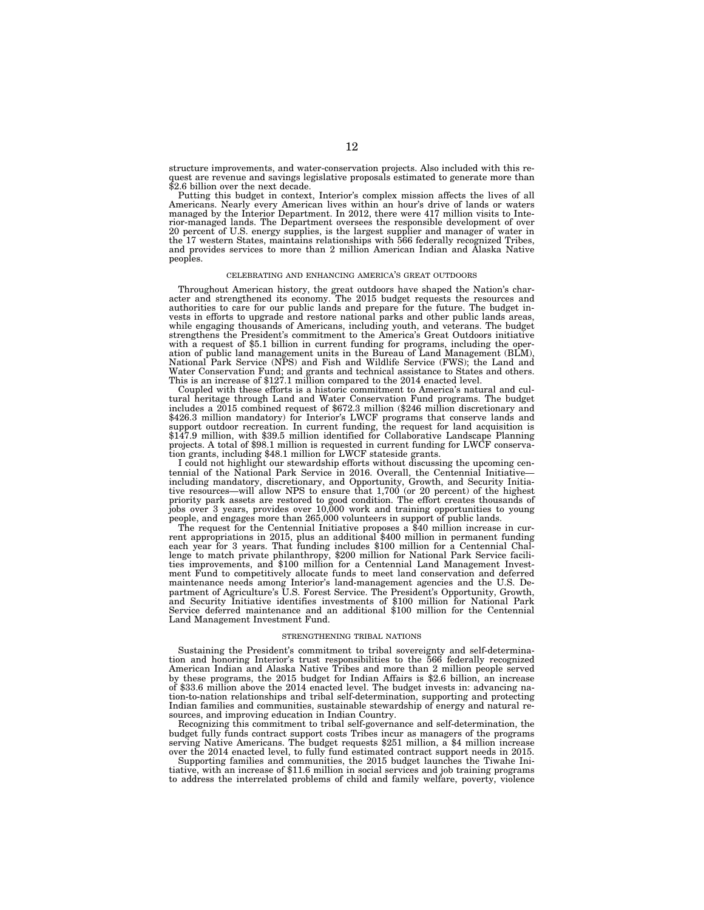structure improvements, and water-conservation projects. Also included with this request are revenue and savings legislative proposals estimated to generate more than \$2.6 billion over the next decade.

Putting this budget in context, Interior's complex mission affects the lives of all Americans. Nearly every American lives within an hour's drive of lands or waters managed by the Interior Department. In 2012, there were 417 million visits to Interior-managed lands. The Department oversees the responsible development of over 20 percent of U.S. energy supplies, is the largest supplier and manager of water in the 17 western States, maintains relationships with 566 federally recognized Tribes, and provides services to more than 2 million American Indian and Alaska Native peoples.

#### CELEBRATING AND ENHANCING AMERICA'S GREAT OUTDOORS

Throughout American history, the great outdoors have shaped the Nation's character and strengthened its economy. The 2015 budget requests the resources and authorities to care for our public lands and prepare for the futur vests in efforts to upgrade and restore national parks and other public lands areas, while engaging thousands of Americans, including youth, and veterans. The budget strengthens the President's commitment to the America's Great Outdoors initiative with a request of \$5.1 billion in current funding for programs, including the operation of public land management units in the Bureau of Land Management (BLM),<br>National Park Service (NPS) and Fish and Wildlife Service (FWS Water Conservation Fund; and grants and technical assistance to States and others. This is an increase of \$127.1 million compared to the 2014 enacted level.

Coupled with these efforts is a historic commitment to America's natural and cultural heritage through Land and Water Conservation Fund programs. The budget includes a 2015 combined request of \$672.3 million (\$246 million discretionary and \$426.3 million mandatory) for Interior's LWCF programs that conserve lands and support outdoor recreation. In current funding, the request for land acquisition is \$147.9 million, with \$39.5 million identified for Collaborative Landscape Planning projects. A total of \$98.1 million is requested in current funding for LWCF conservation grants, including \$48.1 million for LWCF stateside grants.

I could not highlight our stewardship efforts without discussing the upcoming centennial of the National Park Service in 2016. Overall, the Centennial Initiative including mandatory, discretionary, and Opportunity, Growth, and Security Initiative resources—will allow NPS to ensure that 1,700 (or 20 percent) of the highest priority park assets are restored to good condition. The effort creates thousands of jobs over 3 years, provides over 10,000 work and training opportunities to young people, and engages more than 265,000 volunteers in support of public lands.

The request for the Centennial Initiative proposes a \$40 million increase in current appropriations in 2015, plus an additional \$400 million in permanent funding each year for 3 years. That funding includes \$100 million for a Centennial Challenge to match private philanthropy, \$200 million for National Park Service facilities improvements, and \$100 million for a Centennial Land Management Investment Fund to competitively allocate funds to meet land conservation and deferred maintenance needs among Interior's land-management agencies and the U.S. Department of Agriculture's U.S. Forest Service. The President's Opportunity, Growth, and Security Initiative identifies investments of \$100 million for National Park Service deferred maintenance and an additional \$100 million for the Centennial Land Management Investment Fund.

#### STRENGTHENING TRIBAL NATIONS

Sustaining the President's commitment to tribal sovereignty and self-determination and honoring Interior's trust responsibilities to the 566 federally recognized American Indian and Alaska Native Tribes and more than 2 million people served by these programs, the 2015 budget for Indian Affairs is \$2.6 billion, an increase of \$33.6 million above the 2014 enacted level. The budget invests in: advancing nation-to-nation relationships and tribal self-determination, supporting and protecting Indian families and communities, sustainable stewardship of energy and natural resources, and improving education in Indian Country.

Recognizing this commitment to tribal self-governance and self-determination, the budget fully funds contract support costs Tribes incur as managers of the programs serving Native Americans. The budget requests \$251 million, a \$4 million increase over the 2014 enacted level, to fully fund estimated contract support needs in 2015.

Supporting families and communities, the 2015 budget launches the Tiwahe Initiative, with an increase of \$11.6 million in social services and job training programs to address the interrelated problems of child and family welfare, poverty, violence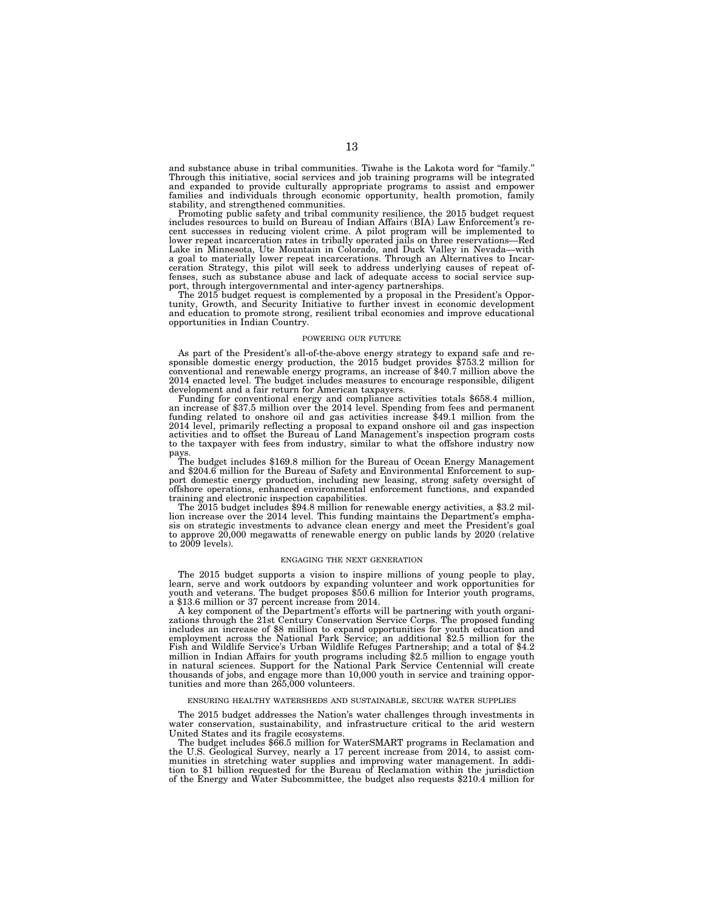and substance abuse in tribal communities. Tiwahe is the Lakota word for ''family.'' Through this initiative, social services and job training programs will be integrated and expanded to provide culturally appropriate programs to assist and empower families and individuals through economic opportunity, health promotion, family stability, and strengthened communities.

Promoting public safety and tribal community resilience, the 2015 budget request includes resources to build on Bureau of Indian Affairs (BIA) Law Enforcement's recent successes in reducing violent crime. A pilot program will be implemented to lower repeat incarceration rates in tribally operated jails on three reservations—Red Lake in Minesota, Ute Muntain in Colorado, Lake in Meva ceration Strategy, this pilot will seek to address underlying causes of repeat of-fenses, such as substance abuse and lack of adequate access to social service sup-

port, through intergovernmental and inter-agency partnerships. The 2015 budget request is complemented by a proposal in the President's Opportunity, Growth, and Security Initiative to further invest in economic development and education to promote strong, resilient tribal economies and improve educational opportunities in Indian Country.

#### POWERING OUR FUTURE

As part of the President's all-of-the-above energy strategy to expand safe and re- sponsible domestic energy production, the 2015 budget provides \$753.2 million for conventional and renewable energy programs, an increase of \$40.7 million above the 2014 enacted level. The budget includes measures to encourage responsible, diligent

development and a fair return for American taxpayers. Funding for conventional energy and compliance activities totals \$658.4 million, an increase of \$37.5 million over the 2014 level. Spending from fees and permanent funding related to onshore oil and gas activities increase \$49.1 million from the 2014 level, primarily reflecting a proposal to expand onshore oil and gas inspection activities and to offset the Bureau of Land Management's inspection program costs to the taxpayer with fees from industry, similar to what the offshore industry now

pays. The budget includes \$169.8 million for the Bureau of Ocean Energy Management and \$204.6 million for the Bureau of Safety and Environmental Enforcement to support domestic energy production, including new leasing, strong safety oversight of offshore operations, enhanced environmental enforcement functions, and expanded

training and electronic inspection capabilities. The 2015 budget includes \$94.8 million for renewable energy activities, a \$3.2 million increase over the 2014 level. This funding maintains the Department's empha-sis on strategic investments to advance clean energy and meet the President's goal to approve 20,000 megawatts of renewable energy on public lands by 2020 (relative to 2009 levels).

#### ENGAGING THE NEXT GENERATION

The 2015 budget supports a vision to inspire millions of young people to play, learn, serve and work outdoors by expanding volunteer and work opportunities for youth and veterans. The budget proposes \$50.6 million for Interior youth programs,

a \$13.6 million or 37 percent increase from 2014. A key component of the Department's efforts will be partnering with youth organizations through the 21st Century Conservation Service Corps. The proposed funding<br>includes an increase of \$8 million to expand opportunities for youth education and<br>employment across the National Park Service; an additiona Fish and Wildlife Service's Urban Wildlife Refuges Partnership; and a total of \$4.2 million in Indian Affairs for youth programs including \$2.5 million to engage youth in natural sciences. Support for the National Park Service Centennial will create thousands of jobs, and engage more than 10,000 youth in service and training opportunities and more than 265,000 volunteers.

### ENSURING HEALTHY WATERSHEDS AND SUSTAINABLE, SECURE WATER SUPPLIES

The 2015 budget addresses the Nation's water challenges through investments in water conservation, sustainability, and infrastructure critical to the arid western United States and its fragile ecosystems.

The budget includes \$66.5 million for WaterSMART programs in Reclamation and the U.S. Geological Survey, nearly a 17 percent increase from 2014, to assist communities in stretching water supplies and improving water management. In addi-tion to \$1 billion requested for the Bureau of Reclamation within the jurisdiction of the Energy and Water Subcommittee, the budget also requests \$210.4 million for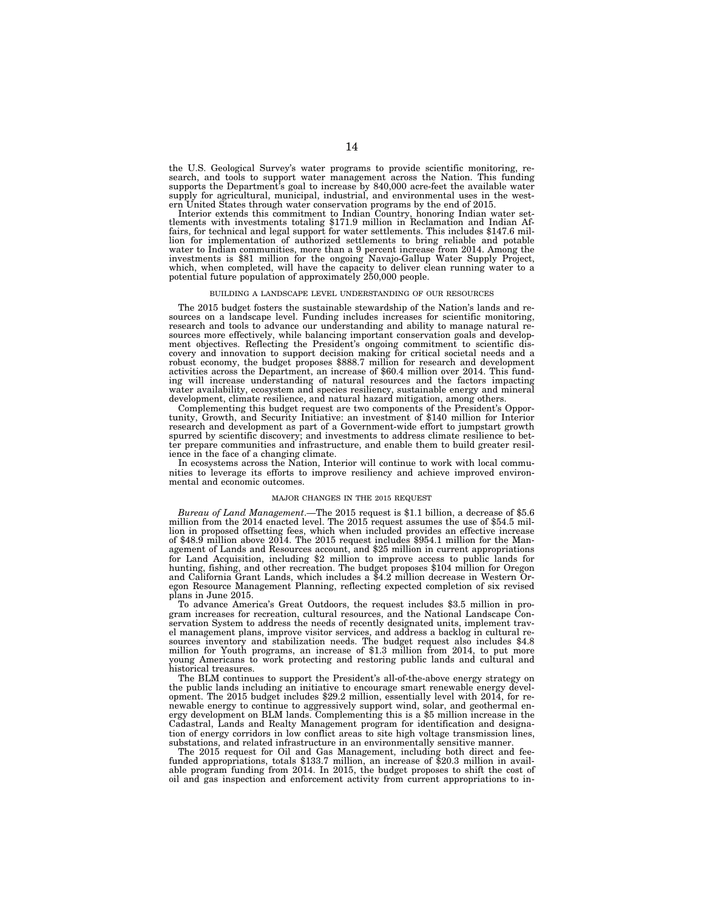the U.S. Geological Survey's water programs to provide scientific monitoring, research, and tools to support water management across the Nation. This funding supports the Department's goal to increase by 840,000 acre-feet the available water supply for agricultural, municipal, industrial, and environmental uses in the western United States through water conservation programs by the end of 2015.

Interior extends this commitment to Indian Country, honoring Indian water set-<br>tlements with investments totaling \$171.9 million in Reclamation and Indian Af-<br>fairs, for technical and legal support for water settlements. T lion for implementation of authorized settlements to bring reliable and potable water to Indian communities, more than a 9 percent increase from 2014. Among the investments is \$81 million for the ongoing Navajo-Gallup Water Supply Project, which, when completed, will have the capacity to deliver clean running water to a potential future population of approximately 250,000 people.

#### BUILDING A LANDSCAPE LEVEL UNDERSTANDING OF OUR RESOURCES

The 2015 budget fosters the sustainable stewardship of the Nation's lands and resources on a landscape level. Funding includes increases for scientific monitoring, research and tools to advance our understanding and ability to manage natural resources more effectively, while balancing important conservation goals and development objectives. Reflecting the President's ongoing commitment to scientific dis-covery and innovation to support decision making for critical societal needs and a robust economy, the budget proposes \$888.7 million for research and development activities across the Department, an increase of \$60.4 million over 2014. This funding will increase understanding of natural resources and the factors impacting water availability, ecosystem and species resiliency, sustainable energy and mineral development, climate resilience, and natural hazard mitigation, among others.

Complementing this budget request are two components of the President's Opportunity, Growth, and Security Initiative: an investment of \$140 million for Interior research and development as part of a Government-wide effort to jumpstart growth spurred by scientific discovery; and investments to address climate resilience to better prepare communities and infrastructure, and enable them to build greater resilience in the face of a changing climate.

In ecosystems across the Nation, Interior will continue to work with local communities to leverage its efforts to improve resiliency and achieve improved environmental and economic outcomes.

### MAJOR CHANGES IN THE 2015 REQUEST

*Bureau of Land Management*.—The 2015 request is \$1.1 billion, a decrease of \$5.6 million from the 2014 enacted level. The 2015 request assumes the use of \$54.5 million in proposed offsetting fees, which when included provides an effective increase of \$48.9 million above 2014. The 2015 request includes \$954.1 million for the Management of Lands and Resources account, and \$25 million in current appropriations for Land Acquisition, including \$2 million to improve access to public lands for hunting, fishing, and other recreation. The budget proposes \$104 million for Oregon and California Grant Lands, which includes a \$4.2 million decrease in Western Oregon Resource Management Planning, reflecting expected completion of six revised plans in June 2015.

To advance America's Great Outdoors, the request includes \$3.5 million in program increases for recreation, cultural resources, and the National Landscape Conservation System to address the needs of recently designated units, implement travel management plans, improve visitor services, and address a backlog in cultural resources inventory and stabilization needs. The budget request also includes \$4.8 million for Youth programs, an increase of \$1.3 million from 2014, to put more young Americans to work protecting and restoring public lands and cultural and historical treasures.

The BLM continues to support the President's all-of-the-above energy strategy on the public lands including an initiative to encourage smart renewable energy development. The 2015 budget includes \$29.2 million, essentially level with 2014, for renewable energy to continue to aggressively support wind, solar, and geothermal energy development on BLM lands. Complementing this is a \$5 million increase in the Cadastral, Lands and Realty Management program for identification and designation of energy corridors in low conflict areas to site high voltage transmission lines, substations, and related infrastructure in an environmentally sensitive manner.

The 2015 request for Oil and Gas Management, including both direct and feefunded appropriations, totals \$133.7 million, an increase of \$20.3 million in available program funding from 2014. In 2015, the budget proposes to shift the cost of oil and gas inspection and enforcement activity from current appropriations to in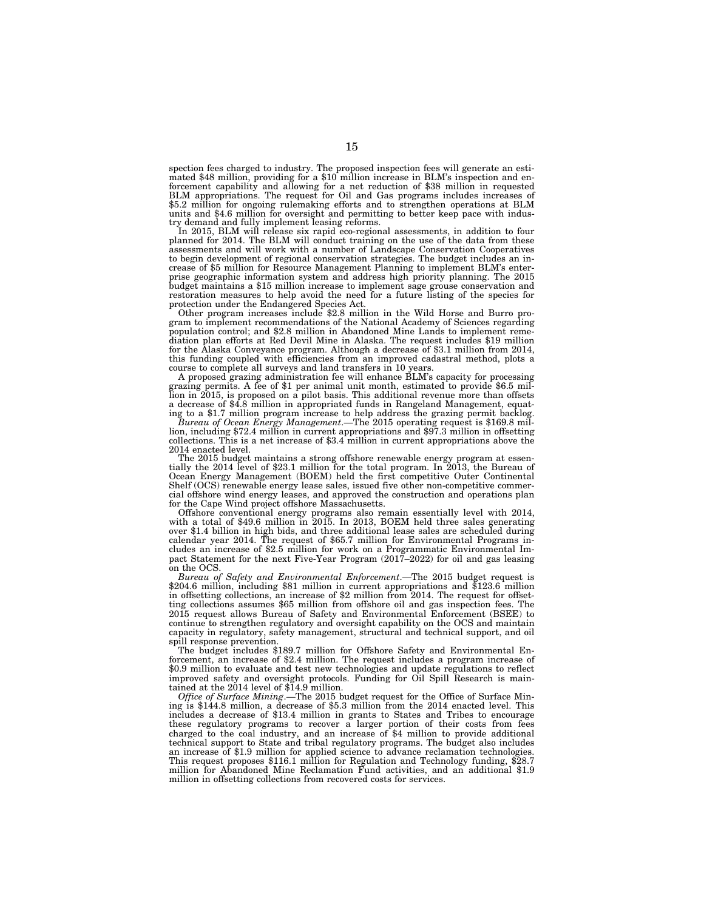spection fees charged to industry. The proposed inspection fees will generate an estimated \$48 million, providing for a \$10 million increase in BLM's inspection and enforcement capability and allowing for a net reduction of \$38 million in requested BLM appropriations. The request for Oil and Gas programs includes increases of \$5.2 million for ongoing rulemaking efforts and to strengthen operations at BLM units and \$4.6 million for oversight and permitting to better keep pace with indus-try demand and fully implement leasing reforms.

In 2015, BLM will release six rapid eco-regional assessments, in addition to four planned for 2014. The BLM will conduct training on the use of the data from these assessments and will work with a number of Landscape Conse to begin development of regional conservation strategies. The budget includes an increase of \$5 million for Resource Management Planning to implement BLM's enterprise geographic information system and address high priority planning. The 2015 budget maintains a \$15 million increase to implement sage grouse conservation and restoration measures to help avoid the need for a future listing of the species for protection under the Endangered Species Act.<br>Other program increases include \$2.8 million in the Wild Horse and Burro pro-

gram to implement recommendations of the National Academy of Sciences regarding population control; and \$2.8 million in Abandoned Mine Lands to implement remediation plan efforts at Red Devil Mine in Alaska. The request includes \$19 million for the Alaska Conveyance program. Although a decrease of \$3.1 million from 2014, this funding coupled with efficiencies from an improved cadastral method, plots a course to complete all surveys and land transfers in 10 years.

A proposed grazing administration fee will enhance BLM's capacity for processing grazing permits. A fee of \$1 per animal unit month, estimated to provide \$6.5 million in 2015, is proposed on a pilot basis. This additional revenue more than offsets a decrease of \$4.8 million in appropriated funds in Rangeland Management, equating to a \$1.7 million program increase to help address the grazing permit backlog.

*Bureau of Ocean Energy Management*.—The 2015 operating request is \$169.8 mil- lion, including \$72.4 million in current appropriations and \$97.3 million in offsetting collections. This is a net increase of \$3.4 million in current appropriations above the 2014 enacted level.

The 2015 budget maintains a strong offshore renewable energy program at essentially the 2014 level of \$23.1 million for the total program. In 2013, the Bureau of Ocean Energy Management (BOEM) held the first competitive Ou Shelf (OCS) renewable energy lease sales, issued five other non-competitive commercial offshore wind energy leases, and approved the construction and operations plan for the Cape Wind project offshore Massachusetts.

Offshore conventional energy programs also remain essentially level with 2014, with a total of \$49.6 million in 2015. In 2013, BOEM held three sales generating over \$1.4 billion in high bids, and three additional lease sales are scheduled during calendar year 2014. The request of \$65.7 million for Environmental Programs includes an increase of \$2.5 million for work on a Programmatic Environmental Impact Statement for the next Five-Year Program  $(2017-2022)$  for oil and gas leasing on the OCS.

*Bureau of Safety and Environmental Enforcement*.—The 2015 budget request is \$204.6 million, including \$81 million in current appropriations and \$123.6 million in offsetting collections, an increase of \$2 million from 2014. The request for offsetting collections assumes \$65 million from offshore oil and gas inspection fees. The 2015 request allows Bureau of Safety and Environmental Enforcement (BSEE) to continue to strengthen regulatory and oversight capability on the OCS and maintain capacity in regulatory, safety management, structural and technical support, and oil spill response prevention.

The budget includes \$189.7 million for Offshore Safety and Environmental Enforcement, an increase of \$2.4 million. The request includes a program increase of \$0.9 million to evaluate and test new technologies and update regulations to reflect improved safety and oversight protocols. Funding for Oil Spill Research is maintained at the 2014 level of \$14.9 million.

*Office of Surface Mining*.—The 2015 budget request for the Office of Surface Mining is \$144.8 million, a decrease of \$5.3 million from the 2014 enacted level. This includes a decrease of \$13.4 million in grants to States and Tribes to encourage these regulatory programs to recover a larger portion of their costs from fees charged to the coal industry, and an increase of \$4 million to provide additional technical support to State and tribal regulatory programs. The budget also includes an increase of \$1.9 million for applied science to advance reclamation technologies. This request proposes \$116.1 million for Regulation and Technology funding, \$28.7 million for Abandoned Mine Reclamation Fund activities, and an additional \$1.9 million in offsetting collections from recovered costs for services.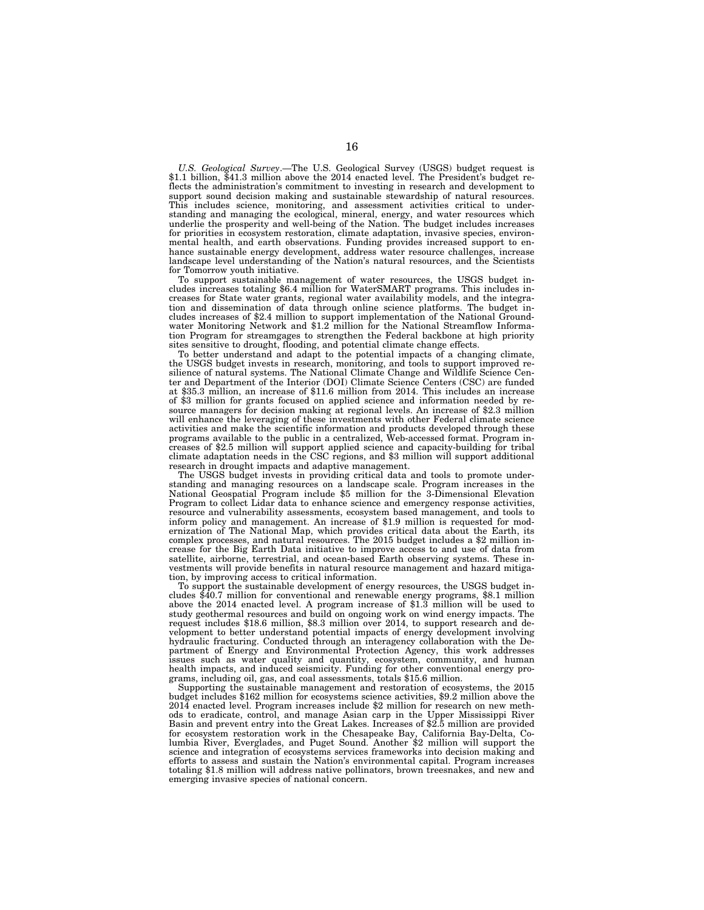*U.S. Geological Survey*.—The U.S. Geological Survey (USGS) budget request is \$1.1 billion, \$41.3 million above the 2014 enacted level. The President's budget reflects the administration's commitment to investing in research and development to support sound decision making and sustainable stewardship of natural resources. This includes science, monitoring, and assessment activities critical to understanding and managing the ecological, mineral, energy, and water resources which underlie the prosperity and well-being of the Nation. The budget includes increases for priorities in ecosystem restoration, climate adaptation, invasive species, environmental health, and earth observations. Funding provides increased support to enhance sustainable energy development, address water resource challenges, increase landscape level understanding of the Nation's natural resources, and the Scientists for Tomorrow youth initiative.

To support sustainable management of water resources, the USGS budget includes increases totaling \$6.4 million for WaterSMART programs. This includes increases for State water grants, regional water availability models, and the integration and dissemination of data through online science platforms. The budget includes increases of \$2.4 million to support implementation of the National Groundwater Monitoring Network and \$1.2 million for the National Streamflow Information Program for streamgages to strengthen the Federal backbone at high priority sites sensitive to drought, flooding, and potential climate change effects.

To better understand and adapt to the potential impacts of a changing climate, the USGS budget invests in research, monitoring, and tools to support improved resilience of natural systems. The National Climate Change and Wildlife Science Center and Department of the Interior (DOI) Climate Science Centers (CSC) are funded at \$35.3 million, an increase of \$11.6 million from 2014. This includes an increase of \$3 million for grants focused on applied science and information needed by resource managers for decision making at regional levels. An increase of \$2.3 million will enhance the leveraging of these investments with other Federal climate science activities and make the scientific information and products developed through these programs available to the public in a centralized, Web-accessed format. Program increases of \$2.5 million will support applied science and capacity-building for tribal climate adaptation needs in the CSC regions, and \$3 million will support additional research in drought impacts and adaptive management.

The USGS budget invests in providing critical data and tools to promote understanding and managing resources on a landscape scale. Program increases in the National Geospatial Program include \$5 million for the 3-Dimensional Elevation Program to collect Lidar data to enhance science and emergency response activities, resource and vulnerability assessments, ecosystem based management, and tools to inform policy and management. An increase of \$1.9 million is requested for modernization of The National Map, which provides critical data about the Earth, its complex processes, and natural resources. The 2015 budget includes a \$2 million increase for the Big Earth Data initiative to improve access to and use of data from satellite, airborne, terrestrial, and ocean-based Earth observing systems. These investments will provide benefits in natural resource management and hazard mitigation, by improving access to critical information.

To support the sustainable development of energy resources, the USGS budget includes \$40.7 million for conventional and renewable energy programs, \$8.1 million above the 2014 enacted level. A program increase of \$1.3 million will be used to study geothermal resources and build on ongoing work on wind energy impacts. The request includes \$18.6 million, \$8.3 million over 2014, to support research and development to better understand potential impacts of energy development involving hydraulic fracturing. Conducted through an interagency collaboration with the Department of Energy and Environmental Protection Agency, this work addresses issues such as water quality and quantity, ecosystem, community, and human health impacts, and induced seismicity. Funding for other conventional energy programs, including oil, gas, and coal assessments, totals \$15.6 million.

Supporting the sustainable management and restoration of ecosystems, the 2015 budget includes \$162 million for ecosystems science activities, \$9.2 million above the 2014 enacted level. Program increases include \$2 million for research on new methods to eradicate, control, and manage Asian carp in the Upper Mississippi River Basin and prevent entry into the Great Lakes. Increases of \$2.5 million are provided for ecosystem restoration work in the Chesapeake Bay, California Bay-Delta, Columbia River, Everglades, and Puget Sound. Another \$2 million will support the science and integration of ecosystems services frameworks into decision making and efforts to assess and sustain the Nation's environmental capital. Program increases totaling \$1.8 million will address native pollinators, brown treesnakes, and new and emerging invasive species of national concern.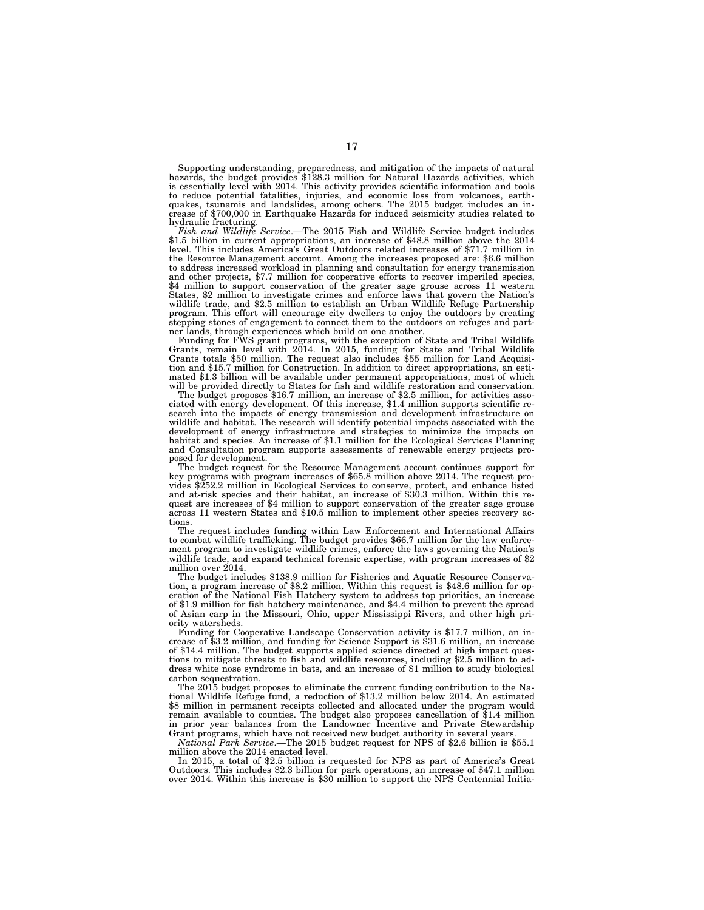Supporting understanding, preparedness, and mitigation of the impacts of natural<br>hazards, the budget provides \$128.3 million for Natural Hazards activities, which<br>is essentially level with 2014. This activity provides scie to reduce potential fatalities, injuries, and economic loss from volcanoes, earthquakes, tsunamis and landslides, among others. The 2015 budget includes an in-crease of \$700,000 in Earthquake Hazards for induced seismicity studies related to hydraulic fracturing.<br>Fish and Wildlife Service.—The 2015 Fish and Wildlife Service budget includes

*Fish and Wildlife Service*.—The 2015 Fish and Wildlife Service budget includes \$1.5 billion in current appropriations, an increase of \$48.8 million above the 2014 level. This includes America's Great Outdoors related incr the Resource Management account. Among the increases proposed are: \$6.6 million to address increased workload in planning and consultation for energy transmission and other projects, \$7.7 million for cooperative efforts to recover imperiled species, \$4 million to support conservation of the greater sage grouse across 11 western States, \$2 million to investigate crimes and enforce laws that govern the Nation's wildlife trade, and \$2.5 million to establish an Urban Wildlife Refuge Partnership program. This effort will encourage city dwellers to enjoy the outdoors by creating stepping stones of engagement to connect them to the outdoors on refuges and part-ner lands, through experiences which build on one another.

Funding for FWS grant programs, with the exception of State and Tribal Wildlife Grants, remain level with 2014. In 2015, funding for State and Tribal Wildlife Grants totals \$50 million. The request also includes \$55 million for Land Acquisi-tion and \$15.7 million for Construction. In addition to direct appropriations, an estimated \$1.3 billion will be available under permanent appropriations, most of which will be provided directly to States for fish and wildlife restoration and conservation.

The budget proposes \$16.7 million, an increase of \$2.5 million, for activities associated with energy development. Of this increase, \$1.4 million supports scientific research into the impacts of energy transmission and development infrastructure on wildlife and habitat. The research will identify potential impacts associated with the development of energy infrastructure and strategies to minimize the impacts on habitat and species. An increase of \$1.1 million for the Ecological Services Planning and Consultation program supports assessments of renewable energy projects proposed for development.<br>The budget request for the Resource Management account continues support for

key programs with program increases of \$65.8 million above 2014. The request provides \$252.2 million in Ecological Services to conserve, protect, and enhance listed and at-risk species and their habitat, an increase of \$30.3 million. Within this request are increases of \$4 million to support conservation of the greater sage grouse across 11 western States and \$10.5 million to implement other species recovery actions.

The request includes funding within Law Enforcement and International Affairs to combat wildlife trafficking. The budget provides \$66.7 million for the law enforcement program to investigate wildlife crimes, enforce the laws governing the Nation's wildlife trade, and expand technical forensic expertise, with program increases of \$2 million over 2014.

The budget includes \$138.9 million for Fisheries and Aquatic Resource Conservation, a program increase of \$8.2 million. Within this request is \$48.6 million for operation of the National Fish Hatchery system to address top priorities, an increase of \$1.9 million for fish hatchery maintenance, and \$4.4 million to prevent the spread of Asian carp in the Missouri, Ohio, upper Mississippi Rivers, and other high priority watersheds.

Funding for Cooperative Landscape Conservation activity is \$17.7 million, an increase of \$3.2 million, and funding for Science Support is \$31.6 million, an increase of \$14.4 million. The budget supports applied science directed at high impact questions to mitigate threats to fish and wildlife resources, including \$2.5 million to address white nose syndrome in bats, and an increase of \$1 million to study biological carbon sequestration.

The 2015 budget proposes to eliminate the current funding contribution to the National Wildlife Refuge fund, a reduction of \$13.2 million below 2014. An estimated \$8 million in permanent receipts collected and allocated under the program would remain available to counties. The budget also proposes cancellation of \$1.4 million in prior year balances from the Landowner Incentive and Private Stewardship Grant programs, which have not received new budget authority in several years.

*National Park Service*.—The 2015 budget request for NPS of \$2.6 billion is \$55.1 million above the 2014 enacted level.

In 2015, a total of \$2.5 billion is requested for NPS as part of America's Great Outdoors. This includes \$2.3 billion for park operations, an increase of \$47.1 million over 2014. Within this increase is \$30 million to support the NPS Centennial Initia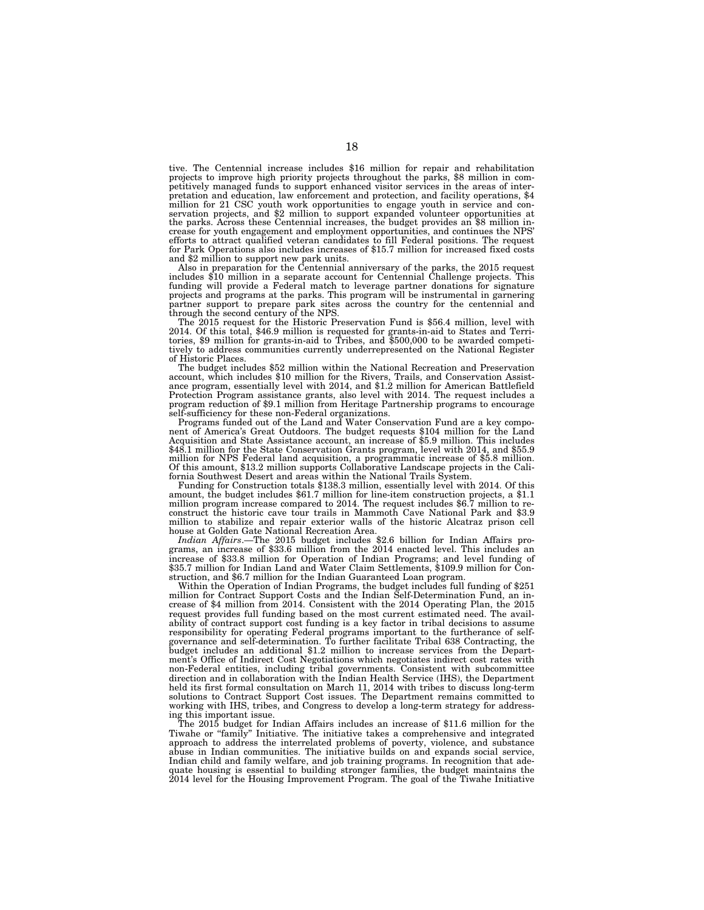tive. The Centennial increase includes \$16 million for repair and rehabilitation projects to improve high priority projects throughout the parks, \$8 million in competitively managed funds to support enhanced visitor services in the areas of interpretation and education, law enforcement and protection, and facility operations, \$4 million for 21 CSC youth work opportunities to engage youth in service and conservation projects, and \$2 million to support expanded volunteer opportunities at the parks. Across these Centennial increases, the budget provides an \$8 million increase for youth engagement and employment opportunities, and continues the NPS' efforts to attract qualified veteran candidates to fill Federal positions. The request for Park Operations also includes increases of \$15.7 million for increased fixed costs and \$2 million to support new park units.

Also in preparation for the Centennial anniversary of the parks, the 2015 request includes \$10 million in a separate account for Centennial Challenge projects. This funding will provide a Federal match to leverage partner donations for signature projects and programs at the parks. This program will be instrumental in garnering partner support to prepare park sites across the country for the centennial and through the second century of the NPS.

through the second century of the NPS.<br>The 2015 request for the Historic Preservation Fund is \$56.4 million, level with<br>2014. Of this total, \$46.9 million is requested for grants-in-aid to States and Terri-<br>tories, \$9 mill of Historic Places.<br>The budget includes \$52 million within the National Recreation and Preservation

The budget includes \$52 million within the National Recreation and Preservation<br>account, which includes \$10 million for the Rivers, Trails, and Conservation Assistance program, essentially level with 2014, and \$1.2 million Protection Program assistance grants, also level with 2014. The request includes a program reduction of \$9.1 million from Heritage Partnership programs to encourage

self-sufficiency for these non-Federal organizations. Programs funded out of the Land and Water Conservation Fund are a key compo- nent of America's Great Outdoors. The budget requests \$104 million for the Land Figure Account and State Assistance account, an increase of \$5.9 million for the Land Acquisition and State Assistance account, an increase of \$5.9 million. This includes \$48.1 million for the State Conservation Grants program, level with 2014, and \$55.9 million for NPS Federal land acquisition, a programmatic increase of \$5.8 million. Of this amount, \$13.2 million supports Collaborative Landscape projects in the Cali-

fornia Southwest Desert and areas within the National Trails System.<br>Funding for Construction totals \$138.3 million, essentially level with 2014. Of this<br>amount, the budget includes \$61.7 million for line-item construction construct the historic cave tour trails in Mammoth Cave National Park and \$3.9 million to stabilize and repair exterior walls of the historic Alcatraz prison cell house at Golden Gate National Recreation Area.

*Indian Affairs*.—The 2015 budget includes \$2.6 billion for Indian Affairs programs, an increase of \$33.6 million from the 2014 enacted level. This includes an increase of \$33.8 million for Operation of Indian Programs; and level funding of \$35.7 million for Indian Land and Water Claim Settlements, \$109.9 million for Construction, and \$6.7 million for the Indian Guaranteed Loan program.

Within the Operation of Indian Programs, the budget includes full funding of \$251 million for Contract Support Costs and the Indian Self-Determination Fund, an increase of \$4 million from 2014. Consistent with the 2014 Operating Plan, the 2015 request provides full funding based on the most current estimated need. The availability of contract support cost funding is a key factor in tribal decisions to assume responsibility for operating Federal programs important to the furtherance of selfgovernance and self-determination. To further facilitate Tribal 638 Contracting, the budget includes an additional \$1.2 million to increase services from the Department's Office of Indirect Cost Negotiations which negotiates indirect cost rates with non-Federal entities, including tribal governments. Consistent with subcommittee direction and in collaboration with the Indian Health Service (IHS), the Department held its first formal consultation on March 11, 2014 with tribes to discuss long-term solutions to Contract Support Cost issues. The Department remains committed to working with IHS, tribes, and Congress to develop a long-term strategy for addressing this important issue.

The 2015 budget for Indian Affairs includes an increase of \$11.6 million for the Tiwahe or ''family'' Initiative. The initiative takes a comprehensive and integrated approach to address the interrelated problems of poverty, violence, and substance abuse in Indian communities. The initiative builds on and expands social service, Indian child and family welfare, and job training programs. In recognition that ade-quate housing is essential to building stronger families, the budget maintains the 2014 level for the Housing Improvement Program. The goal of the Tiwahe Initiative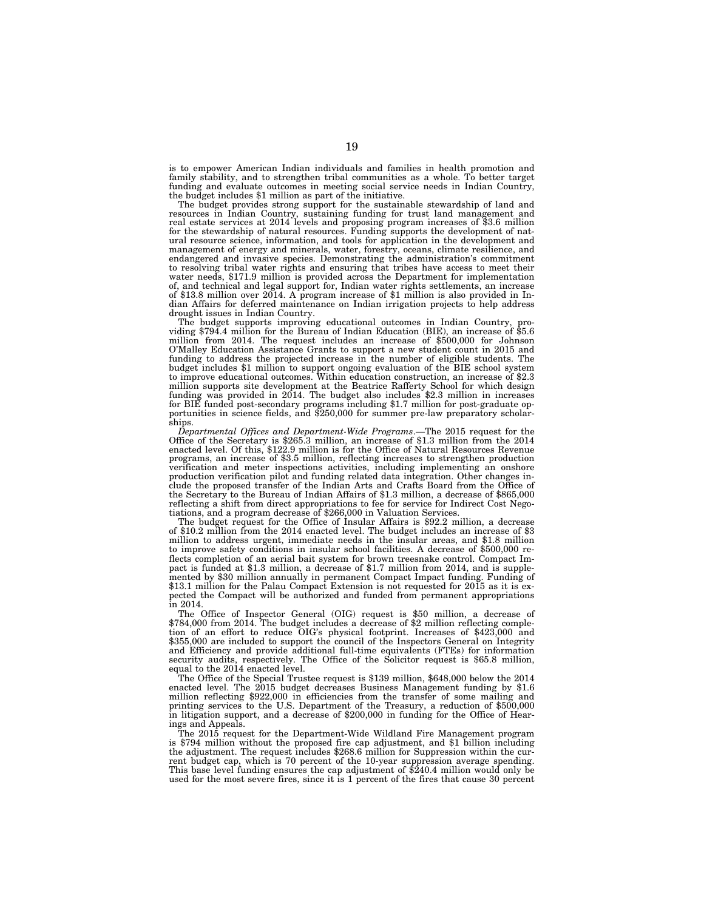is to empower American Indian individuals and families in health promotion and family stability, and to strengthen tribal communities as a whole. To better target funding and evaluate outcomes in meeting social service needs in Indian Country, the budget includes \$1 million as part of the initiative.

The budget provides strong support for the sustainable stewardship of land and resources in Indian Country, sustaining funding for trust land management and real estate services at 2014 levels and proposing program increases of \$3.6 million for the stewardship of natural resources. Funding supports the development of natural resource science, information, and tools for application in the development and management of energy and minerals, water, forestry, oceans, climate resilience, and endangered and invasive species. Demonstrating the administration's commitment to resolving tribal water rights and ensuring that tribes have access to meet their water needs, \$171.9 million is provided across the Department for implementation of, and technical and legal support for, Indian water rights settlements, an increase of \$13.8 million over 2014. A program increase of \$1 million is also provided in Indian Affairs for deferred maintenance on Indian irrigation projects to help address drought issues in Indian Country.

The budget supports improving educational outcomes in Indian Country, pro-<br>viding \$794.4 million for the Bureau of Indian Education (BIE), an increase of \$5.6 million from 2014. The request includes an increase of \$500,000 for Johnson O'Malley Education Assistance Grants to support a new student count in 2015 and funding to address the projected increase in the number of eligible students. The budget includes \$1 million to support ongoing evaluation of the BIE school system to improve educational outcomes. Within education construction, an increase of \$2.3 million supports site development at the Beatrice Rafferty School for which design funding was provided in 2014. The budget also includes \$2.3 million in increases<br>for BIE funded post-secondary programs including \$1.7 million for post-graduate op-<br>portunities in science fields, and \$250,000 for summer pr ships.

*Departmental Offices and Department-Wide Programs*.—The 2015 request for the Office of the Secretary is \$265.3 million, an increase of \$1.3 million from the 2014 enacted level. Of this, \$122.9 million is for the Office of Natural Resources Revenue programs, an increase of \$3.5 million, reflecting increases to strengthen production verification and meter inspections activities, including implementing an onshore production verification pilot and funding related data integration. Other changes include the proposed transfer of the Indian Arts and Crafts Board from the Office of the Secretary to the Bureau of Indian Affairs of \$1.3 million, a decrease of \$865,000 reflecting a shift from direct appropriations to fee for service for Indirect Cost Nego-

The budget request for the Office of Insular Affairs is \$92.2 million, a decrease of \$10.2 million from the 2014 enacted level. The budget includes an increase of \$3 million to address urgent, immediate needs in the insular areas, and \$1.8 million to improve safety conditions in insular school facilities. A decrease of \$500,000 reflects completion of an aerial bait system for brown treesnake control. Compact Impact is funded at \$1.3 million, a decrease of \$1.7 million from 2014, and is supplemented by \$30 million annually in permanent Compact Impact funding. Funding of \$13.1 million for the Palau Compact Extension is not requested for 2015 as it is expected the Compact will be authorized and funded from permanent appropriations in 2014.

The Office of Inspector General (OIG) request is \$50 million, a decrease of \$784,000 from 2014. The budget includes a decrease of \$2 million reflecting completion of an effort to reduce OIG's physical footprint. Increases of \$423,000 and \$355,000 are included to support the council of the Inspectors General on Integrity and Efficiency and provide additional full-time equivalents (FTEs) for information security audits, respectively. The Office of the Solicitor request is \$65.8 million, equal to the 2014 enacted level.

The Office of the Special Trustee request is \$139 million, \$648,000 below the 2014 enacted level. The 2015 budget decreases Business Management funding by \$1.6 million reflecting \$922,000 in efficiencies from the transfer of some mailing and printing services to the U.S. Department of the Treasury, a reduction of \$500,000 in litigation support, and a decrease of \$200,000 in funding for the Office of Hearings and Appeals.

The 2015 request for the Department-Wide Wildland Fire Management program is \$794 million without the proposed fire cap adjustment, and \$1 billion including the adjustment. The request includes \$268.6 million for Suppression within the current budget cap, which is 70 percent of the 10-year suppression average spending. This base level funding ensures the cap adjustment of \$240.4 million would only be used for the most severe fires, since it is 1 percent of the fires that cause 30 percent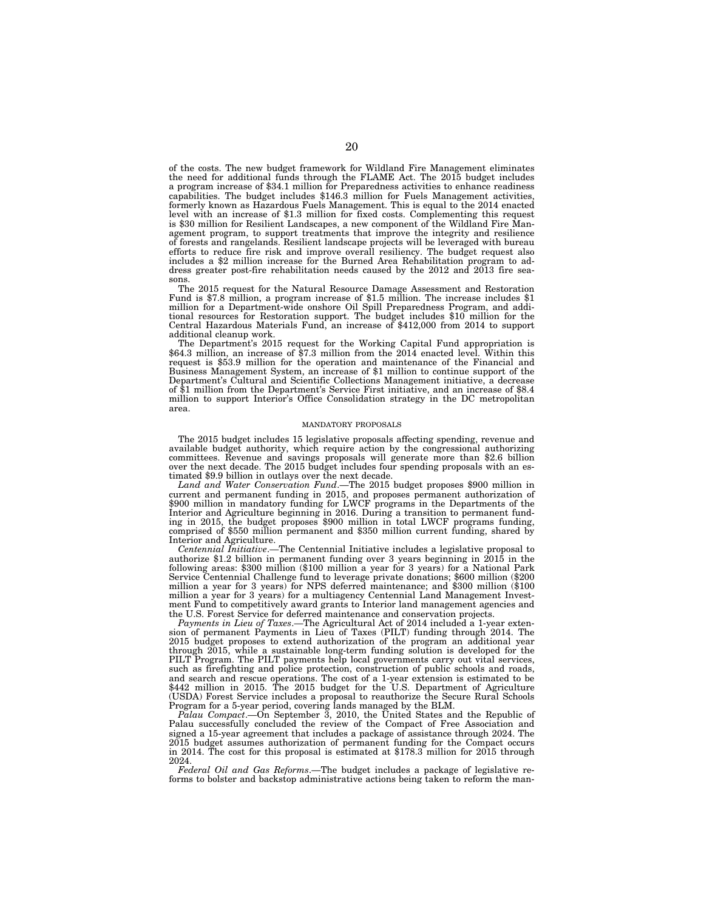of the costs. The new budget framework for Wildland Fire Management eliminates the need for additional funds through the FLAME Act. The 2015 budget includes a program increase of \$34.1 million for Preparedness activities to enhance readiness capabilities. The budget includes \$146.3 million for Fuels Management activities, formerly known as Hazardous Fuels Management. This is equal to the 2014 enacted level with an increase of \$1.3 million for fixed costs. Complementing this request is \$30 million for Resilient Landscapes, a new component of the Wildland Fire Management program, to support treatments that improve the integrity and resilience of forests and rangelands. Resilient landscape projects will be leveraged with bureau efforts to reduce fire risk and improve overall resiliency. The budget request also includes a \$2 million increase for the Burned Area Rehabilitation program to address greater post-fire rehabilitation needs caused by the 2012 and 2013 fire seasons.

The 2015 request for the Natural Resource Damage Assessment and Restoration Fund is \$7.8 million, a program increase of \$1.5 million. The increase includes \$1 million for a Department-wide onshore Oil Spill Preparedness Program, and additional resources for Restoration support. The budget includes \$10 million for the Central Hazardous Materials Fund, an increase of \$412,000 from 2014 to support additional cleanup work.

The Department's 2015 request for the Working Capital Fund appropriation is \$64.3 million, an increase of \$7.3 million from the 2014 enacted level. Within this request is \$53.9 million for the operation and maintenance of the Financial and Business Management System, an increase of \$1 million to continue support of the Department's Cultural and Scientific Collections Management initiative, a decrease of \$1 million from the Department's Service First initiative, and an increase of \$8.4 million to support Interior's Office Consolidation strategy in the DC metropolitan area.

#### MANDATORY PROPOSALS

The 2015 budget includes 15 legislative proposals affecting spending, revenue and available budget authority, which require action by the congressional authorizing committees. Revenue and savings proposals will generate more than \$2.6 billion over the next decade. The 2015 budget includes four spending proposals with an estimated \$9.9 billion in outlays over the next decade.

*Land and Water Conservation Fund*.—The 2015 budget proposes \$900 million in current and permanent funding in 2015, and proposes permanent authorization of \$900 million in mandatory funding for LWCF programs in the Departments of the Interior and Agriculture beginning in 2016. During a transition to permanent funding in 2015, the budget proposes \$900 million in total LWCF programs funding, comprised of \$550 million permanent and \$350 million current funding, shared by Interior and Agriculture.

*Centennial Initiative*.—The Centennial Initiative includes a legislative proposal to authorize \$1.2 billion in permanent funding over 3 years beginning in 2015 in the following areas: \$300 million (\$100 million a year for 3 years) for a National Park Service Centennial Challenge fund to leverage private donations; \$600 million (\$200 million a year for 3 years) for NPS deferred maintenance; and \$300 million (\$100 million a year for 3 years) for a multiagency Centennial Land Management Investment Fund to competitively award grants to Interior land management agencies and the U.S. Forest Service for deferred maintenance and conservation projects.

*Payments in Lieu of Taxes*.—The Agricultural Act of 2014 included a 1-year extension of permanent Payments in Lieu of Taxes (PILT) funding through 2014. The 2015 budget proposes to extend authorization of the program an additional year through 2015, while a sustainable long-term funding solution is developed for the PILT Program. The PILT payments help local governments carry out vital services, such as firefighting and police protection, construction of public schools and roads, and search and rescue operations. The cost of a 1-year extension is estimated to be \$442 million in 2015. The 2015 budget for the U.S. Department of Agriculture (USDA) Forest Service includes a proposal to reauthorize the Secure Rural Schools Program for a 5-year period, covering lands managed by the BLM.

*Palau Compact*.—On September 3, 2010, the United States and the Republic of Palau successfully concluded the review of the Compact of Free Association and signed a 15-year agreement that includes a package of assistance through 2024. The 2015 budget assumes authorization of permanent funding for the Compact occurs in 2014. The cost for this proposal is estimated at \$178.3 million for 2015 through 2024.

*Federal Oil and Gas Reforms*.—The budget includes a package of legislative reforms to bolster and backstop administrative actions being taken to reform the man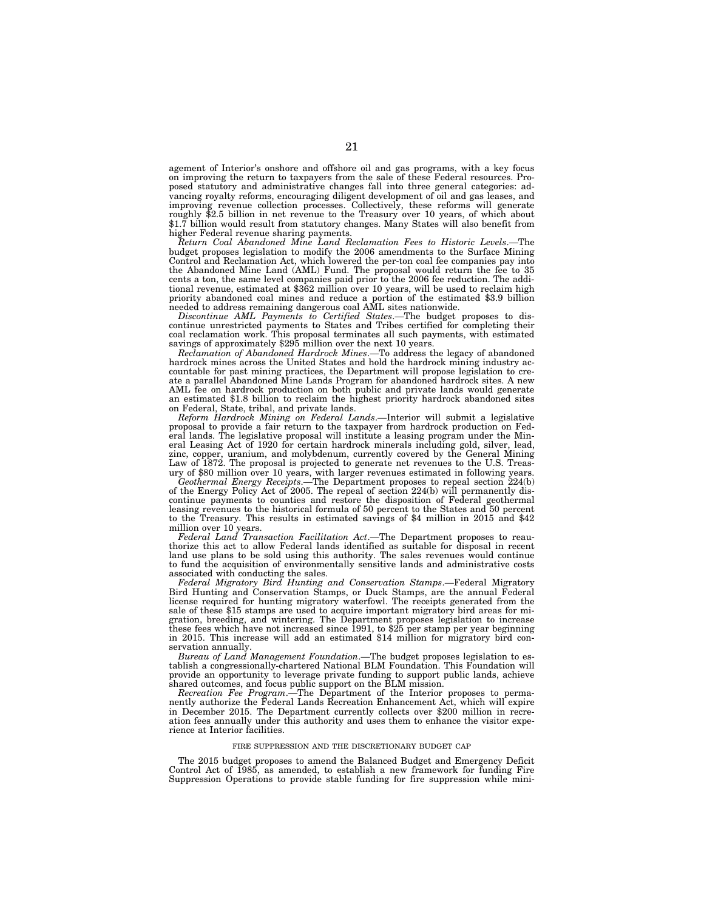agement of Interior's onshore and offshore oil and gas programs, with a key focus on improving the return to taxpayers from the sale of these Federal resources. Proposed statutory and administrative changes fall into three general categories: advancing royalty reforms, encouraging diligent development of oil and gas leases, and improving revenue collection processes. Collectively, these reforms will generate roughly \$2.5 billion in net revenue to the Treasury over 10 years, of which about \$1.7 billion would result from statutory changes. Many States will also benefit from higher Federal revenue sharing payments.

*Return Coal Abandoned Mine Land Reclamation Fees to Historic Levels*.—The budget proposes legislation to modify the 2006 amendments to the Surface Mining Control and Reclamation Act, which lowered the per-ton coal fee companies pay into the Abandoned Mine Land (AML) Fund. The proposal would return the fee to 35 cents a ton, the same level companies paid prior to the 2006 fee reduction. The additional revenue, estimated at \$362 million over 10 years, will be used to reclaim high priority abandoned coal mines and reduce a portion of the estimated \$3.9 billion needed to address remaining dangerous coal AML sites nationwide.

*Discontinue AML Payments to Certified States*.—The budget proposes to discontinue unrestricted payments to States and Tribes certified for completing their coal reclamation work. This proposal terminates all such payments, with estimated savings of approximately \$295 million over the next 10 years.

*Reclamation of Abandoned Hardrock Mines*.—To address the legacy of abandoned hardrock mines across the United States and hold the hardrock mining industry accountable for past mining practices, the Department will propose legislation to create a parallel Abandoned Mine Lands Program for abandoned hardrock sites. A new AML fee on hardrock production on both public and private lands would generate an estimated \$1.8 billion to reclaim the highest priority hardrock abandoned sites on Federal, State, tribal, and private lands.

*Reform Hardrock Mining on Federal Lands*.—Interior will submit a legislative proposal to provide a fair return to the taxpayer from hardrock production on Federal lands. The legislative proposal will institute a leasing program under the Mineral Leasing Act of 1920 for certain hardrock minerals including gold, silver, lead, zinc, copper, uranium, and molybdenum, currently covered by the General Mining Law of 1872. The proposal is projected to generate net revenues to the U.S. Treasury of \$80 million over 10 years, with larger revenues estimated in following years.

*Geothermal Energy Receipts*.—The Department proposes to repeal section 224(b) of the Energy Policy Act of 2005. The repeal of section 224(b) will permanently discontinue payments to counties and restore the disposition of Federal geothermal leasing revenues to the historical formula of 50 percent to the States and 50 percent to the Treasury. This results in estimated savings of \$4 million in 2015 and \$42 million over 10 years.

*Federal Land Transaction Facilitation Act*.—The Department proposes to reauthorize this act to allow Federal lands identified as suitable for disposal in recent land use plans to be sold using this authority. The sales revenues would continue to fund the acquisition of environmentally sensitive lands and administrative costs associated with conducting the sales.

*Federal Migratory Bird Hunting and Conservation Stamps*.—Federal Migratory Bird Hunting and Conservation Stamps, or Duck Stamps, are the annual Federal license required for hunting migratory waterfowl. The receipts generated from the sale of these \$15 stamps are used to acquire important migratory bird areas for migration, breeding, and wintering. The Department proposes legislation to increase these fees which have not increased since 1991, to \$25 per stamp per year beginning in 2015. This increase will add an estimated \$14 million for migratory bird conservation annually.

*Bureau of Land Management Foundation*.—The budget proposes legislation to establish a congressionally-chartered National BLM Foundation. This Foundation will provide an opportunity to leverage private funding to support public lands, achieve shared outcomes, and focus public support on the BLM mission.

*Recreation Fee Program*.—The Department of the Interior proposes to permanently authorize the Federal Lands Recreation Enhancement Act, which will expire in December 2015. The Department currently collects over \$200 million in recreation fees annually under this authority and uses them to enhance the visitor experience at Interior facilities.

### FIRE SUPPRESSION AND THE DISCRETIONARY BUDGET CAP

The 2015 budget proposes to amend the Balanced Budget and Emergency Deficit Control Act of 1985, as amended, to establish a new framework for funding Fire Suppression Operations to provide stable funding for fire suppression while mini-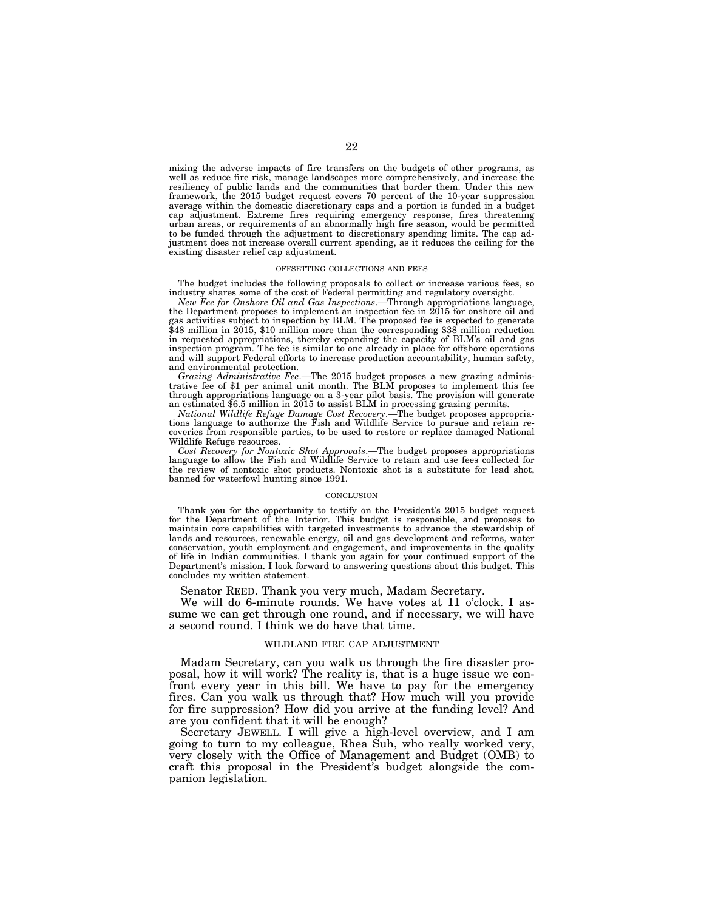mizing the adverse impacts of fire transfers on the budgets of other programs, as well as reduce fire risk, manage landscapes more comprehensively, and increase the resiliency of public lands and the communities that border them. Under this new framework, the 2015 budget request covers 70 percent of the 10-year suppression average within the domestic discretionary caps and a portion is funded in a budget cap adjustment. Extreme fires requiring emergency response, fires threatening urban areas, or requirements of an abnormally high fire season, would be permitted to be funded through the adjustment to discretionary spending limits. The cap adjustment does not increase overall current spending, as it reduces the ceiling for the existing disaster relief cap adjustment.

#### OFFSETTING COLLECTIONS AND FEES

The budget includes the following proposals to collect or increase various fees, so industry shares some of the cost of Federal permitting and regulatory oversight.

*New Fee for Onshore Oil and Gas Inspections*.—Through appropriations language, the Department proposes to implement an inspection fee in 2015 for onshore oil and gas activities subject to inspection by BLM. The proposed fee is expected to generate \$48 million in 2015, \$10 million more than the corresponding \$38 million reduction in requested appropriations, thereby expanding the capacity of BLM's oil and gas inspection program. The fee is similar to one already in place for offshore operations and will support Federal efforts to increase production accountability, human safety, and environmental protection.

*Grazing Administrative Fee*.—The 2015 budget proposes a new grazing administrative fee of \$1 per animal unit month. The BLM proposes to implement this fee through appropriations language on a 3-year pilot basis. The provision will generate an estimated \$6.5 million in 2015 to assist BLM in processing grazing permits.

*National Wildlife Refuge Damage Cost Recovery*.—The budget proposes appropriations language to authorize the Fish and Wildlife Service to pursue and retain recoveries from responsible parties, to be used to restore or replace damaged National Wildlife Refuge resources.

*Cost Recovery for Nontoxic Shot Approvals*.—The budget proposes appropriations language to allow the Fish and Wildlife Service to retain and use fees collected for the review of nontoxic shot products. Nontoxic shot is a substitute for lead shot, banned for waterfowl hunting since 1991.

#### **CONCLUSION**

Thank you for the opportunity to testify on the President's 2015 budget request for the Department of the Interior. This budget is responsible, and proposes to maintain core capabilities with targeted investments to advance the stewardship of lands and resources, renewable energy, oil and gas development and reforms, water conservation, youth employment and engagement, and improvements in the quality of life in Indian communities. I thank you again for your continued support of the Department's mission. I look forward to answering questions about this budget. This concludes my written statement.

Senator REED. Thank you very much, Madam Secretary.

We will do 6-minute rounds. We have votes at 11 o'clock. I assume we can get through one round, and if necessary, we will have a second round. I think we do have that time.

### WILDLAND FIRE CAP ADJUSTMENT

Madam Secretary, can you walk us through the fire disaster proposal, how it will work? The reality is, that is a huge issue we confront every year in this bill. We have to pay for the emergency fires. Can you walk us through that? How much will you provide for fire suppression? How did you arrive at the funding level? And are you confident that it will be enough?

Secretary JEWELL. I will give a high-level overview, and I am going to turn to my colleague, Rhea Suh, who really worked very, very closely with the Office of Management and Budget (OMB) to craft this proposal in the President's budget alongside the companion legislation.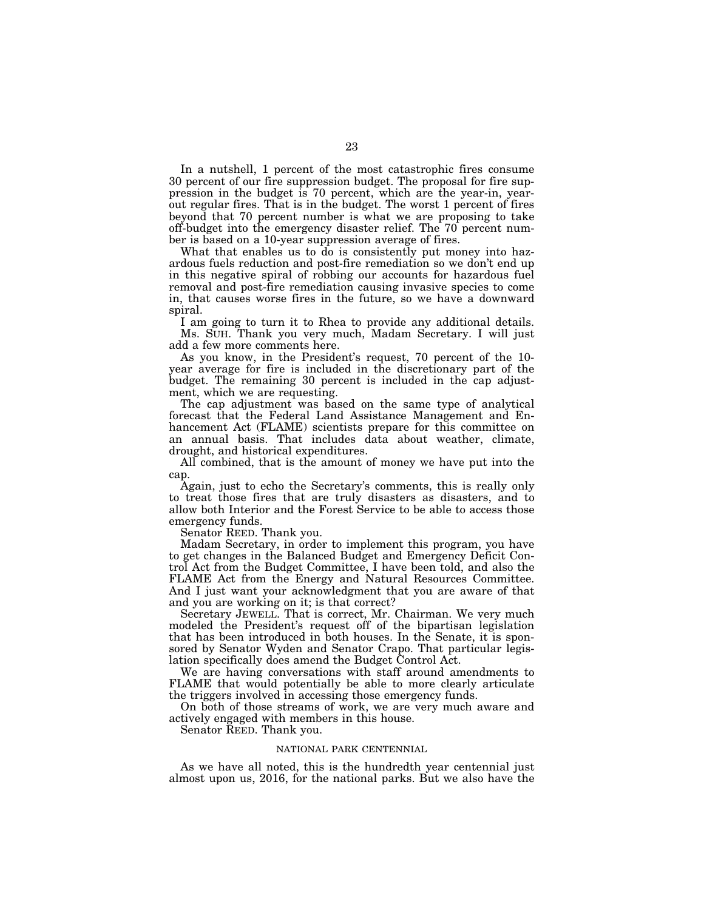In a nutshell, 1 percent of the most catastrophic fires consume 30 percent of our fire suppression budget. The proposal for fire suppression in the budget is 70 percent, which are the year-in, yearout regular fires. That is in the budget. The worst 1 percent of fires beyond that 70 percent number is what we are proposing to take off-budget into the emergency disaster relief. The 70 percent number is based on a 10-year suppression average of fires.

What that enables us to do is consistently put money into hazardous fuels reduction and post-fire remediation so we don't end up in this negative spiral of robbing our accounts for hazardous fuel removal and post-fire remediation causing invasive species to come in, that causes worse fires in the future, so we have a downward spiral.

I am going to turn it to Rhea to provide any additional details. Ms. SUH. Thank you very much, Madam Secretary. I will just add a few more comments here.

As you know, in the President's request, 70 percent of the 10 year average for fire is included in the discretionary part of the budget. The remaining 30 percent is included in the cap adjustment, which we are requesting.

The cap adjustment was based on the same type of analytical forecast that the Federal Land Assistance Management and Enhancement Act (FLAME) scientists prepare for this committee on an annual basis. That includes data about weather, climate, drought, and historical expenditures.

All combined, that is the amount of money we have put into the cap.

Again, just to echo the Secretary's comments, this is really only to treat those fires that are truly disasters as disasters, and to allow both Interior and the Forest Service to be able to access those emergency funds.

Senator REED. Thank you.

Madam Secretary, in order to implement this program, you have to get changes in the Balanced Budget and Emergency Deficit Control Act from the Budget Committee, I have been told, and also the FLAME Act from the Energy and Natural Resources Committee. And I just want your acknowledgment that you are aware of that and you are working on it; is that correct?

Secretary JEWELL. That is correct, Mr. Chairman. We very much modeled the President's request off of the bipartisan legislation that has been introduced in both houses. In the Senate, it is sponsored by Senator Wyden and Senator Crapo. That particular legislation specifically does amend the Budget Control Act.

We are having conversations with staff around amendments to FLAME that would potentially be able to more clearly articulate the triggers involved in accessing those emergency funds.

On both of those streams of work, we are very much aware and actively engaged with members in this house.

Senator REED. Thank you.

## NATIONAL PARK CENTENNIAL

As we have all noted, this is the hundredth year centennial just almost upon us, 2016, for the national parks. But we also have the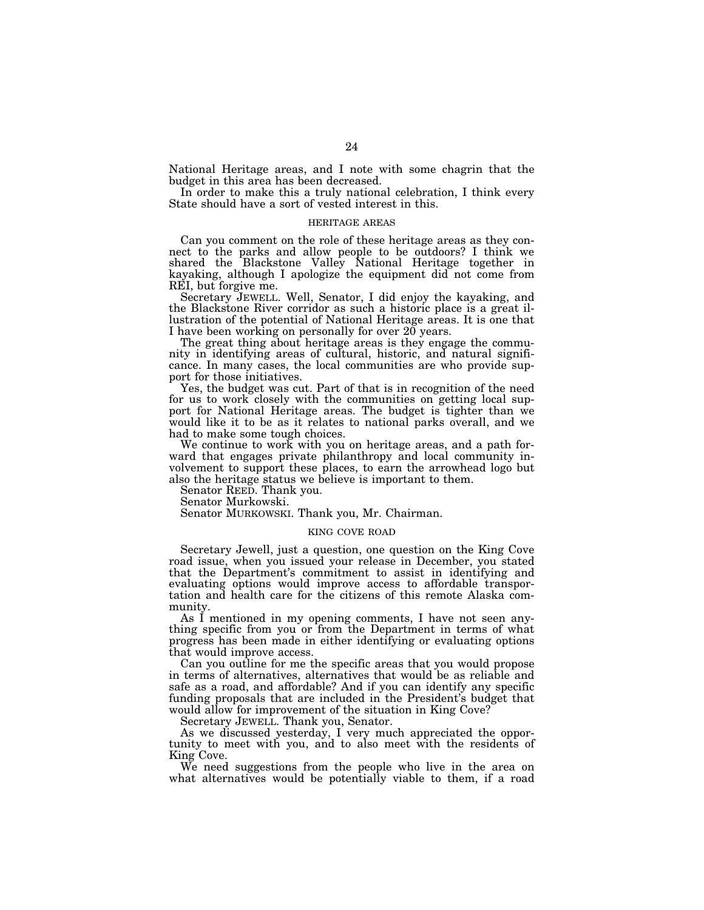National Heritage areas, and I note with some chagrin that the budget in this area has been decreased.

In order to make this a truly national celebration, I think every State should have a sort of vested interest in this.

# HERITAGE AREAS

Can you comment on the role of these heritage areas as they connect to the parks and allow people to be outdoors? I think we shared the Blackstone Valley National Heritage together in kayaking, although I apologize the equipment did not come from REI, but forgive me.

Secretary JEWELL. Well, Senator, I did enjoy the kayaking, and the Blackstone River corridor as such a historic place is a great illustration of the potential of National Heritage areas. It is one that I have been working on personally for over 20 years.

The great thing about heritage areas is they engage the community in identifying areas of cultural, historic, and natural significance. In many cases, the local communities are who provide support for those initiatives.

Yes, the budget was cut. Part of that is in recognition of the need for us to work closely with the communities on getting local support for National Heritage areas. The budget is tighter than we would like it to be as it relates to national parks overall, and we had to make some tough choices.

We continue to work with you on heritage areas, and a path forward that engages private philanthropy and local community involvement to support these places, to earn the arrowhead logo but also the heritage status we believe is important to them.

Senator REED. Thank you.

Senator Murkowski.

Senator MURKOWSKI. Thank you, Mr. Chairman.

# KING COVE ROAD

Secretary Jewell, just a question, one question on the King Cove road issue, when you issued your release in December, you stated that the Department's commitment to assist in identifying and evaluating options would improve access to affordable transportation and health care for the citizens of this remote Alaska community.

As I mentioned in my opening comments, I have not seen anything specific from you or from the Department in terms of what progress has been made in either identifying or evaluating options that would improve access.

Can you outline for me the specific areas that you would propose in terms of alternatives, alternatives that would be as reliable and safe as a road, and affordable? And if you can identify any specific funding proposals that are included in the President's budget that would allow for improvement of the situation in King Cove?

Secretary JEWELL. Thank you, Senator.

As we discussed yesterday, I very much appreciated the opportunity to meet with you, and to also meet with the residents of King Cove.

We need suggestions from the people who live in the area on what alternatives would be potentially viable to them, if a road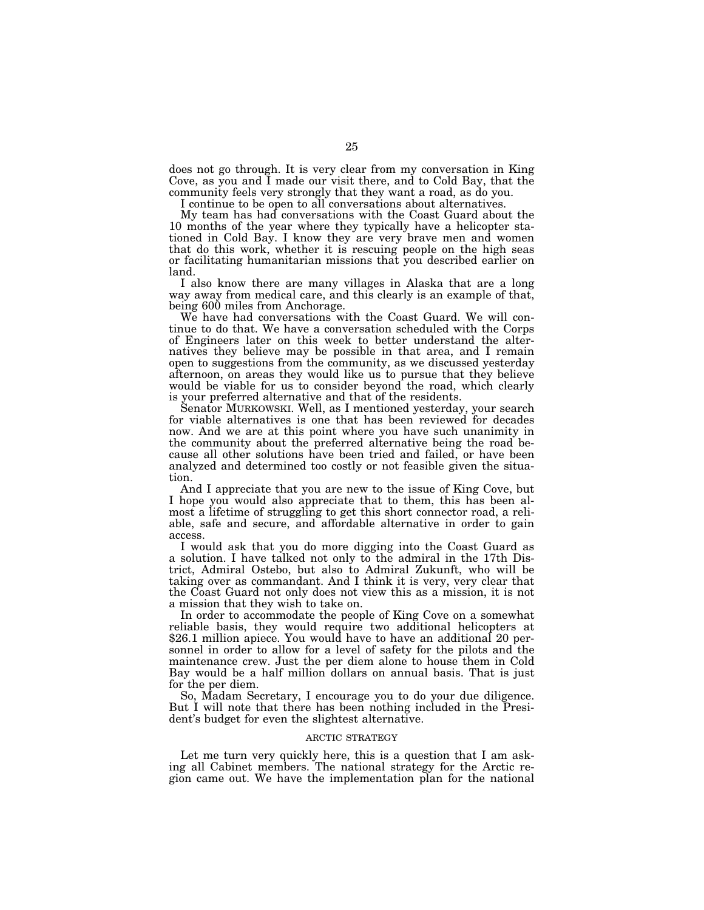does not go through. It is very clear from my conversation in King Cove, as you and I made our visit there, and to Cold Bay, that the community feels very strongly that they want a road, as do you.

I continue to be open to all conversations about alternatives.

My team has had conversations with the Coast Guard about the 10 months of the year where they typically have a helicopter stationed in Cold Bay. I know they are very brave men and women that do this work, whether it is rescuing people on the high seas or facilitating humanitarian missions that you described earlier on land.

I also know there are many villages in Alaska that are a long way away from medical care, and this clearly is an example of that, being 600 miles from Anchorage.

We have had conversations with the Coast Guard. We will continue to do that. We have a conversation scheduled with the Corps of Engineers later on this week to better understand the alternatives they believe may be possible in that area, and I remain open to suggestions from the community, as we discussed yesterday afternoon, on areas they would like us to pursue that they believe would be viable for us to consider beyond the road, which clearly is your preferred alternative and that of the residents.

Senator MURKOWSKI. Well, as I mentioned yesterday, your search for viable alternatives is one that has been reviewed for decades now. And we are at this point where you have such unanimity in the community about the preferred alternative being the road because all other solutions have been tried and failed, or have been analyzed and determined too costly or not feasible given the situation.

And I appreciate that you are new to the issue of King Cove, but I hope you would also appreciate that to them, this has been almost a lifetime of struggling to get this short connector road, a reliable, safe and secure, and affordable alternative in order to gain access.

I would ask that you do more digging into the Coast Guard as a solution. I have talked not only to the admiral in the 17th District, Admiral Ostebo, but also to Admiral Zukunft, who will be taking over as commandant. And I think it is very, very clear that the Coast Guard not only does not view this as a mission, it is not a mission that they wish to take on.

In order to accommodate the people of King Cove on a somewhat reliable basis, they would require two additional helicopters at \$26.1 million apiece. You would have to have an additional 20 personnel in order to allow for a level of safety for the pilots and the maintenance crew. Just the per diem alone to house them in Cold Bay would be a half million dollars on annual basis. That is just for the per diem.

So, Madam Secretary, I encourage you to do your due diligence. But I will note that there has been nothing included in the President's budget for even the slightest alternative.

# ARCTIC STRATEGY

Let me turn very quickly here, this is a question that I am asking all Cabinet members. The national strategy for the Arctic region came out. We have the implementation plan for the national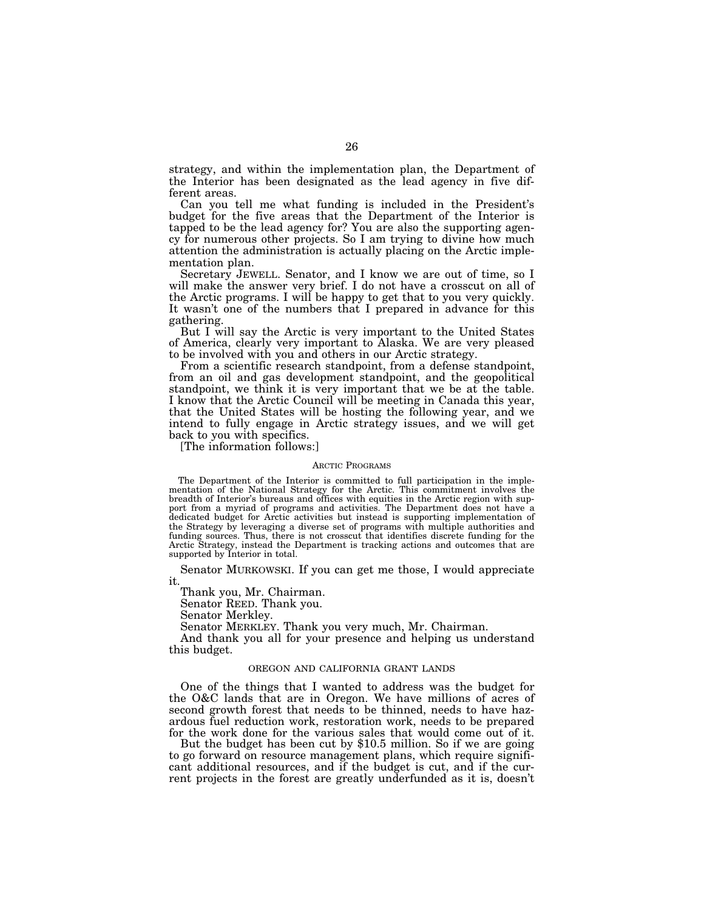strategy, and within the implementation plan, the Department of the Interior has been designated as the lead agency in five different areas.

Can you tell me what funding is included in the President's budget for the five areas that the Department of the Interior is tapped to be the lead agency for? You are also the supporting agency for numerous other projects. So I am trying to divine how much attention the administration is actually placing on the Arctic implementation plan.

Secretary JEWELL. Senator, and I know we are out of time, so I will make the answer very brief. I do not have a crosscut on all of the Arctic programs. I will be happy to get that to you very quickly. It wasn't one of the numbers that I prepared in advance for this gathering.

But I will say the Arctic is very important to the United States of America, clearly very important to Alaska. We are very pleased to be involved with you and others in our Arctic strategy.

From a scientific research standpoint, from a defense standpoint, from an oil and gas development standpoint, and the geopolitical standpoint, we think it is very important that we be at the table. I know that the Arctic Council will be meeting in Canada this year, that the United States will be hosting the following year, and we intend to fully engage in Arctic strategy issues, and we will get back to you with specifics.

[The information follows:]

#### ARCTIC PROGRAMS

The Department of the Interior is committed to full participation in the implementation of the National Strategy for the Arctic. This commitment involves the breadth of Interior's bureaus and offices with equities in the Arctic region with support from a myriad of programs and activities. The Department does not have a dedicated budget for Arctic activities but instead is supporting implementation of the Strategy by leveraging a diverse set of programs with multiple authorities and funding sources. Thus, there is not crosscut that identifies discrete funding for the Arctic Strategy, instead the Department is tracking actions and outcomes that are supported by Interior in total.

Senator MURKOWSKI. If you can get me those, I would appreciate it.

Thank you, Mr. Chairman.

Senator REED. Thank you.

Senator Merkley.

Senator MERKLEY. Thank you very much, Mr. Chairman.

And thank you all for your presence and helping us understand this budget.

# OREGON AND CALIFORNIA GRANT LANDS

One of the things that I wanted to address was the budget for the O&C lands that are in Oregon. We have millions of acres of second growth forest that needs to be thinned, needs to have hazardous fuel reduction work, restoration work, needs to be prepared for the work done for the various sales that would come out of it.

But the budget has been cut by \$10.5 million. So if we are going to go forward on resource management plans, which require significant additional resources, and if the budget is cut, and if the current projects in the forest are greatly underfunded as it is, doesn't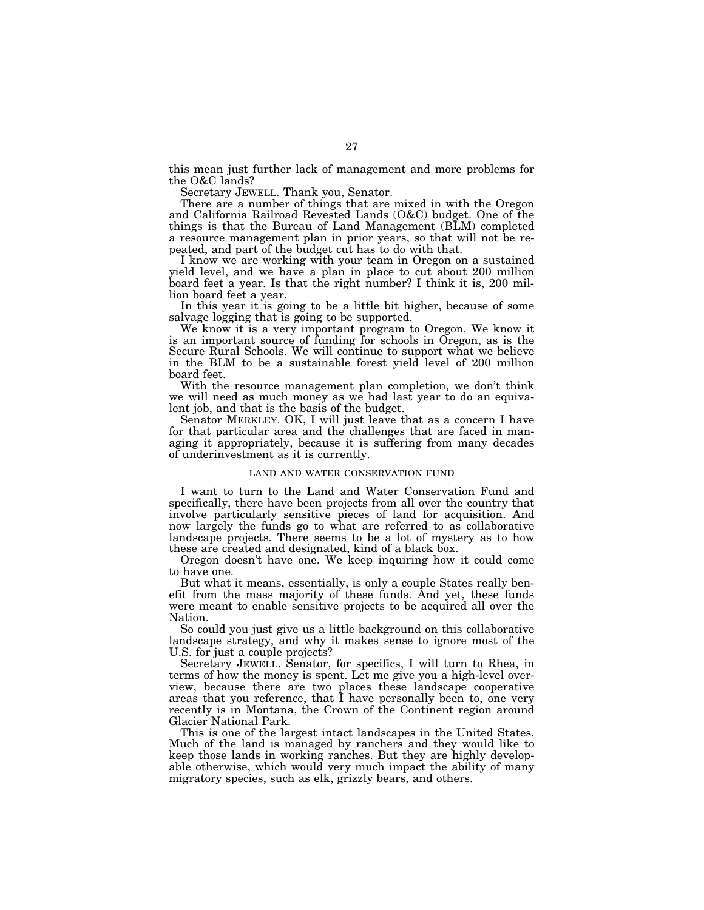this mean just further lack of management and more problems for the O&C lands?

Secretary JEWELL. Thank you, Senator.

There are a number of things that are mixed in with the Oregon and California Railroad Revested Lands (O&C) budget. One of the things is that the Bureau of Land Management (BLM) completed a resource management plan in prior years, so that will not be repeated, and part of the budget cut has to do with that.

I know we are working with your team in Oregon on a sustained yield level, and we have a plan in place to cut about 200 million board feet a year. Is that the right number? I think it is, 200 million board feet a year.

In this year it is going to be a little bit higher, because of some salvage logging that is going to be supported.

We know it is a very important program to Oregon. We know it is an important source of funding for schools in Oregon, as is the Secure Rural Schools. We will continue to support what we believe in the BLM to be a sustainable forest yield level of 200 million board feet.

With the resource management plan completion, we don't think we will need as much money as we had last year to do an equivalent job, and that is the basis of the budget.

Senator MERKLEY. OK, I will just leave that as a concern I have for that particular area and the challenges that are faced in managing it appropriately, because it is suffering from many decades of underinvestment as it is currently.

# LAND AND WATER CONSERVATION FUND

I want to turn to the Land and Water Conservation Fund and specifically, there have been projects from all over the country that involve particularly sensitive pieces of land for acquisition. And now largely the funds go to what are referred to as collaborative landscape projects. There seems to be a lot of mystery as to how these are created and designated, kind of a black box.

Oregon doesn't have one. We keep inquiring how it could come to have one.

But what it means, essentially, is only a couple States really benefit from the mass majority of these funds. And yet, these funds were meant to enable sensitive projects to be acquired all over the Nation.

So could you just give us a little background on this collaborative landscape strategy, and why it makes sense to ignore most of the U.S. for just a couple projects?

Secretary JEWELL. Senator, for specifics, I will turn to Rhea, in terms of how the money is spent. Let me give you a high-level overview, because there are two places these landscape cooperative areas that you reference, that I have personally been to, one very recently is in Montana, the Crown of the Continent region around Glacier National Park.

This is one of the largest intact landscapes in the United States. Much of the land is managed by ranchers and they would like to keep those lands in working ranches. But they are highly developable otherwise, which would very much impact the ability of many migratory species, such as elk, grizzly bears, and others.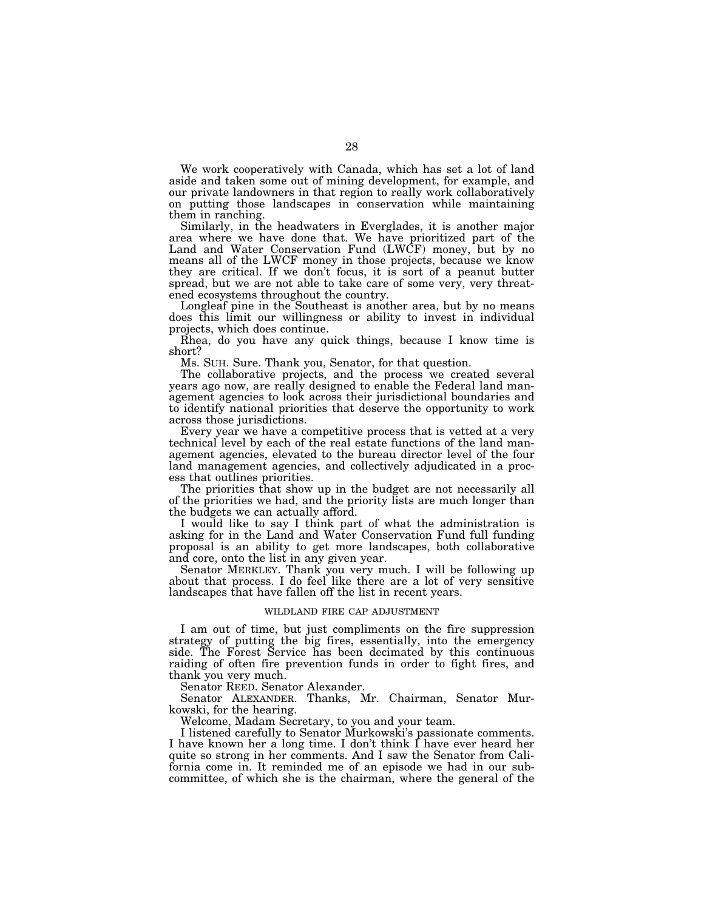We work cooperatively with Canada, which has set a lot of land aside and taken some out of mining development, for example, and our private landowners in that region to really work collaboratively on putting those landscapes in conservation while maintaining them in ranching.

Similarly, in the headwaters in Everglades, it is another major area where we have done that. We have prioritized part of the Land and Water Conservation Fund (LWCF) money, but by no means all of the LWCF money in those projects, because we know they are critical. If we don't focus, it is sort of a peanut butter spread, but we are not able to take care of some very, very threatened ecosystems throughout the country.

Longleaf pine in the Southeast is another area, but by no means does this limit our willingness or ability to invest in individual projects, which does continue.

Rhea, do you have any quick things, because I know time is short?

Ms. SUH. Sure. Thank you, Senator, for that question.

The collaborative projects, and the process we created several years ago now, are really designed to enable the Federal land management agencies to look across their jurisdictional boundaries and to identify national priorities that deserve the opportunity to work across those jurisdictions.

Every year we have a competitive process that is vetted at a very technical level by each of the real estate functions of the land management agencies, elevated to the bureau director level of the four land management agencies, and collectively adjudicated in a process that outlines priorities.

The priorities that show up in the budget are not necessarily all of the priorities we had, and the priority lists are much longer than the budgets we can actually afford.

I would like to say I think part of what the administration is asking for in the Land and Water Conservation Fund full funding proposal is an ability to get more landscapes, both collaborative and core, onto the list in any given year.

Senator MERKLEY. Thank you very much. I will be following up about that process. I do feel like there are a lot of very sensitive landscapes that have fallen off the list in recent years.

# WILDLAND FIRE CAP ADJUSTMENT

I am out of time, but just compliments on the fire suppression strategy of putting the big fires, essentially, into the emergency side. The Forest Service has been decimated by this continuous raiding of often fire prevention funds in order to fight fires, and thank you very much.

Senator REED. Senator Alexander.

Senator ALEXANDER. Thanks, Mr. Chairman, Senator Murkowski, for the hearing.

Welcome, Madam Secretary, to you and your team.

I listened carefully to Senator Murkowski's passionate comments. I have known her a long time. I don't think I have ever heard her quite so strong in her comments. And I saw the Senator from California come in. It reminded me of an episode we had in our subcommittee, of which she is the chairman, where the general of the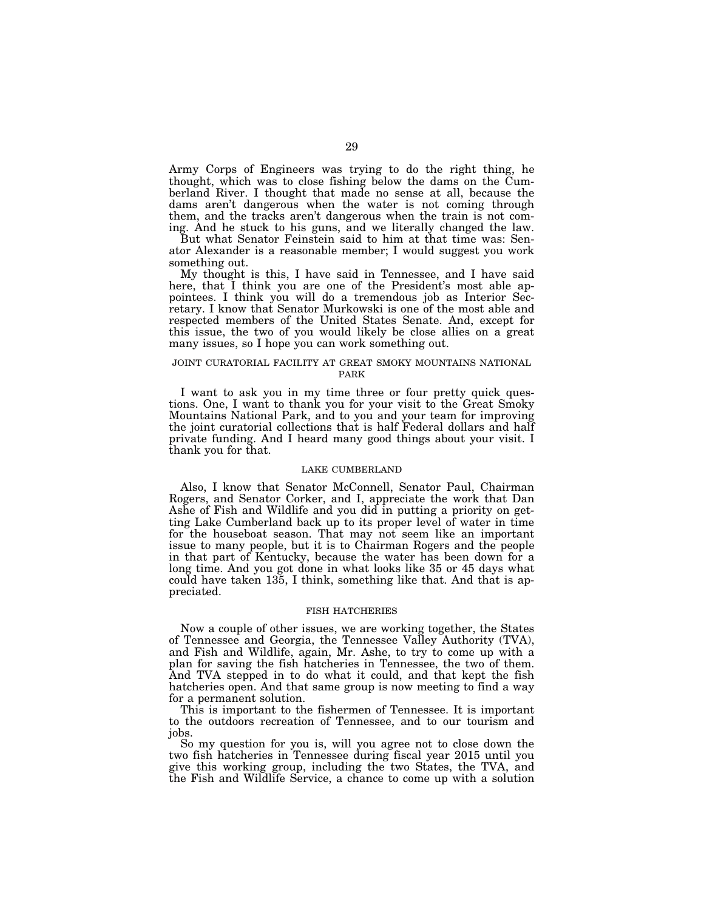Army Corps of Engineers was trying to do the right thing, he thought, which was to close fishing below the dams on the Cumberland River. I thought that made no sense at all, because the dams aren't dangerous when the water is not coming through them, and the tracks aren't dangerous when the train is not coming. And he stuck to his guns, and we literally changed the law.

But what Senator Feinstein said to him at that time was: Senator Alexander is a reasonable member; I would suggest you work something out.

My thought is this, I have said in Tennessee, and I have said here, that I think you are one of the President's most able appointees. I think you will do a tremendous job as Interior Secretary. I know that Senator Murkowski is one of the most able and respected members of the United States Senate. And, except for this issue, the two of you would likely be close allies on a great many issues, so I hope you can work something out.

# JOINT CURATORIAL FACILITY AT GREAT SMOKY MOUNTAINS NATIONAL PARK

I want to ask you in my time three or four pretty quick questions. One, I want to thank you for your visit to the Great Smoky Mountains National Park, and to you and your team for improving the joint curatorial collections that is half Federal dollars and half private funding. And I heard many good things about your visit. I thank you for that.

### LAKE CUMBERLAND

Also, I know that Senator McConnell, Senator Paul, Chairman Rogers, and Senator Corker, and I, appreciate the work that Dan Ashe of Fish and Wildlife and you did in putting a priority on getting Lake Cumberland back up to its proper level of water in time for the houseboat season. That may not seem like an important issue to many people, but it is to Chairman Rogers and the people in that part of Kentucky, because the water has been down for a long time. And you got done in what looks like 35 or 45 days what could have taken 135, I think, something like that. And that is appreciated.

### FISH HATCHERIES

Now a couple of other issues, we are working together, the States of Tennessee and Georgia, the Tennessee Valley Authority (TVA), and Fish and Wildlife, again, Mr. Ashe, to try to come up with a plan for saving the fish hatcheries in Tennessee, the two of them. And TVA stepped in to do what it could, and that kept the fish hatcheries open. And that same group is now meeting to find a way for a permanent solution.

This is important to the fishermen of Tennessee. It is important to the outdoors recreation of Tennessee, and to our tourism and jobs.

So my question for you is, will you agree not to close down the two fish hatcheries in Tennessee during fiscal year 2015 until you give this working group, including the two States, the TVA, and the Fish and Wildlife Service, a chance to come up with a solution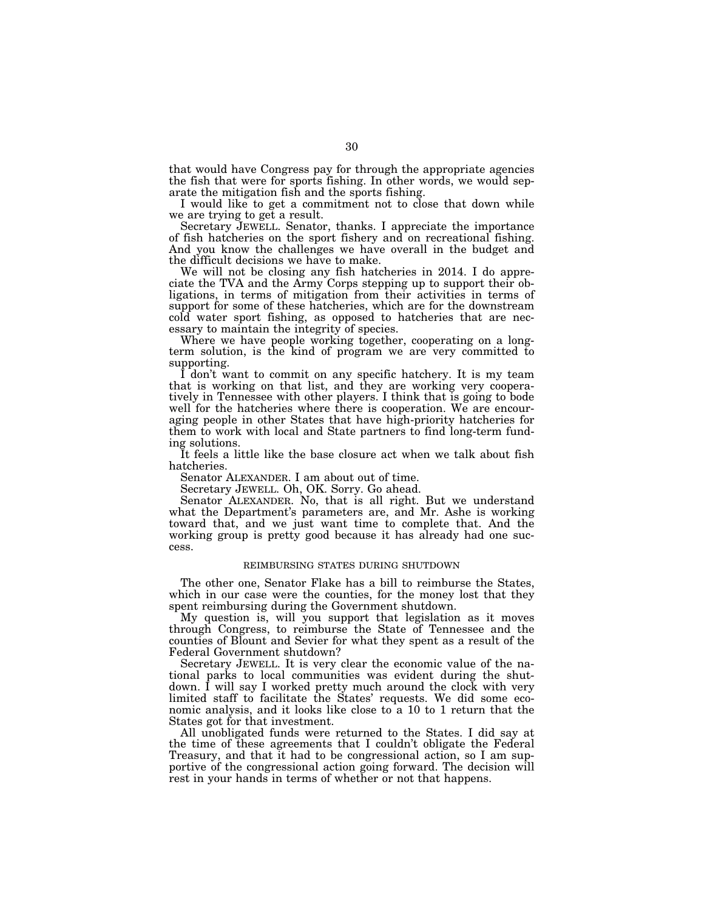that would have Congress pay for through the appropriate agencies the fish that were for sports fishing. In other words, we would separate the mitigation fish and the sports fishing.

I would like to get a commitment not to close that down while we are trying to get a result.

Secretary JEWELL. Senator, thanks. I appreciate the importance of fish hatcheries on the sport fishery and on recreational fishing. And you know the challenges we have overall in the budget and the difficult decisions we have to make.

We will not be closing any fish hatcheries in 2014. I do appreciate the TVA and the Army Corps stepping up to support their obligations, in terms of mitigation from their activities in terms of support for some of these hatcheries, which are for the downstream cold water sport fishing, as opposed to hatcheries that are necessary to maintain the integrity of species.

Where we have people working together, cooperating on a longterm solution, is the kind of program we are very committed to supporting.

I don't want to commit on any specific hatchery. It is my team that is working on that list, and they are working very cooperatively in Tennessee with other players. I think that is going to bode well for the hatcheries where there is cooperation. We are encouraging people in other States that have high-priority hatcheries for them to work with local and State partners to find long-term funding solutions.

It feels a little like the base closure act when we talk about fish hatcheries.

Senator ALEXANDER. I am about out of time.

Secretary JEWELL. Oh, OK. Sorry. Go ahead.

Senator ALEXANDER. No, that is all right. But we understand what the Department's parameters are, and Mr. Ashe is working toward that, and we just want time to complete that. And the working group is pretty good because it has already had one success.

### REIMBURSING STATES DURING SHUTDOWN

The other one, Senator Flake has a bill to reimburse the States, which in our case were the counties, for the money lost that they spent reimbursing during the Government shutdown.

My question is, will you support that legislation as it moves through Congress, to reimburse the State of Tennessee and the counties of Blount and Sevier for what they spent as a result of the Federal Government shutdown?

Secretary JEWELL. It is very clear the economic value of the national parks to local communities was evident during the shutdown. I will say I worked pretty much around the clock with very limited staff to facilitate the States' requests. We did some economic analysis, and it looks like close to a 10 to 1 return that the States got for that investment.

All unobligated funds were returned to the States. I did say at the time of these agreements that I couldn't obligate the Federal Treasury, and that it had to be congressional action, so I am supportive of the congressional action going forward. The decision will rest in your hands in terms of whether or not that happens.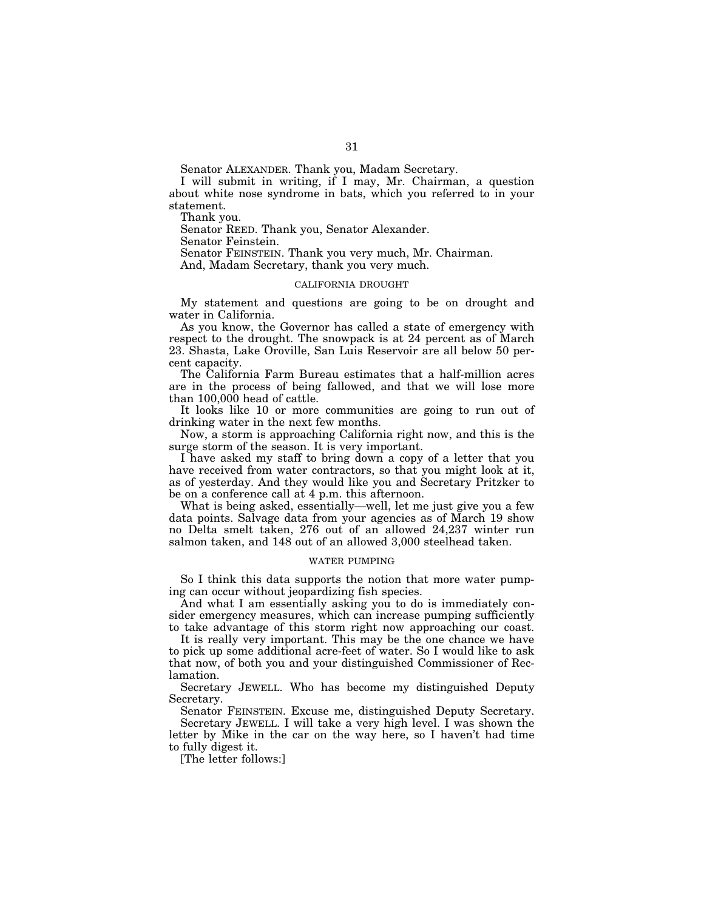Senator ALEXANDER. Thank you, Madam Secretary.

I will submit in writing, if I may, Mr. Chairman, a question about white nose syndrome in bats, which you referred to in your statement.

Thank you.

Senator REED. Thank you, Senator Alexander.

Senator Feinstein.

Senator FEINSTEIN. Thank you very much, Mr. Chairman. And, Madam Secretary, thank you very much.

### CALIFORNIA DROUGHT

My statement and questions are going to be on drought and water in California.

As you know, the Governor has called a state of emergency with respect to the drought. The snowpack is at 24 percent as of March 23. Shasta, Lake Oroville, San Luis Reservoir are all below 50 percent capacity.

The California Farm Bureau estimates that a half-million acres are in the process of being fallowed, and that we will lose more than 100,000 head of cattle.

It looks like 10 or more communities are going to run out of drinking water in the next few months.

Now, a storm is approaching California right now, and this is the surge storm of the season. It is very important.

I have asked my staff to bring down a copy of a letter that you have received from water contractors, so that you might look at it, as of yesterday. And they would like you and Secretary Pritzker to be on a conference call at 4 p.m. this afternoon.

What is being asked, essentially—well, let me just give you a few data points. Salvage data from your agencies as of March 19 show no Delta smelt taken, 276 out of an allowed 24,237 winter run salmon taken, and 148 out of an allowed 3,000 steelhead taken.

# WATER PUMPING

So I think this data supports the notion that more water pumping can occur without jeopardizing fish species.

And what I am essentially asking you to do is immediately consider emergency measures, which can increase pumping sufficiently to take advantage of this storm right now approaching our coast.

It is really very important. This may be the one chance we have to pick up some additional acre-feet of water. So I would like to ask that now, of both you and your distinguished Commissioner of Reclamation.

Secretary JEWELL. Who has become my distinguished Deputy Secretary.

Senator FEINSTEIN. Excuse me, distinguished Deputy Secretary. Secretary JEWELL. I will take a very high level. I was shown the letter by Mike in the car on the way here, so I haven't had time to fully digest it.

[The letter follows:]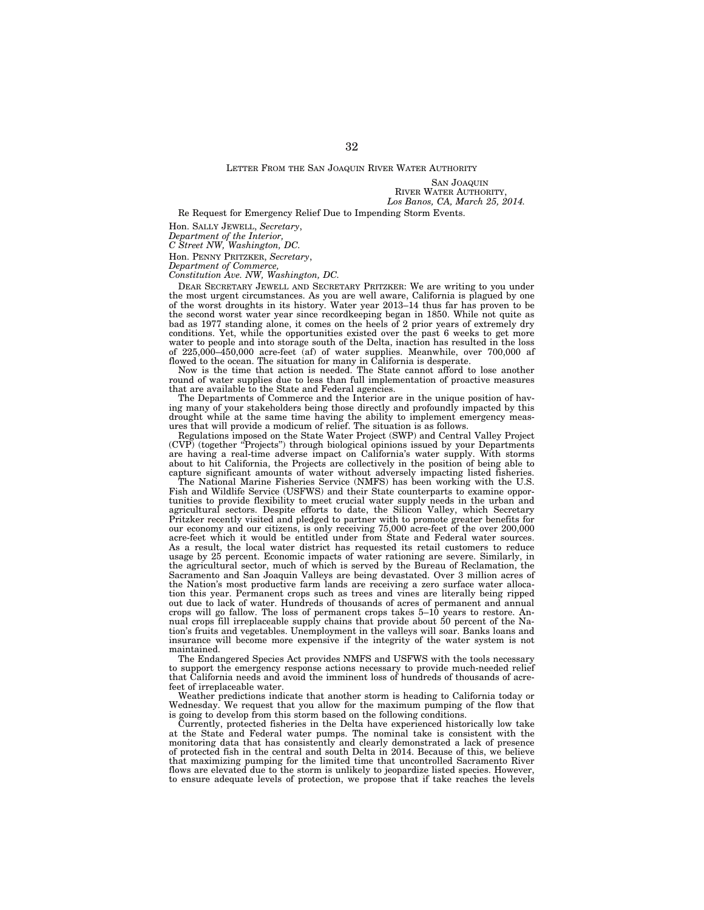SAN JOAQUIN RIVER WATER AUTHORITY, *Los Banos, CA, March 25, 2014.* 

Re Request for Emergency Relief Due to Impending Storm Events.

Hon. SALLY JEWELL, *Secretary*,

*Department of the Interior,* 

*C Street NW, Washington, DC.* 

Hon. PENNY PRITZKER, *Secretary*,

*Department of Commerce,* 

*Constitution Ave. NW, Washington, DC.* 

DEAR SECRETARY JEWELL AND SECRETARY PRITZKER: We are writing to you under the most urgent circumstances. As you are well aware, California is plagued by one of the worst droughts in its history. Water year 2013–14 thus far has proven to be the second worst water year since recordkeeping began in 1850. While not quite as bad as 1977 standing alone, it comes on the heels of 2 prior years of extremely dry conditions. Yet, while the opportunities existed over the past 6 weeks to get more water to people and into storage south of the Delta, inaction has resulted in the loss of 225,000–450,000 acre-feet (af) of water supplies. Meanwhile, over 700,000 af flowed to the ocean. The situation for many in California is desperate.

Now is the time that action is needed. The State cannot afford to lose another round of water supplies due to less than full implementation of proactive measures that are available to the State and Federal agencies.

The Departments of Commerce and the Interior are in the unique position of having many of your stakeholders being those directly and profoundly impacted by this drought while at the same time having the ability to implement emergency measures that will provide a modicum of relief. The situation is as follows.

Regulations imposed on the State Water Project (SWP) and Central Valley Project (CVP) (together ''Projects'') through biological opinions issued by your Departments are having a real-time adverse impact on California's water supply. With storms about to hit California, the Projects are collectively in the position of being able to capture significant amounts of water without adversely impacting listed fisheries.

The National Marine Fisheries Service (NMFS) has been working with the U.S. Fish and Wildlife Service (USFWS) and their State counterparts to examine opportunities to provide flexibility to meet crucial water supply needs in the urban and agricultural sectors. Despite efforts to date, the Silicon Valley, which Secretary Pritzker recently visited and pledged to partner with to promote greater benefits for our economy and our citizens, is only receiving 75,000 acre-feet of the over 200,000 acre-feet which it would be entitled under from State and Federal water sources. As a result, the local water district has requested its retail customers to reduce usage by 25 percent. Economic impacts of water rationing are severe. Similarly, in the agricultural sector, much of which is served by the Bureau of Reclamation, the Sacramento and San Joaquin Valleys are being devastated. Over 3 million acres of the Nation's most productive farm lands are receiving a zero surface water allocation this year. Permanent crops such as trees and vines are literally being ripped out due to lack of water. Hundreds of thousands of acres of permanent and annual crops will go fallow. The loss of permanent crops takes  $5-10$  years to restore. Annual crops fill irreplaceable supply chains that provide about 50 percent of the Nation's fruits and vegetables. Unemployment in the valleys will soar. Banks loans and insurance will become more expensive if the integrity of the water system is not maintained.

The Endangered Species Act provides NMFS and USFWS with the tools necessary to support the emergency response actions necessary to provide much-needed relief that California needs and avoid the imminent loss of hundreds of thousands of acrefeet of irreplaceable water.

Weather predictions indicate that another storm is heading to California today or Wednesday. We request that you allow for the maximum pumping of the flow that is going to develop from this storm based on the following conditions.

Currently, protected fisheries in the Delta have experienced historically low take at the State and Federal water pumps. The nominal take is consistent with the monitoring data that has consistently and clearly demonstrated a lack of presence of protected fish in the central and south Delta in 2014. Because of this, we believe that maximizing pumping for the limited time that uncontrolled Sacramento River flows are elevated due to the storm is unlikely to jeopardize listed species. However, to ensure adequate levels of protection, we propose that if take reaches the levels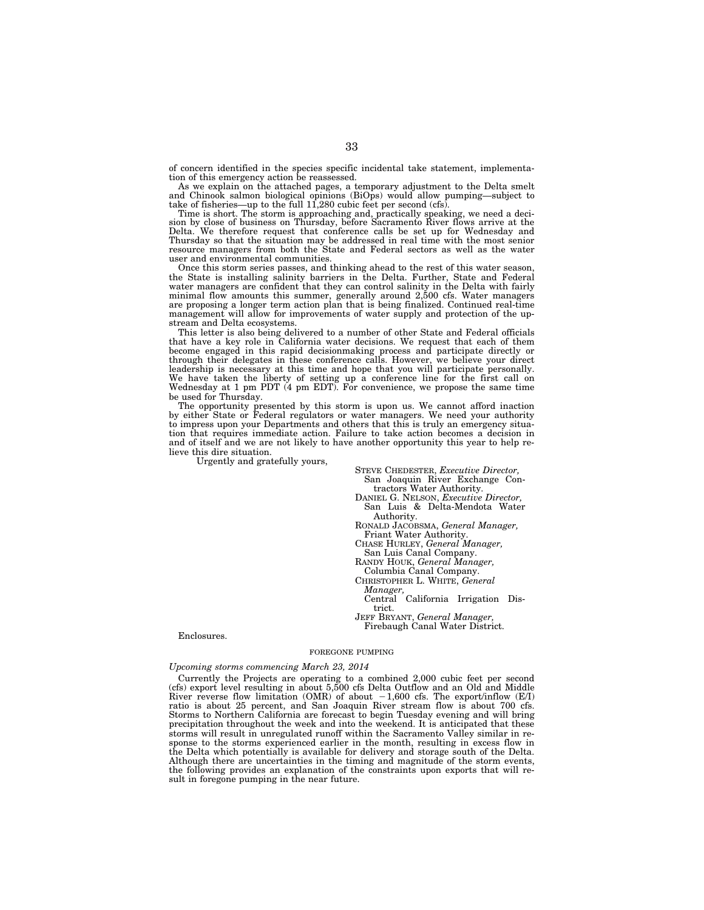of concern identified in the species specific incidental take statement, implementation of this emergency action be reassessed.

As we explain on the attached pages, a temporary adjustment to the Delta smelt<br>and Chinook salmon biological opinions (BiOps) would allow pumping—subject to<br>take of fisheries—up to the full 11,280 cubic feet per second (cf

Time is short. The storm is approaching and, practically speaking, we need a deci-sion by close of business on Thursday, before Sacramento River flows arrive at the Delta. We therefore request that conference calls be set up for Wednesday and Thursday so that the situation may be addressed in real time with the most senior resource managers from both the State and Federal sectors as well as the water user and environmental communities.

Once this storm series passes, and thinking ahead to the rest of this water season, the State is installing salinity barriers in the Delta. Further, State and Federal water managers are confident that they can control salinity in the Delta with fairly minimal flow amounts this summer, generally around 2,500 cfs. Water managers are proposing a longer term action plan that is being finalized. Continued real-time management will allow for improvements of water supply and protection of the upstream and Delta ecosystems.

This letter is also being delivered to a number of other State and Federal officials that have a key role in California water decisions. We request that each of them become engaged in this rapid decisionmaking process and participate directly or through their delegates in these conference calls. However, we believe your direct leadership is necessary at this time and hope that you will participate personally. We have taken the liberty of setting up a conference line for the first call on Wednesday at 1 pm PDT (4 pm EDT). For convenience, we propose the same time be used for Thursday.

The opportunity presented by this storm is upon us. We cannot afford inaction by either State or Federal regulators or water managers. We need your authority to impress upon your Departments and others that this is truly an emergency situation that requires immediate action. Failure to take action becomes a decision in and of itself and we are not likely to have another opportunity this year to help relieve this dire situation.

Urgently and gratefully yours,

STEVE CHEDESTER, *Executive Director,*  San Joaquin River Exchange Con-

tractors Water Authority. DANIEL G. NELSON, *Executive Director,*  San Luis & Delta-Mendota Water Authority.

RONALD JACOBSMA, *General Manager,*  Friant Water Authority.

CHASE HURLEY, *General Manager,*  San Luis Canal Company.

RANDY HOUK, *General Manager,* 

Columbia Canal Company.

CHRISTOPHER L. WHITE, *General Manager,* 

Central California Irrigation District.

JEFF BRYANT, *General Manager,*  Firebaugh Canal Water District.

#### Enclosures.

#### FOREGONE PUMPING

### *Upcoming storms commencing March 23, 2014*

Currently the Projects are operating to a combined 2,000 cubic feet per second (cfs) export level resulting in about 5,500 cfs Delta Outflow and an Old and Middle River reverse flow limitation (OMR) of about  $-1,600$  cfs. The export/inflow (E/I) ratio is about 25 percent, and San Joaquin River stream flow is about 700 cfs. Storms to Northern California are forecast to begin Tuesday evening and will bring precipitation throughout the week and into the weekend. It is anticipated that these storms will result in unregulated runoff within the Sacramento Valley similar in response to the storms experienced earlier in the month, resulting in excess flow in the Delta which potentially is available for delivery and storage south of the Delta. Although there are uncertainties in the timing and magnitude of the storm events, the following provides an explanation of the constraints upon exports that will result in foregone pumping in the near future.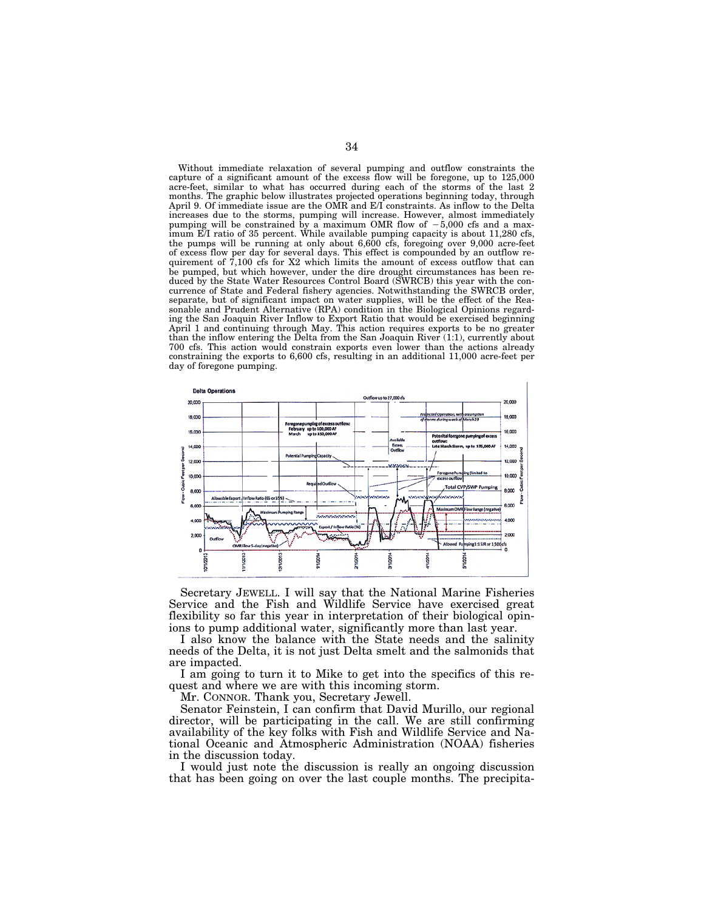Without immediate relaxation of several pumping and outflow constraints the capture of a significant amount of the excess flow will be foregone, up to 125,000 acre-feet, similar to what has occurred during each of the storms of the last 2 months. The graphic below illustrates projected operations beginning today, through April 9. Of immediate issue are the OMR and E/I constraints. As inflow to the Delta increases due to the storms, pumping will increase. However, almost immediately pumping will be constrained by a maximum OMR flow of  $-5,000$  cfs and a maximum E/I ratio of 35 percent. While available pumping capacity is about 11,280 cfs, the pumps will be running at only about 6,600 cfs, foregoing over 9,000 acre-feet of excess flow per day for several days. This effect is compounded by an outflow requirement of  $\bar{7}$ ,100 cfs for X2 which limits the amount of excess outflow that can be pumped, but which however, under the dire drought circumstances has been reduced by the State Water Resources Control Board (SWRCB) this year with the concurrence of State and Federal fishery agencies. Notwithstanding the SWRCB order, separate, but of significant impact on water supplies, will be the effect of the Reasonable and Prudent Alternative (RPA) condition in the Biological Opinions regarding the San Joaquin River Inflow to Export Ratio that would be exercised beginning April 1 and continuing through May. This action requires exports to be no greater than the inflow entering the Delta from the San Joaquin River (1:1), currently about 700 cfs. This action would constrain exports even lower than the actions already constraining the exports to 6,600 cfs, resulting in an additional 11,000 acre-feet per day of foregone pumping.



Secretary JEWELL. I will say that the National Marine Fisheries Service and the Fish and Wildlife Service have exercised great flexibility so far this year in interpretation of their biological opinions to pump additional water, significantly more than last year.

I also know the balance with the State needs and the salinity needs of the Delta, it is not just Delta smelt and the salmonids that are impacted.

I am going to turn it to Mike to get into the specifics of this request and where we are with this incoming storm.

Mr. CONNOR. Thank you, Secretary Jewell.

Senator Feinstein, I can confirm that David Murillo, our regional director, will be participating in the call. We are still confirming availability of the key folks with Fish and Wildlife Service and National Oceanic and Atmospheric Administration (NOAA) fisheries in the discussion today.

I would just note the discussion is really an ongoing discussion that has been going on over the last couple months. The precipita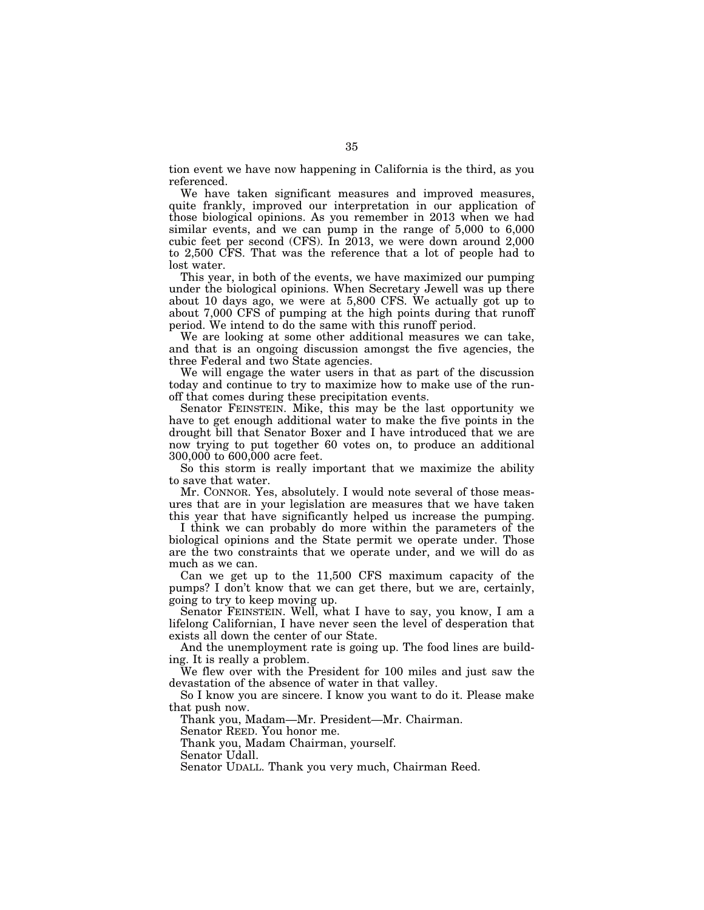tion event we have now happening in California is the third, as you referenced.

We have taken significant measures and improved measures, quite frankly, improved our interpretation in our application of those biological opinions. As you remember in 2013 when we had similar events, and we can pump in the range of 5,000 to 6,000 cubic feet per second (CFS). In 2013, we were down around 2,000 to 2,500 CFS. That was the reference that a lot of people had to lost water.

This year, in both of the events, we have maximized our pumping under the biological opinions. When Secretary Jewell was up there about 10 days ago, we were at 5,800 CFS. We actually got up to about 7,000 CFS of pumping at the high points during that runoff period. We intend to do the same with this runoff period.

We are looking at some other additional measures we can take, and that is an ongoing discussion amongst the five agencies, the three Federal and two State agencies.

We will engage the water users in that as part of the discussion today and continue to try to maximize how to make use of the runoff that comes during these precipitation events.

Senator FEINSTEIN. Mike, this may be the last opportunity we have to get enough additional water to make the five points in the drought bill that Senator Boxer and I have introduced that we are now trying to put together 60 votes on, to produce an additional 300,000 to 600,000 acre feet.

So this storm is really important that we maximize the ability to save that water.

Mr. CONNOR. Yes, absolutely. I would note several of those measures that are in your legislation are measures that we have taken this year that have significantly helped us increase the pumping.

I think we can probably do more within the parameters of the biological opinions and the State permit we operate under. Those are the two constraints that we operate under, and we will do as much as we can.

Can we get up to the 11,500 CFS maximum capacity of the pumps? I don't know that we can get there, but we are, certainly, going to try to keep moving up.

Senator FEINSTEIN. Well, what I have to say, you know, I am a lifelong Californian, I have never seen the level of desperation that exists all down the center of our State.

And the unemployment rate is going up. The food lines are building. It is really a problem.

We flew over with the President for 100 miles and just saw the devastation of the absence of water in that valley.

So I know you are sincere. I know you want to do it. Please make that push now.

Thank you, Madam—Mr. President—Mr. Chairman.

Senator REED. You honor me.

Thank you, Madam Chairman, yourself.

Senator Udall.

Senator UDALL. Thank you very much, Chairman Reed.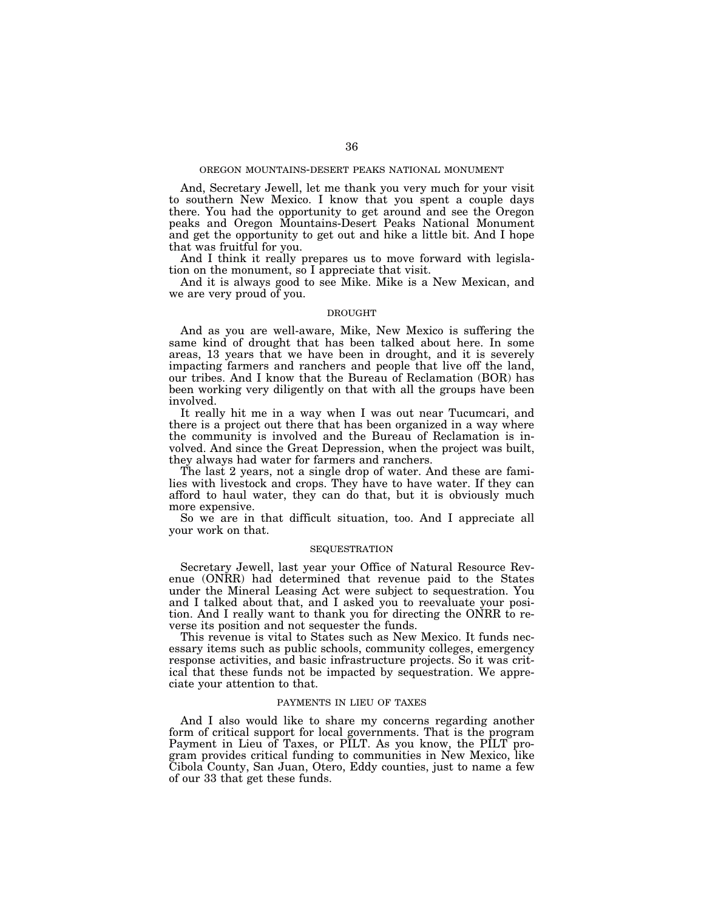# OREGON MOUNTAINS-DESERT PEAKS NATIONAL MONUMENT

And, Secretary Jewell, let me thank you very much for your visit to southern New Mexico. I know that you spent a couple days there. You had the opportunity to get around and see the Oregon peaks and Oregon Mountains-Desert Peaks National Monument and get the opportunity to get out and hike a little bit. And I hope that was fruitful for you.

And I think it really prepares us to move forward with legislation on the monument, so I appreciate that visit.

And it is always good to see Mike. Mike is a New Mexican, and we are very proud of you.

# DROUGHT

And as you are well-aware, Mike, New Mexico is suffering the same kind of drought that has been talked about here. In some areas, 13 years that we have been in drought, and it is severely impacting farmers and ranchers and people that live off the land, our tribes. And I know that the Bureau of Reclamation (BOR) has been working very diligently on that with all the groups have been involved.

It really hit me in a way when I was out near Tucumcari, and there is a project out there that has been organized in a way where the community is involved and the Bureau of Reclamation is involved. And since the Great Depression, when the project was built, they always had water for farmers and ranchers.

The last 2 years, not a single drop of water. And these are families with livestock and crops. They have to have water. If they can afford to haul water, they can do that, but it is obviously much more expensive.

So we are in that difficult situation, too. And I appreciate all your work on that.

# **SEQUESTRATION**

Secretary Jewell, last year your Office of Natural Resource Revenue (ONRR) had determined that revenue paid to the States under the Mineral Leasing Act were subject to sequestration. You and I talked about that, and I asked you to reevaluate your position. And I really want to thank you for directing the ONRR to reverse its position and not sequester the funds.

This revenue is vital to States such as New Mexico. It funds necessary items such as public schools, community colleges, emergency response activities, and basic infrastructure projects. So it was critical that these funds not be impacted by sequestration. We appreciate your attention to that.

# PAYMENTS IN LIEU OF TAXES

And I also would like to share my concerns regarding another form of critical support for local governments. That is the program Payment in Lieu of Taxes, or PILT. As you know, the PILT program provides critical funding to communities in New Mexico, like Cibola County, San Juan, Otero, Eddy counties, just to name a few of our 33 that get these funds.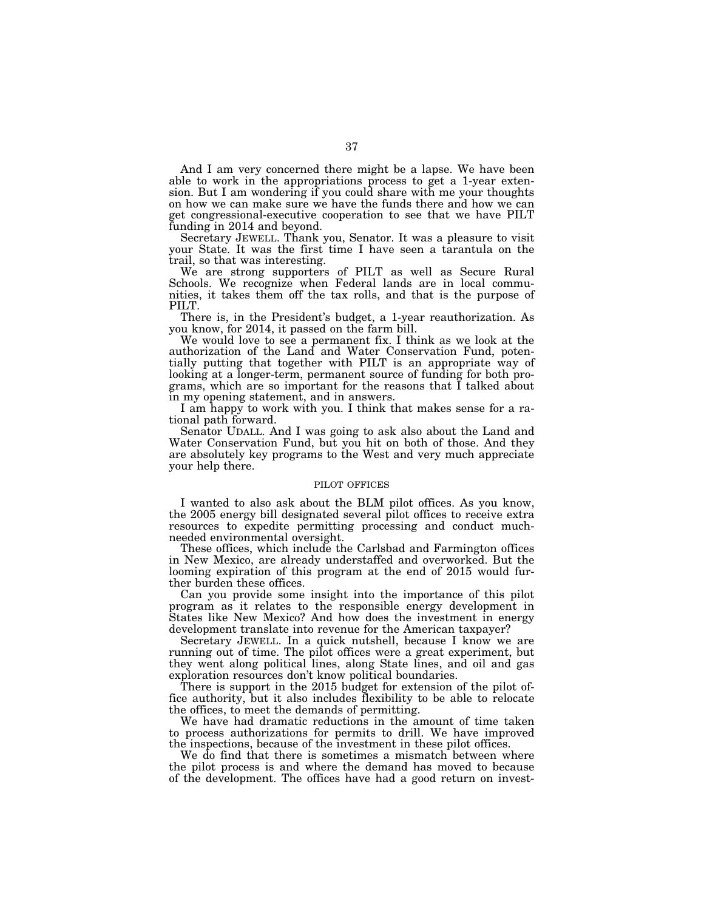And I am very concerned there might be a lapse. We have been able to work in the appropriations process to get a 1-year extension. But I am wondering if you could share with me your thoughts on how we can make sure we have the funds there and how we can get congressional-executive cooperation to see that we have PILT funding in 2014 and beyond.

Secretary JEWELL. Thank you, Senator. It was a pleasure to visit your State. It was the first time I have seen a tarantula on the trail, so that was interesting.

We are strong supporters of PILT as well as Secure Rural Schools. We recognize when Federal lands are in local communities, it takes them off the tax rolls, and that is the purpose of PILT.

There is, in the President's budget, a 1-year reauthorization. As you know, for 2014, it passed on the farm bill.

We would love to see a permanent fix. I think as we look at the authorization of the Land and Water Conservation Fund, potentially putting that together with PILT is an appropriate way of looking at a longer-term, permanent source of funding for both programs, which are so important for the reasons that I talked about in my opening statement, and in answers.

I am happy to work with you. I think that makes sense for a rational path forward.

Senator UDALL. And I was going to ask also about the Land and Water Conservation Fund, but you hit on both of those. And they are absolutely key programs to the West and very much appreciate your help there.

# PILOT OFFICES

I wanted to also ask about the BLM pilot offices. As you know, the 2005 energy bill designated several pilot offices to receive extra resources to expedite permitting processing and conduct muchneeded environmental oversight.

These offices, which include the Carlsbad and Farmington offices in New Mexico, are already understaffed and overworked. But the looming expiration of this program at the end of 2015 would further burden these offices.

Can you provide some insight into the importance of this pilot program as it relates to the responsible energy development in States like New Mexico? And how does the investment in energy development translate into revenue for the American taxpayer?

Secretary JEWELL. In a quick nutshell, because I know we are running out of time. The pilot offices were a great experiment, but they went along political lines, along State lines, and oil and gas exploration resources don't know political boundaries.

There is support in the 2015 budget for extension of the pilot office authority, but it also includes flexibility to be able to relocate the offices, to meet the demands of permitting.

We have had dramatic reductions in the amount of time taken to process authorizations for permits to drill. We have improved the inspections, because of the investment in these pilot offices.

We do find that there is sometimes a mismatch between where the pilot process is and where the demand has moved to because of the development. The offices have had a good return on invest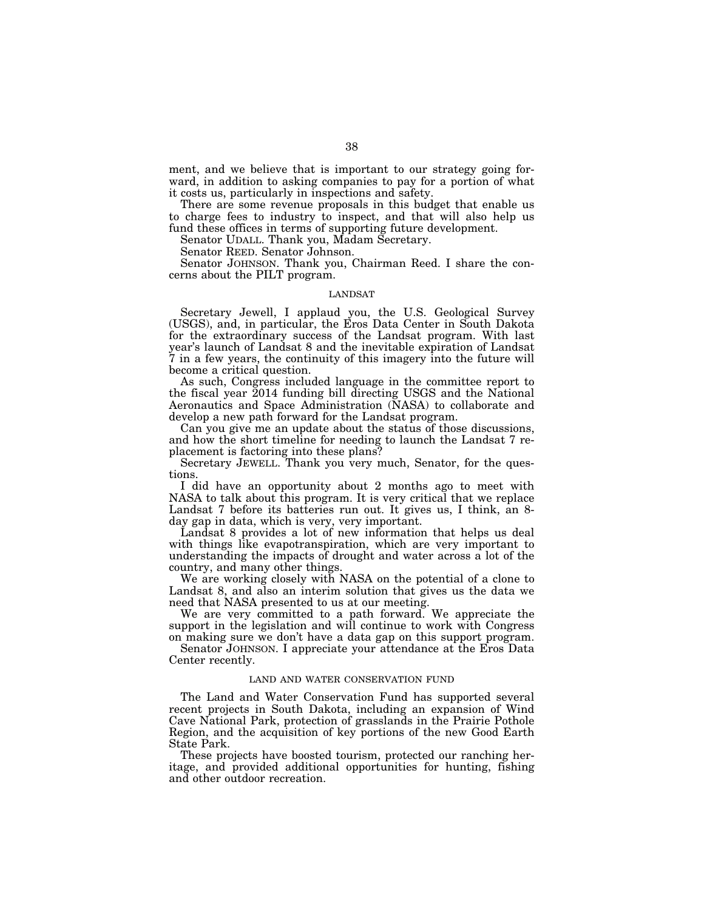ment, and we believe that is important to our strategy going forward, in addition to asking companies to pay for a portion of what it costs us, particularly in inspections and safety.

There are some revenue proposals in this budget that enable us to charge fees to industry to inspect, and that will also help us fund these offices in terms of supporting future development.

Senator UDALL. Thank you, Madam Secretary.

Senator REED. Senator Johnson.

Senator JOHNSON. Thank you, Chairman Reed. I share the concerns about the PILT program.

# LANDSAT

Secretary Jewell, I applaud you, the U.S. Geological Survey (USGS), and, in particular, the Eros Data Center in South Dakota for the extraordinary success of the Landsat program. With last year's launch of Landsat 8 and the inevitable expiration of Landsat 7 in a few years, the continuity of this imagery into the future will become a critical question.

As such, Congress included language in the committee report to the fiscal year 2014 funding bill directing USGS and the National Aeronautics and Space Administration (NASA) to collaborate and develop a new path forward for the Landsat program.

Can you give me an update about the status of those discussions, and how the short timeline for needing to launch the Landsat 7 replacement is factoring into these plans?

Secretary JEWELL. Thank you very much, Senator, for the questions.

I did have an opportunity about 2 months ago to meet with NASA to talk about this program. It is very critical that we replace Landsat 7 before its batteries run out. It gives us, I think, an 8 day gap in data, which is very, very important.

Landsat 8 provides a lot of new information that helps us deal with things like evapotranspiration, which are very important to understanding the impacts of drought and water across a lot of the country, and many other things.

We are working closely with NASA on the potential of a clone to Landsat 8, and also an interim solution that gives us the data we need that NASA presented to us at our meeting.

We are very committed to a path forward. We appreciate the support in the legislation and will continue to work with Congress on making sure we don't have a data gap on this support program.

Senator JOHNSON. I appreciate your attendance at the Eros Data Center recently.

# LAND AND WATER CONSERVATION FUND

The Land and Water Conservation Fund has supported several recent projects in South Dakota, including an expansion of Wind Cave National Park, protection of grasslands in the Prairie Pothole Region, and the acquisition of key portions of the new Good Earth State Park.

These projects have boosted tourism, protected our ranching heritage, and provided additional opportunities for hunting, fishing and other outdoor recreation.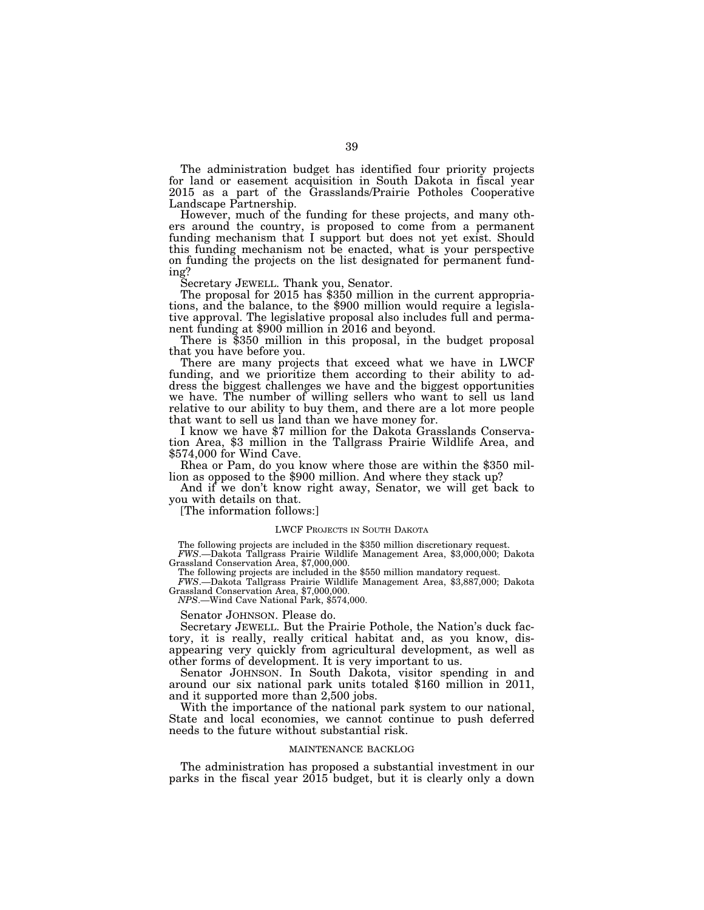The administration budget has identified four priority projects for land or easement acquisition in South Dakota in fiscal year 2015 as a part of the Grasslands/Prairie Potholes Cooperative Landscape Partnership.

However, much of the funding for these projects, and many others around the country, is proposed to come from a permanent funding mechanism that I support but does not yet exist. Should this funding mechanism not be enacted, what is your perspective on funding the projects on the list designated for permanent funding?<br>Secretary JEWELL. Thank you, Senator.

The proposal for 2015 has \$350 million in the current appropriations, and the balance, to the \$900 million would require a legislative approval. The legislative proposal also includes full and perma-

There is  $$350$  million in this proposal, in the budget proposal that you have before you.

There are many projects that exceed what we have in LWCF funding, and we prioritize them according to their ability to address the biggest challenges we have and the biggest opportunities we have. The number of willing sellers who want to sell us land relative to our ability to buy them, and there are a lot more people that want to sell us land than we have money for.

I know we have \$7 million for the Dakota Grasslands Conservation Area, \$3 million in the Tallgrass Prairie Wildlife Area, and \$574,000 for Wind Cave.

Rhea or Pam, do you know where those are within the \$350 mil- lion as opposed to the \$900 million. And where they stack up?

And if we don't know right away, Senator, we will get back to you with details on that.

[The information follows:]

## LWCF PROJECTS IN SOUTH DAKOTA

The following projects are included in the \$350 million discretionary request.

*FWS*.—Dakota Tallgrass Prairie Wildlife Management Area, \$3,000,000; Dakota Grassland Conservation Area, \$7,000,000.

The following projects are included in the \$550 million mandatory request.

*FWS*.—Dakota Tallgrass Prairie Wildlife Management Area, \$3,887,000; Dakota Grassland Conservation Area, \$7,000,000.

*NPS*.—Wind Cave National Park, \$574,000.

Senator JOHNSON. Please do.

Secretary JEWELL. But the Prairie Pothole, the Nation's duck factory, it is really, really critical habitat and, as you know, disappearing very quickly from agricultural development, as well as other forms of development. It is very important to us.

Senator JOHNSON. In South Dakota, visitor spending in and around our six national park units totaled \$160 million in 2011, and it supported more than 2,500 jobs.

With the importance of the national park system to our national, State and local economies, we cannot continue to push deferred needs to the future without substantial risk.

# MAINTENANCE BACKLOG

The administration has proposed a substantial investment in our parks in the fiscal year 2015 budget, but it is clearly only a down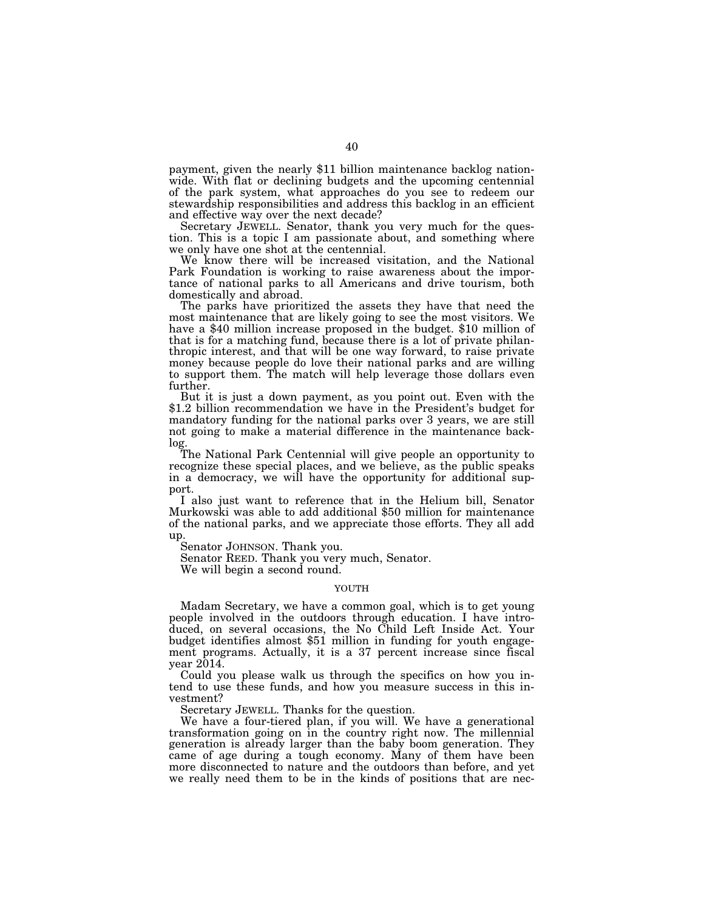payment, given the nearly \$11 billion maintenance backlog nationwide. With flat or declining budgets and the upcoming centennial of the park system, what approaches do you see to redeem our stewardship responsibilities and address this backlog in an efficient and effective way over the next decade?

Secretary JEWELL. Senator, thank you very much for the question. This is a topic I am passionate about, and something where we only have one shot at the centennial.

We know there will be increased visitation, and the National Park Foundation is working to raise awareness about the importance of national parks to all Americans and drive tourism, both domestically and abroad.

The parks have prioritized the assets they have that need the most maintenance that are likely going to see the most visitors. We have a \$40 million increase proposed in the budget. \$10 million of that is for a matching fund, because there is a lot of private philanthropic interest, and that will be one way forward, to raise private money because people do love their national parks and are willing to support them. The match will help leverage those dollars even further.

But it is just a down payment, as you point out. Even with the \$1.2 billion recommendation we have in the President's budget for mandatory funding for the national parks over 3 years, we are still not going to make a material difference in the maintenance backlog.

The National Park Centennial will give people an opportunity to recognize these special places, and we believe, as the public speaks in a democracy, we will have the opportunity for additional support.

I also just want to reference that in the Helium bill, Senator Murkowski was able to add additional \$50 million for maintenance of the national parks, and we appreciate those efforts. They all add up.

Senator JOHNSON. Thank you.

Senator REED. Thank you very much, Senator.

We will begin a second round.

# YOUTH

Madam Secretary, we have a common goal, which is to get young people involved in the outdoors through education. I have introduced, on several occasions, the No Child Left Inside Act. Your budget identifies almost \$51 million in funding for youth engagement programs. Actually, it is a 37 percent increase since fiscal year 2014.

Could you please walk us through the specifics on how you intend to use these funds, and how you measure success in this investment?

Secretary JEWELL. Thanks for the question.

We have a four-tiered plan, if you will. We have a generational transformation going on in the country right now. The millennial generation is already larger than the baby boom generation. They came of age during a tough economy. Many of them have been more disconnected to nature and the outdoors than before, and yet we really need them to be in the kinds of positions that are nec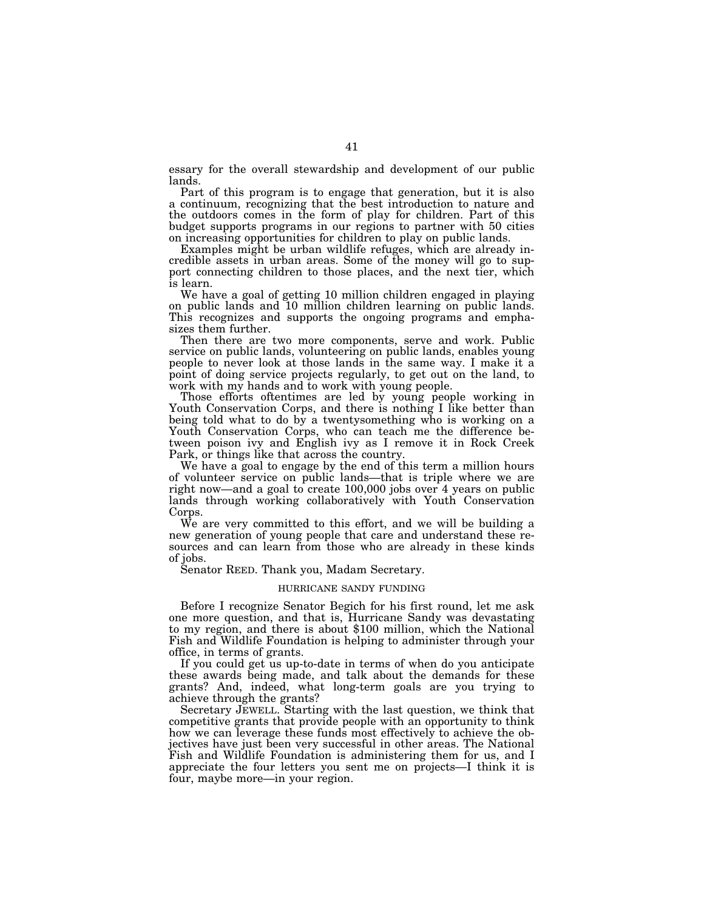essary for the overall stewardship and development of our public lands.

Part of this program is to engage that generation, but it is also a continuum, recognizing that the best introduction to nature and the outdoors comes in the form of play for children. Part of this budget supports programs in our regions to partner with 50 cities on increasing opportunities for children to play on public lands.

Examples might be urban wildlife refuges, which are already incredible assets in urban areas. Some of the money will go to support connecting children to those places, and the next tier, which is learn.

We have a goal of getting 10 million children engaged in playing on public lands and 10 million children learning on public lands. This recognizes and supports the ongoing programs and emphasizes them further.

Then there are two more components, serve and work. Public service on public lands, volunteering on public lands, enables young people to never look at those lands in the same way. I make it a point of doing service projects regularly, to get out on the land, to work with my hands and to work with young people.

Those efforts oftentimes are led by young people working in Youth Conservation Corps, and there is nothing I like better than being told what to do by a twentysomething who is working on a Youth Conservation Corps, who can teach me the difference between poison ivy and English ivy as I remove it in Rock Creek Park, or things like that across the country.

We have a goal to engage by the end of this term a million hours of volunteer service on public lands—that is triple where we are right now—and a goal to create 100,000 jobs over 4 years on public lands through working collaboratively with Youth Conservation Corps.

We are very committed to this effort, and we will be building a new generation of young people that care and understand these resources and can learn from those who are already in these kinds of jobs.

Senator REED. Thank you, Madam Secretary.

# HURRICANE SANDY FUNDING

Before I recognize Senator Begich for his first round, let me ask one more question, and that is, Hurricane Sandy was devastating to my region, and there is about \$100 million, which the National Fish and Wildlife Foundation is helping to administer through your office, in terms of grants.

If you could get us up-to-date in terms of when do you anticipate these awards being made, and talk about the demands for these grants? And, indeed, what long-term goals are you trying to achieve through the grants?

Secretary JEWELL. Starting with the last question, we think that competitive grants that provide people with an opportunity to think how we can leverage these funds most effectively to achieve the objectives have just been very successful in other areas. The National Fish and Wildlife Foundation is administering them for us, and I appreciate the four letters you sent me on projects—I think it is four, maybe more—in your region.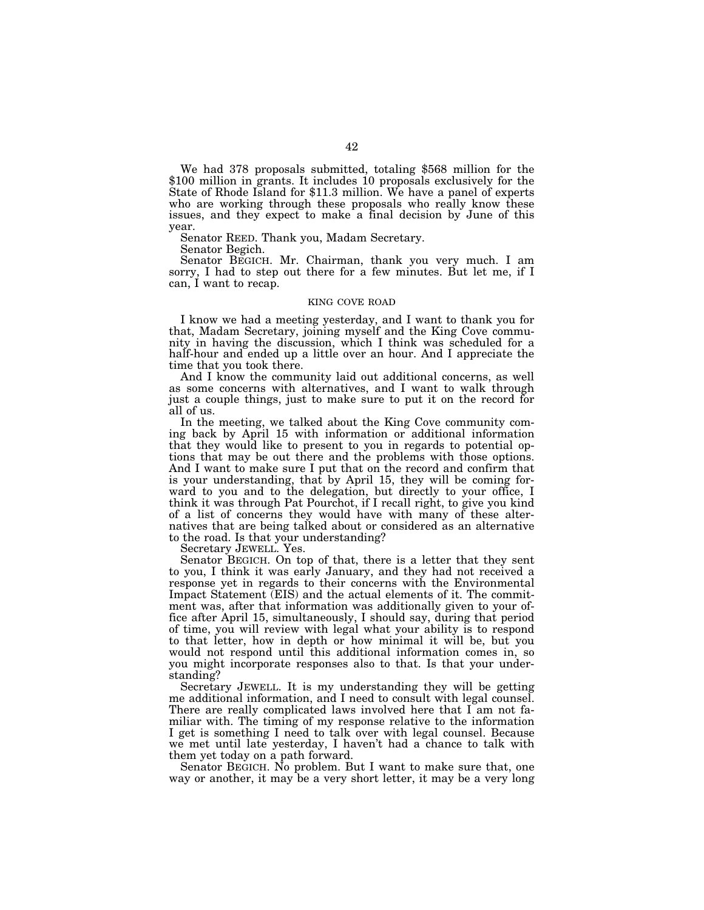We had 378 proposals submitted, totaling \$568 million for the \$100 million in grants. It includes 10 proposals exclusively for the State of Rhode Island for \$11.3 million. We have a panel of experts who are working through these proposals who really know these issues, and they expect to make a final decision by June of this year.

Senator REED. Thank you, Madam Secretary.

Senator Begich.

Senator BEGICH. Mr. Chairman, thank you very much. I am sorry, I had to step out there for a few minutes. But let me, if I can, I want to recap.

### KING COVE ROAD

I know we had a meeting yesterday, and I want to thank you for that, Madam Secretary, joining myself and the King Cove community in having the discussion, which I think was scheduled for a half-hour and ended up a little over an hour. And I appreciate the time that you took there.

And I know the community laid out additional concerns, as well as some concerns with alternatives, and I want to walk through just a couple things, just to make sure to put it on the record for all of us.

In the meeting, we talked about the King Cove community coming back by April 15 with information or additional information that they would like to present to you in regards to potential options that may be out there and the problems with those options. And I want to make sure I put that on the record and confirm that is your understanding, that by April 15, they will be coming forward to you and to the delegation, but directly to your office, I think it was through Pat Pourchot, if I recall right, to give you kind of a list of concerns they would have with many of these alternatives that are being talked about or considered as an alternative to the road. Is that your understanding?

Secretary JEWELL. Yes.

Senator BEGICH. On top of that, there is a letter that they sent to you, I think it was early January, and they had not received a response yet in regards to their concerns with the Environmental Impact Statement (EIS) and the actual elements of it. The commitment was, after that information was additionally given to your office after April 15, simultaneously, I should say, during that period of time, you will review with legal what your ability is to respond to that letter, how in depth or how minimal it will be, but you would not respond until this additional information comes in, so you might incorporate responses also to that. Is that your understanding?

Secretary JEWELL. It is my understanding they will be getting me additional information, and I need to consult with legal counsel. There are really complicated laws involved here that I am not familiar with. The timing of my response relative to the information I get is something I need to talk over with legal counsel. Because we met until late yesterday, I haven't had a chance to talk with them yet today on a path forward.

Senator BEGICH. No problem. But I want to make sure that, one way or another, it may be a very short letter, it may be a very long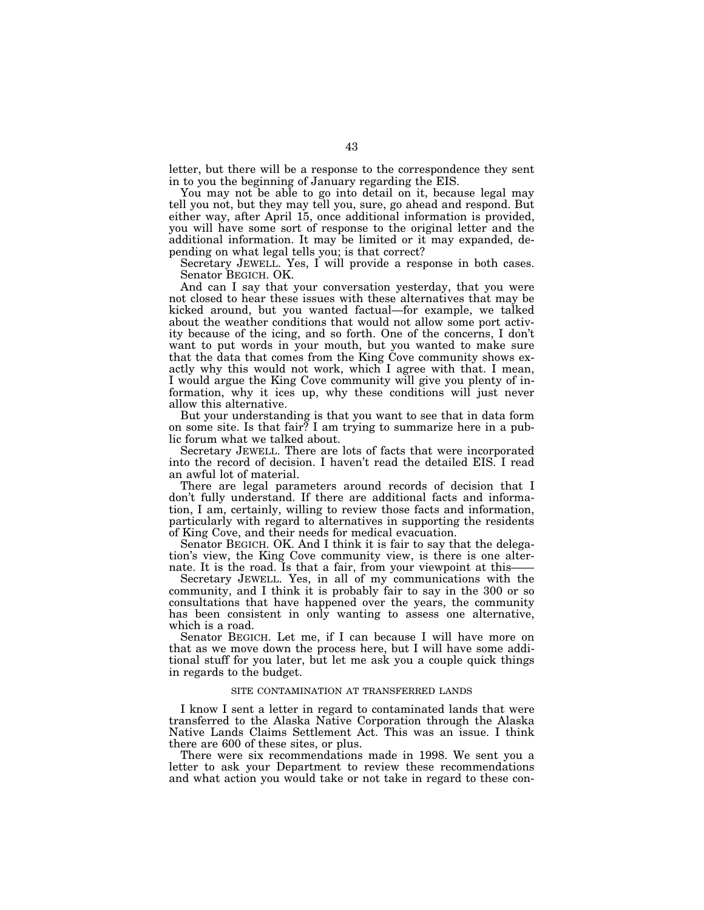letter, but there will be a response to the correspondence they sent in to you the beginning of January regarding the EIS.

You may not be able to go into detail on it, because legal may tell you not, but they may tell you, sure, go ahead and respond. But either way, after April 15, once additional information is provided, you will have some sort of response to the original letter and the additional information. It may be limited or it may expanded, depending on what legal tells you; is that correct?

Secretary JEWELL. Yes, I will provide a response in both cases. Senator BEGICH. OK.

And can I say that your conversation yesterday, that you were not closed to hear these issues with these alternatives that may be kicked around, but you wanted factual—for example, we talked about the weather conditions that would not allow some port activity because of the icing, and so forth. One of the concerns, I don't want to put words in your mouth, but you wanted to make sure that the data that comes from the King Cove community shows exactly why this would not work, which I agree with that. I mean, I would argue the King Cove community will give you plenty of information, why it ices up, why these conditions will just never allow this alternative.

But your understanding is that you want to see that in data form on some site. Is that fair? I am trying to summarize here in a public forum what we talked about.

Secretary JEWELL. There are lots of facts that were incorporated into the record of decision. I haven't read the detailed EIS. I read an awful lot of material.

There are legal parameters around records of decision that I don't fully understand. If there are additional facts and information, I am, certainly, willing to review those facts and information, particularly with regard to alternatives in supporting the residents of King Cove, and their needs for medical evacuation.

Senator BEGICH. OK. And I think it is fair to say that the delegation's view, the King Cove community view, is there is one alternate. It is the road. Is that a fair, from your viewpoint at this——

Secretary JEWELL. Yes, in all of my communications with the community, and I think it is probably fair to say in the 300 or so consultations that have happened over the years, the community has been consistent in only wanting to assess one alternative, which is a road.

Senator BEGICH. Let me, if I can because I will have more on that as we move down the process here, but I will have some additional stuff for you later, but let me ask you a couple quick things in regards to the budget.

## SITE CONTAMINATION AT TRANSFERRED LANDS

I know I sent a letter in regard to contaminated lands that were transferred to the Alaska Native Corporation through the Alaska Native Lands Claims Settlement Act. This was an issue. I think there are 600 of these sites, or plus.

There were six recommendations made in 1998. We sent you a letter to ask your Department to review these recommendations and what action you would take or not take in regard to these con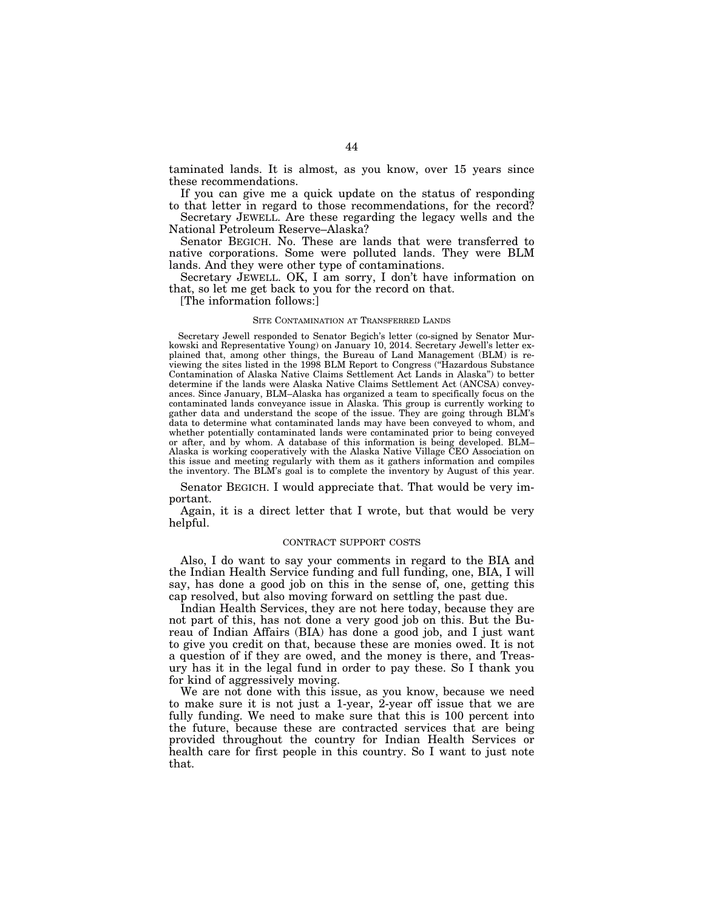taminated lands. It is almost, as you know, over 15 years since these recommendations.

If you can give me a quick update on the status of responding to that letter in regard to those recommendations, for the record?

Secretary JEWELL. Are these regarding the legacy wells and the National Petroleum Reserve–Alaska?

Senator BEGICH. No. These are lands that were transferred to native corporations. Some were polluted lands. They were BLM lands. And they were other type of contaminations.

Secretary JEWELL. OK, I am sorry, I don't have information on that, so let me get back to you for the record on that.

[The information follows:]

### SITE CONTAMINATION AT TRANSFERRED LANDS

Secretary Jewell responded to Senator Begich's letter (co-signed by Senator Murkowski and Representative Young) on January 10, 2014. Secretary Jewell's letter explained that, among other things, the Bureau of Land Management (BLM) is reviewing the sites listed in the 1998 BLM Report to Congress (''Hazardous Substance Contamination of Alaska Native Claims Settlement Act Lands in Alaska'') to better determine if the lands were Alaska Native Claims Settlement Act (ANCSA) conveyances. Since January, BLM–Alaska has organized a team to specifically focus on the contaminated lands conveyance issue in Alaska. This group is currently working to gather data and understand the scope of the issue. They are going through BLM's data to determine what contaminated lands may have been conveyed to whom, and whether potentially contaminated lands were contaminated prior to being conveyed or after, and by whom. A database of this information is being developed. BLM– Alaska is working cooperatively with the Alaska Native Village CEO Association on this issue and meeting regularly with them as it gathers information and compiles the inventory. The BLM's goal is to complete the inventory by August of this year.

Senator BEGICH. I would appreciate that. That would be very important.

Again, it is a direct letter that I wrote, but that would be very helpful.

## CONTRACT SUPPORT COSTS

Also, I do want to say your comments in regard to the BIA and the Indian Health Service funding and full funding, one, BIA, I will say, has done a good job on this in the sense of, one, getting this cap resolved, but also moving forward on settling the past due.

Indian Health Services, they are not here today, because they are not part of this, has not done a very good job on this. But the Bureau of Indian Affairs (BIA) has done a good job, and I just want to give you credit on that, because these are monies owed. It is not a question of if they are owed, and the money is there, and Treasury has it in the legal fund in order to pay these. So I thank you for kind of aggressively moving.

We are not done with this issue, as you know, because we need to make sure it is not just a 1-year, 2-year off issue that we are fully funding. We need to make sure that this is 100 percent into the future, because these are contracted services that are being provided throughout the country for Indian Health Services or health care for first people in this country. So I want to just note that.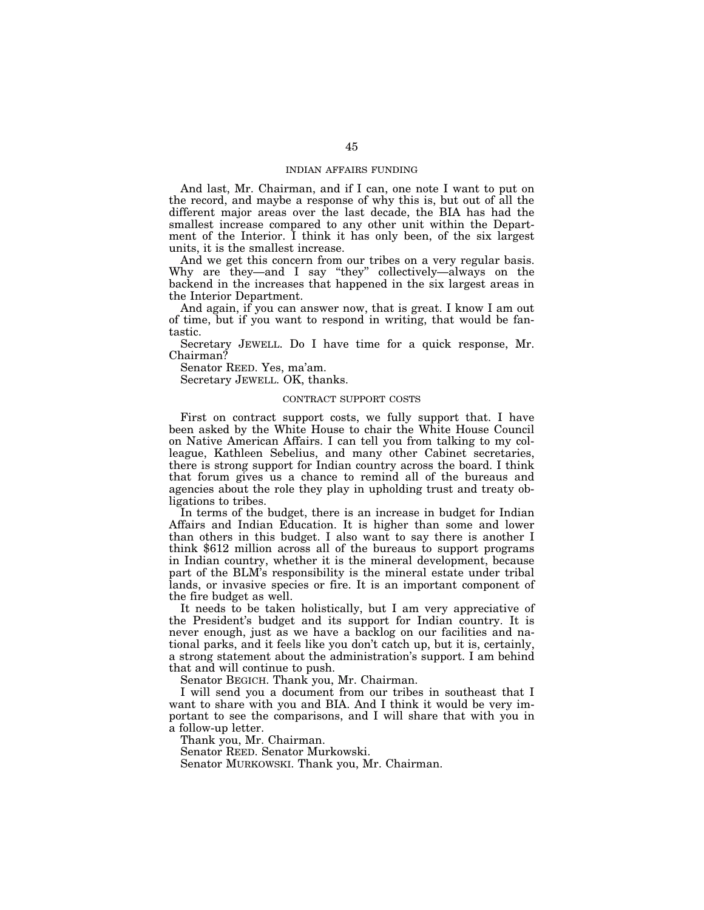# INDIAN AFFAIRS FUNDING

And last, Mr. Chairman, and if I can, one note I want to put on the record, and maybe a response of why this is, but out of all the different major areas over the last decade, the BIA has had the smallest increase compared to any other unit within the Department of the Interior. I think it has only been, of the six largest units, it is the smallest increase.

And we get this concern from our tribes on a very regular basis. Why are they—and I say "they" collectively—always on the backend in the increases that happened in the six largest areas in the Interior Department.

And again, if you can answer now, that is great. I know I am out of time, but if you want to respond in writing, that would be fantastic.

Secretary JEWELL. Do I have time for a quick response, Mr. Chairman?

Senator REED. Yes, ma'am.

Secretary JEWELL. OK, thanks.

# CONTRACT SUPPORT COSTS

First on contract support costs, we fully support that. I have been asked by the White House to chair the White House Council on Native American Affairs. I can tell you from talking to my colleague, Kathleen Sebelius, and many other Cabinet secretaries, there is strong support for Indian country across the board. I think that forum gives us a chance to remind all of the bureaus and agencies about the role they play in upholding trust and treaty obligations to tribes.

In terms of the budget, there is an increase in budget for Indian Affairs and Indian Education. It is higher than some and lower than others in this budget. I also want to say there is another I think \$612 million across all of the bureaus to support programs in Indian country, whether it is the mineral development, because part of the BLM's responsibility is the mineral estate under tribal lands, or invasive species or fire. It is an important component of the fire budget as well.

It needs to be taken holistically, but I am very appreciative of the President's budget and its support for Indian country. It is never enough, just as we have a backlog on our facilities and national parks, and it feels like you don't catch up, but it is, certainly, a strong statement about the administration's support. I am behind that and will continue to push.

Senator BEGICH. Thank you, Mr. Chairman.

I will send you a document from our tribes in southeast that I want to share with you and BIA. And I think it would be very important to see the comparisons, and I will share that with you in a follow-up letter.

Thank you, Mr. Chairman.

Senator REED. Senator Murkowski.

Senator MURKOWSKI. Thank you, Mr. Chairman.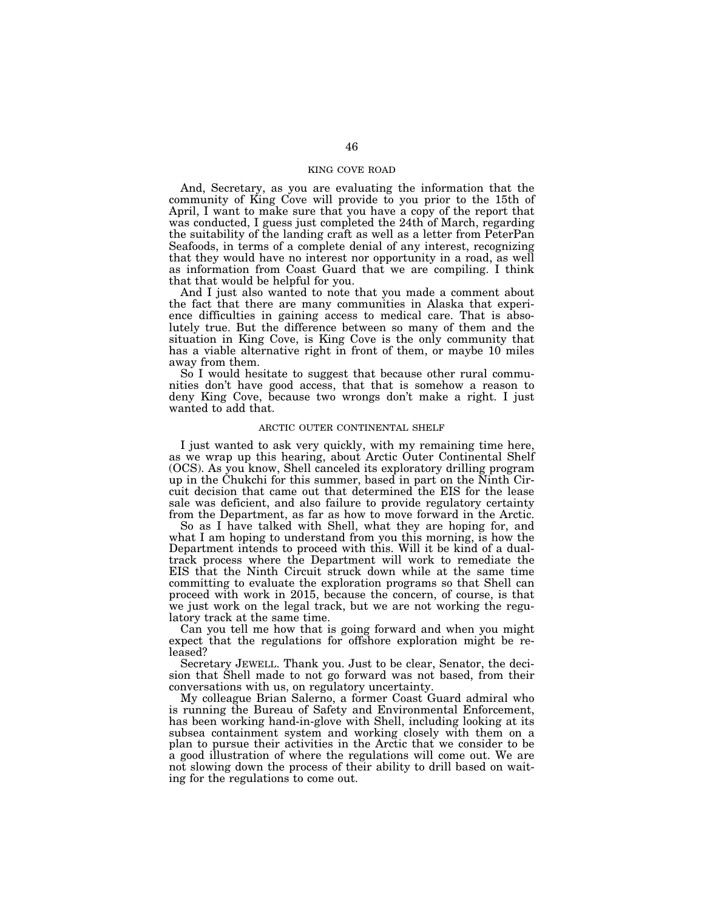# KING COVE ROAD

And, Secretary, as you are evaluating the information that the community of King Cove will provide to you prior to the 15th of April, I want to make sure that you have a copy of the report that was conducted, I guess just completed the 24th of March, regarding the suitability of the landing craft as well as a letter from PeterPan Seafoods, in terms of a complete denial of any interest, recognizing that they would have no interest nor opportunity in a road, as well as information from Coast Guard that we are compiling. I think that that would be helpful for you.

And I just also wanted to note that you made a comment about the fact that there are many communities in Alaska that experience difficulties in gaining access to medical care. That is absolutely true. But the difference between so many of them and the situation in King Cove, is King Cove is the only community that has a viable alternative right in front of them, or maybe 10 miles away from them.

So I would hesitate to suggest that because other rural communities don't have good access, that that is somehow a reason to deny King Cove, because two wrongs don't make a right. I just wanted to add that.

## ARCTIC OUTER CONTINENTAL SHELF

I just wanted to ask very quickly, with my remaining time here, as we wrap up this hearing, about Arctic Outer Continental Shelf (OCS). As you know, Shell canceled its exploratory drilling program up in the Chukchi for this summer, based in part on the Ninth Circuit decision that came out that determined the EIS for the lease sale was deficient, and also failure to provide regulatory certainty from the Department, as far as how to move forward in the Arctic.

So as I have talked with Shell, what they are hoping for, and what I am hoping to understand from you this morning, is how the Department intends to proceed with this. Will it be kind of a dualtrack process where the Department will work to remediate the EIS that the Ninth Circuit struck down while at the same time committing to evaluate the exploration programs so that Shell can proceed with work in 2015, because the concern, of course, is that we just work on the legal track, but we are not working the regulatory track at the same time.

Can you tell me how that is going forward and when you might expect that the regulations for offshore exploration might be released?

Secretary JEWELL. Thank you. Just to be clear, Senator, the decision that Shell made to not go forward was not based, from their conversations with us, on regulatory uncertainty.

My colleague Brian Salerno, a former Coast Guard admiral who is running the Bureau of Safety and Environmental Enforcement, has been working hand-in-glove with Shell, including looking at its subsea containment system and working closely with them on a plan to pursue their activities in the Arctic that we consider to be a good illustration of where the regulations will come out. We are not slowing down the process of their ability to drill based on waiting for the regulations to come out.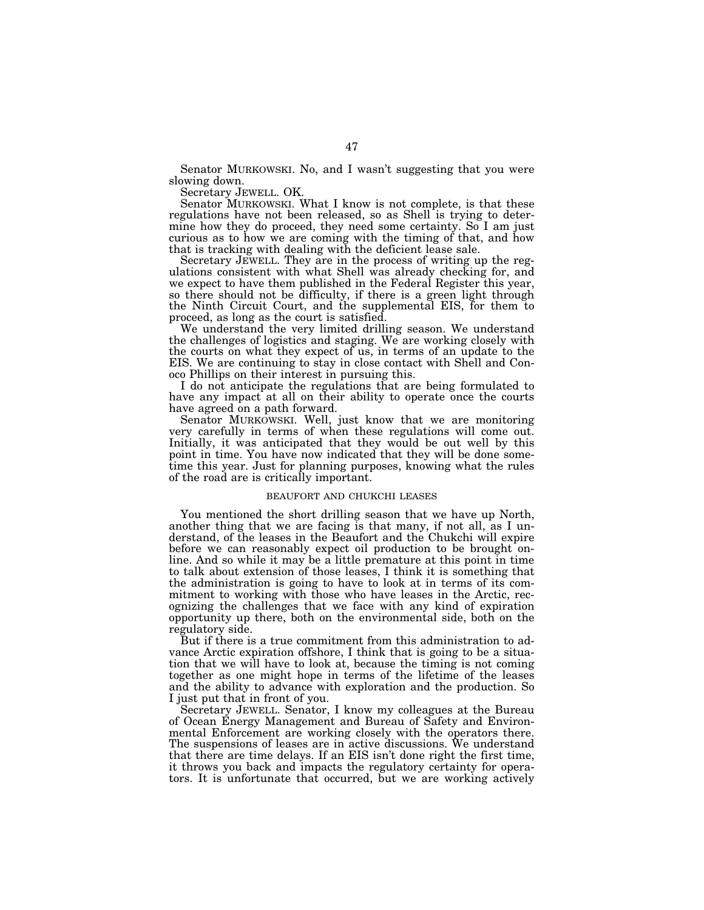Senator MURKOWSKI. No, and I wasn't suggesting that you were slowing down.

Secretary JEWELL. OK.

Senator MURKOWSKI. What I know is not complete, is that these regulations have not been released, so as Shell is trying to determine how they do proceed, they need some certainty. So I am just curious as to how we are coming with the timing of that, and how that is tracking with dealing with the deficient lease sale.

Secretary JEWELL. They are in the process of writing up the regulations consistent with what Shell was already checking for, and we expect to have them published in the Federal Register this year, so there should not be difficulty, if there is a green light through the Ninth Circuit Court, and the supplemental EIS, for them to proceed, as long as the court is satisfied.

We understand the very limited drilling season. We understand the challenges of logistics and staging. We are working closely with the courts on what they expect of us, in terms of an update to the EIS. We are continuing to stay in close contact with Shell and Conoco Phillips on their interest in pursuing this.

I do not anticipate the regulations that are being formulated to have any impact at all on their ability to operate once the courts have agreed on a path forward.

Senator MURKOWSKI. Well, just know that we are monitoring very carefully in terms of when these regulations will come out. Initially, it was anticipated that they would be out well by this point in time. You have now indicated that they will be done sometime this year. Just for planning purposes, knowing what the rules of the road are is critically important.

# BEAUFORT AND CHUKCHI LEASES

You mentioned the short drilling season that we have up North, another thing that we are facing is that many, if not all, as I understand, of the leases in the Beaufort and the Chukchi will expire before we can reasonably expect oil production to be brought online. And so while it may be a little premature at this point in time to talk about extension of those leases, I think it is something that the administration is going to have to look at in terms of its commitment to working with those who have leases in the Arctic, recognizing the challenges that we face with any kind of expiration opportunity up there, both on the environmental side, both on the regulatory side.

But if there is a true commitment from this administration to advance Arctic expiration offshore, I think that is going to be a situation that we will have to look at, because the timing is not coming together as one might hope in terms of the lifetime of the leases and the ability to advance with exploration and the production. So I just put that in front of you.

Secretary JEWELL. Senator, I know my colleagues at the Bureau of Ocean Energy Management and Bureau of Safety and Environmental Enforcement are working closely with the operators there. The suspensions of leases are in active discussions. We understand that there are time delays. If an EIS isn't done right the first time, it throws you back and impacts the regulatory certainty for operators. It is unfortunate that occurred, but we are working actively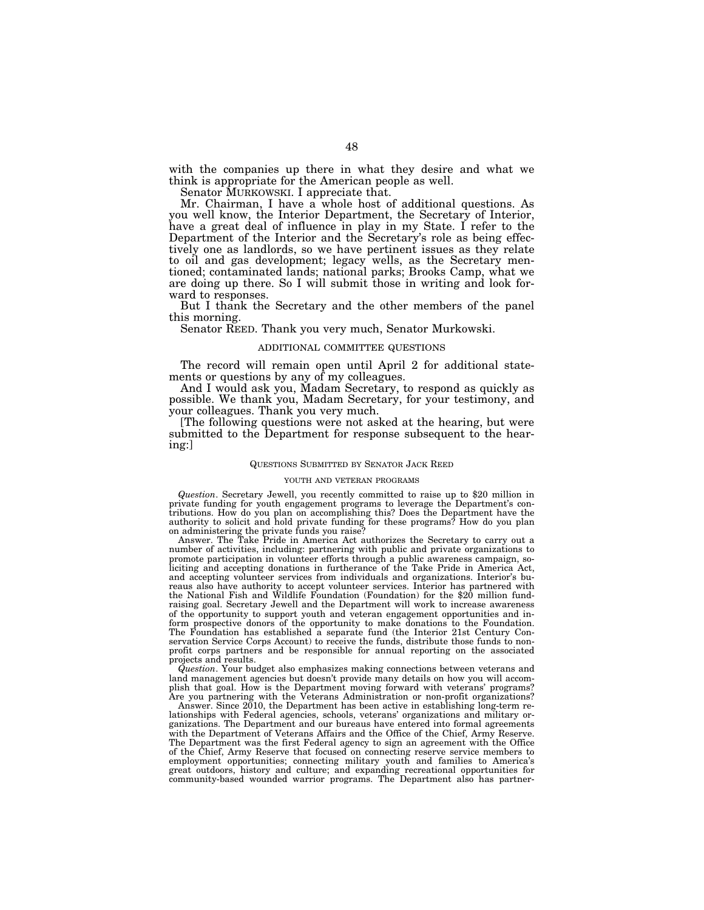with the companies up there in what they desire and what we think is appropriate for the American people as well.

Senator MURKOWSKI. I appreciate that.

Mr. Chairman, I have a whole host of additional questions. As you well know, the Interior Department, the Secretary of Interior, have a great deal of influence in play in my State. I refer to the Department of the Interior and the Secretary's role as being effectively one as landlords, so we have pertinent issues as they relate to oil and gas development; legacy wells, as the Secretary mentioned; contaminated lands; national parks; Brooks Camp, what we are doing up there. So I will submit those in writing and look forward to responses.

But I thank the Secretary and the other members of the panel this morning.

Senator REED. Thank you very much, Senator Murkowski.

### ADDITIONAL COMMITTEE QUESTIONS

The record will remain open until April 2 for additional statements or questions by any of my colleagues.

And I would ask you, Madam Secretary, to respond as quickly as possible. We thank you, Madam Secretary, for your testimony, and your colleagues. Thank you very much.

[The following questions were not asked at the hearing, but were submitted to the Department for response subsequent to the hearing:]

### QUESTIONS SUBMITTED BY SENATOR JACK REED

#### YOUTH AND VETERAN PROGRAMS

Question. Secretary Jewell, you recently committed to raise up to \$20 million in private funding for youth engagement programs to leverage the Department's contributions. How do you plan on accomplishing this? Does the Dep on administering the private funds you raise?

Answer. The Take Pride in America Act authorizes the Secretary to carry out a number of activities, including: partnering with public and private organizations to promote participation in volunteer efforts through a public awareness campaign, soliciting and accepting donations in furtherance of the Take Pride in America Act, and accepting volunteer services from individuals and organizations. Interior's bureaus also have authority to accept volunteer services. Interior has partnered with the National Fish and Wildlife Foundation (Foundation) for the \$20 million fundraising goal. Secretary Jewell and the Department will work to increase awareness of the opportunity to support youth and veteran engagement opportunities and inform prospective donors of the opportunity to make donations to the Foundation. The Foundation has established a separate fund (the Interior 21st Century Conservation Service Corps Account) to receive the funds, distribute those funds to nonprofit corps partners and be responsible for annual reporting on the associated projects and results.

*Question*. Your budget also emphasizes making connections between veterans and land management agencies but doesn't provide many details on how you will accomplish that goal. How is the Department moving forward with veterans' programs? Are you partnering with the Veterans Administration or non-profit organizations?

Answer. Since 2010, the Department has been active in establishing long-term relationships with Federal agencies, schools, veterans' organizations and military organizations. The Department and our bureaus have entered into formal agreements with the Department of Veterans Affairs and the Office of the Chief, Army Reserve. The Department was the first Federal agency to sign an agreement with the Office of the Chief, Army Reserve that focused on connecting reserve service members to employment opportunities; connecting military youth and families to America's great outdoors, history and culture; and expanding recreational opportunities for community-based wounded warrior programs. The Department also has partner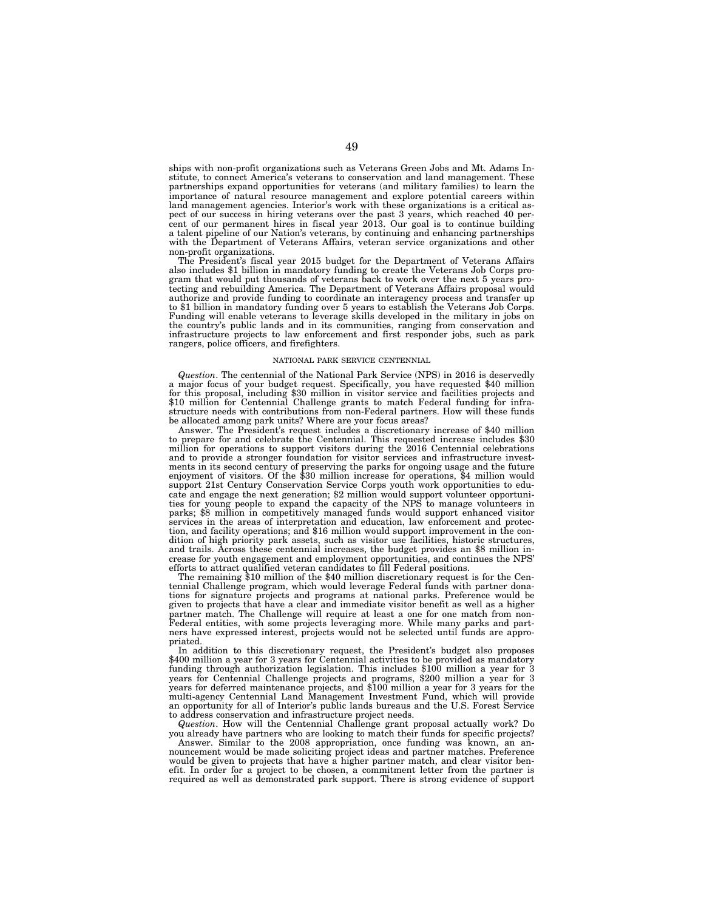ships with non-profit organizations such as Veterans Green Jobs and Mt. Adams Institute, to connect America's veterans to conservation and land management. These partnerships expand opportunities for veterans (and military families) to learn the importance of natural resource management and explore potential careers within land management agencies. Interior's work with these organizations is a critical aspect of our success in hiring veterans over the past 3 years, which reached 40 percent of our permanent hires in fiscal year 2013. Our goal is to continue building a talent pipeline of our Nation's veterans, by continuing and enhancing partnerships with the Department of Veterans Affairs, veteran service organizations and other non-profit organizations.

The President's fiscal year 2015 budget for the Department of Veterans Affairs also includes \$1 billion in mandatory funding to create the Veterans Job Corps program that would put thousands of veterans back to work over the next 5 years protecting and rebuilding America. The Department of Veterans Affairs proposal would authorize and provide funding to coordinate an interagency process and transfer up to \$1 billion in mandatory funding over 5 years to establish the Veterans Job Corps. Funding will enable veterans to leverage skills developed in the military in jobs on the country's public lands and in its communities, ranging from conservation and infrastructure projects to law enforcement and first responder jobs, such as park rangers, police officers, and firefighters.

#### NATIONAL PARK SERVICE CENTENNIAL

*Question*. The centennial of the National Park Service (NPS) in 2016 is deservedly a major focus of your budget request. Specifically, you have requested \$40 million for this proposal, including \$30 million in visitor service and facilities projects and \$10 million for Centennial Challenge grants to match Federal funding for infrastructure needs with contributions from non-Federal partners. How will these funds be allocated among park units? Where are your focus areas?

Answer. The President's request includes a discretionary increase of \$40 million to prepare for and celebrate the Centennial. This requested increase includes \$30 million for operations to support visitors during the 2016 Centennial celebrations and to provide a stronger foundation for visitor services and infrastructure investments in its second century of preserving the parks for ongoing usage and the future enjoyment of visitors. Of the \$30 million increase for operations, \$4 million would support 21st Century Conservation Service Corps youth work opportunities to educate and engage the next generation; \$2 million would support volunteer opportunities for young people to expand the capacity of the NPS to manage volunteers in parks; \$8 million in competitively managed funds would support enhanced visitor services in the areas of interpretation and education, law enforcement and protection, and facility operations; and \$16 million would support improvement in the condition of high priority park assets, such as visitor use facilities, historic structures, and trails. Across these centennial increases, the budget provides an \$8 million increase for youth engagement and employment opportunities, and continues the NPS' efforts to attract qualified veteran candidates to fill Federal positions.

The remaining \$10 million of the \$40 million discretionary request is for the Centennial Challenge program, which would leverage Federal funds with partner donations for signature projects and programs at national parks. Preference would be given to projects that have a clear and immediate visitor benefit as well as a higher partner match. The Challenge will require at least a one for one match from non-Federal entities, with some projects leveraging more. While many parks and partners have expressed interest, projects would not be selected until funds are appropriated.

In addition to this discretionary request, the President's budget also proposes \$400 million a year for 3 years for Centennial activities to be provided as mandatory funding through authorization legislation. This includes \$100 million a year for 3 years for Centennial Challenge projects and programs, \$200 million a year for 3 years for deferred maintenance projects, and \$100 million a year for 3 years for the multi-agency Centennial Land Management Investment Fund, which will provide an opportunity for all of Interior's public lands bureaus and the U.S. Forest Service to address conservation and infrastructure project needs.

*Question*. How will the Centennial Challenge grant proposal actually work? Do you already have partners who are looking to match their funds for specific projects?

Answer. Similar to the 2008 appropriation, once funding was known, an announcement would be made soliciting project ideas and partner matches. Preference would be given to projects that have a higher partner match, and clear visitor benefit. In order for a project to be chosen, a commitment letter from the partner is required as well as demonstrated park support. There is strong evidence of support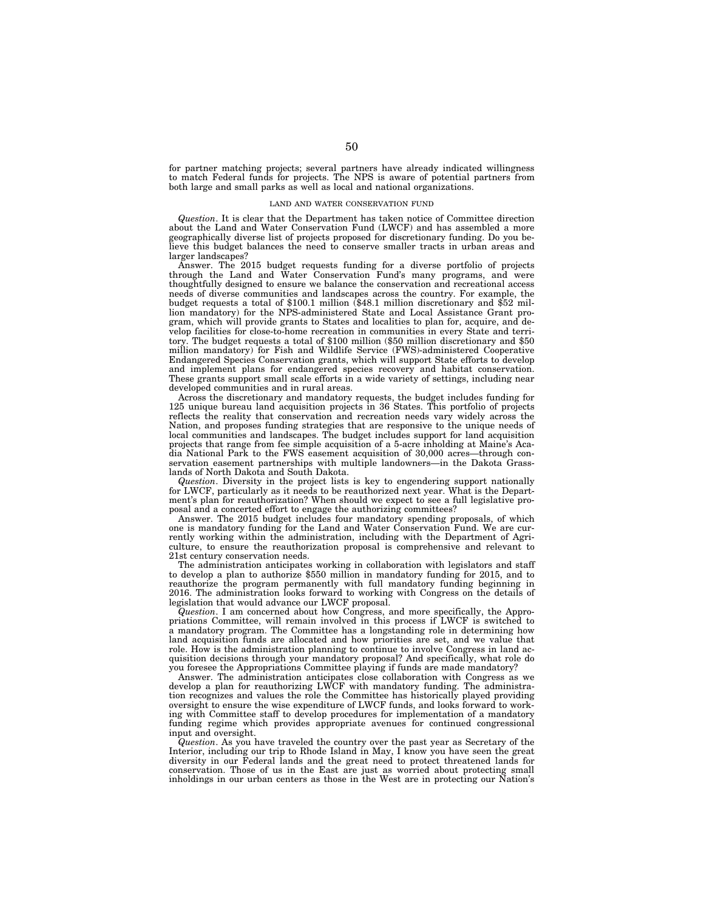for partner matching projects; several partners have already indicated willingness to match Federal funds for projects. The NPS is aware of potential partners from both large and small parks as well as local and national organizations.

#### LAND AND WATER CONSERVATION FUND

*Question*. It is clear that the Department has taken notice of Committee direction about the Land and Water Conservation Fund (LWCF) and has assembled a more geographically diverse list of projects proposed for discretionary funding. Do you believe this budget balances the need to conserve smaller tracts in urban areas and larger landscapes?

Answer. The 2015 budget requests funding for a diverse portfolio of projects through the Land and Water Conservation Fund's many programs, and were thoughtfully designed to ensure we balance the conservation and recreational access needs of diverse communities and landscapes across the country. For example, the budget requests a total of \$100.1 million (\$48.1 million discretionary and \$52 million mandatory) for the NPS-administered State and Local Assistance Grant program, which will provide grants to States and localities to plan for, acquire, and develop facilities for close-to-home recreation in communities in every State and territory. The budget requests a total of \$100 million (\$50 million discretionary and \$50 million mandatory) for Fish and Wildlife Service (FWS)-administered Cooperative Endangered Species Conservation grants, which will support State efforts to develop and implement plans for endangered species recovery and habitat conservation. These grants support small scale efforts in a wide variety of settings, including near developed communities and in rural areas.

Across the discretionary and mandatory requests, the budget includes funding for 125 unique bureau land acquisition projects in 36 States. This portfolio of projects reflects the reality that conservation and recreation needs vary widely across the Nation, and proposes funding strategies that are responsive to the unique needs of local communities and landscapes. The budget includes support for land acquisition projects that range from fee simple acquisition of a 5-acre inholding at Maine's Acadia National Park to the FWS easement acquisition of 30,000 acres—through conservation easement partnerships with multiple landowners—in the Dakota Grasslands of North Dakota and South Dakota.

*Question*. Diversity in the project lists is key to engendering support nationally for LWCF, particularly as it needs to be reauthorized next year. What is the Department's plan for reauthorization? When should we expect to see a full legislative proposal and a concerted effort to engage the authorizing committees?

Answer. The 2015 budget includes four mandatory spending proposals, of which one is mandatory funding for the Land and Water Conservation Fund. We are currently working within the administration, including with the Department of Agriculture, to ensure the reauthorization proposal is comprehensive and relevant to 21st century conservation needs.

The administration anticipates working in collaboration with legislators and staff to develop a plan to authorize \$550 million in mandatory funding for 2015, and to reauthorize the program permanently with full mandatory funding beginning in 2016. The administration looks forward to working with Congress on the details of legislation that would advance our LWCF proposal.

*Question*. I am concerned about how Congress, and more specifically, the Appropriations Committee, will remain involved in this process if LWCF is switched to a mandatory program. The Committee has a longstanding role in determining how land acquisition funds are allocated and how priorities are set, and we value that role. How is the administration planning to continue to involve Congress in land acquisition decisions through your mandatory proposal? And specifically, what role do you foresee the Appropriations Committee playing if funds are made mandatory?

Answer. The administration anticipates close collaboration with Congress as we develop a plan for reauthorizing LWCF with mandatory funding. The administration recognizes and values the role the Committee has historically played providing oversight to ensure the wise expenditure of LWCF funds, and looks forward to working with Committee staff to develop procedures for implementation of a mandatory funding regime which provides appropriate avenues for continued congressional input and oversight.

*Question*. As you have traveled the country over the past year as Secretary of the Interior, including our trip to Rhode Island in May, I know you have seen the great diversity in our Federal lands and the great need to protect threatened lands for conservation. Those of us in the East are just as worried about protecting small inholdings in our urban centers as those in the West are in protecting our Nation's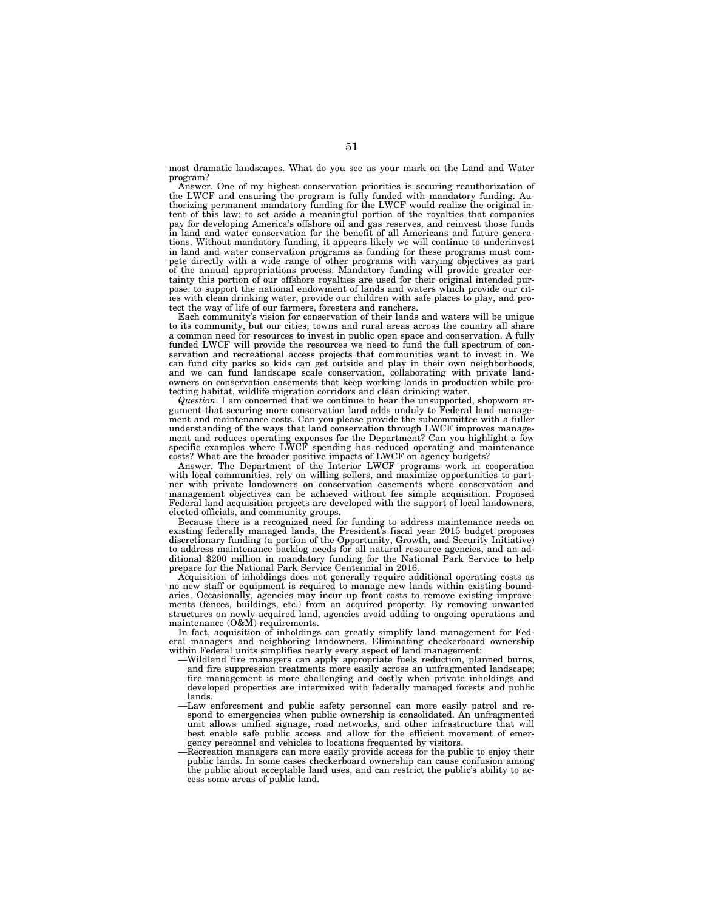most dramatic landscapes. What do you see as your mark on the Land and Water program?

Answer. One of my highest conservation priorities is securing reauthorization of the LWCF and ensuring the program is fully funded with mandatory funding. Authorizing permanent mandatory funding for the LWCF would realize the original intent of this law: to set aside a meaningful portion of the royalties that companies pay for developing America's offshore oil and gas reserves, and reinvest those funds in land and water conservation for the benefit of all Americans and future generations. Without mandatory funding, it appears likely we will continue to underinvest in land and water conservation programs as funding for these programs must compete directly with a wide range of other programs with varying objectives as part of the annual appropriations process. Mandatory funding will provide greater certainty this portion of our offshore royalties are used for their original intended purpose: to support the national endowment of lands and waters which provide our cities with clean drinking water, provide our children with safe places to play, and protect the way of life of our farmers, foresters and ranchers.

Each community's vision for conservation of their lands and waters will be unique to its community, but our cities, towns and rural areas across the country all share a common need for resources to invest in public open space and conservation. A fully funded LWCF will provide the resources we need to fund the full spectrum of conservation and recreational access projects that communities want to invest in. We can fund city parks so kids can get outside and play in their own neighborhoods, and we can fund landscape scale conservation, collaborating with private landowners on conservation easements that keep working lands in production while protecting habitat, wildlife migration corridors and clean drinking water.

*Question*. I am concerned that we continue to hear the unsupported, shopworn argument that securing more conservation land adds unduly to Federal land management and maintenance costs. Can you please provide the subcommittee with a fuller understanding of the ways that land conservation through LWCF improves management and reduces operating expenses for the Department? Can you highlight a few specific examples where LWCF spending has reduced operating and maintenance costs? What are the broader positive impacts of LWCF on agency budgets?

Answer. The Department of the Interior LWCF programs work in cooperation with local communities, rely on willing sellers, and maximize opportunities to partner with private landowners on conservation easements where conservation and management objectives can be achieved without fee simple acquisition. Proposed Federal land acquisition projects are developed with the support of local landowners, elected officials, and community groups.

Because there is a recognized need for funding to address maintenance needs on existing federally managed lands, the President's fiscal year 2015 budget proposes discretionary funding (a portion of the Opportunity, Growth, and Security Initiative) to address maintenance backlog needs for all natural resource agencies, and an additional \$200 million in mandatory funding for the National Park Service to help prepare for the National Park Service Centennial in 2016.

Acquisition of inholdings does not generally require additional operating costs as no new staff or equipment is required to manage new lands within existing boundaries. Occasionally, agencies may incur up front costs to remove existing improvements (fences, buildings, etc.) from an acquired property. By removing unwanted structures on newly acquired land, agencies avoid adding to ongoing operations and maintenance (O&M) requirements.

In fact, acquisition of inholdings can greatly simplify land management for Federal managers and neighboring landowners. Eliminating checkerboard ownership within Federal units simplifies nearly every aspect of land management:

- —Wildland fire managers can apply appropriate fuels reduction, planned burns, and fire suppression treatments more easily across an unfragmented landscape; fire management is more challenging and costly when private inholdings and developed properties are intermixed with federally managed forests and public lands.
- —Law enforcement and public safety personnel can more easily patrol and respond to emergencies when public ownership is consolidated. An unfragmented unit allows unified signage, road networks, and other infrastructure that will best enable safe public access and allow for the efficient movement of emergency personnel and vehicles to locations frequented by visitors.
- —Recreation managers can more easily provide access for the public to enjoy their public lands. In some cases checkerboard ownership can cause confusion among the public about acceptable land uses, and can restrict the public's ability to access some areas of public land.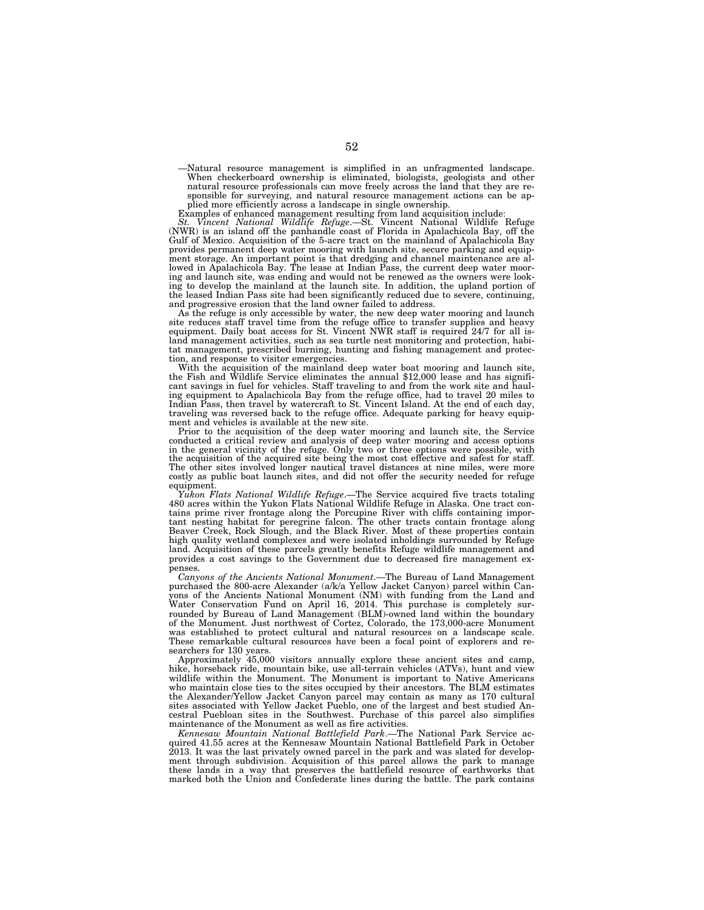—Natural resource management is simplified in an unfragmented landscape.<br>When checkerboard ownership is eliminated, biologists, geologists and other<br>natural resource professionals can move freely across the land that they sponsible for surveying, and natural resource management actions can be applied more efficiently across a landscape in single ownership.

Examples of enhanced management resulting from land acquisition include: *St. Vincent National Wildlife Refuge*.—St. Vincent National Wildlife Refuge (NWR) is an island off the panhandle coast of Florida in Apalachicola Bay, off the Gulf of Mexico. Acquisition of the 5-acre tract on the mainland of Apalachicola Bay provides permanent deep water mooring with launch site, secure parking and equipment storage. An important point is that dredging and channel maintenance are allowed in Apalachicola Bay. The lease at Indian Pass, the current deep water moor-ing and launch site, was ending and would not be renewed as the owners were looking to develop the mainland at the launch site. In addition, the upland portion of the leased Indian Pass site had been significantly reduced due to severe, continuing, and progressive erosion that the land owner failed to address.

As the refuge is only accessible by water, the new deep water mooring and launch site reduces staff travel time from the refuge office to transfer supplies and heavy equipment. Daily boat access for St. Vincent NWR staff is required 24/7 for all island management activities, such as sea turtle nest monitoring and protection, habi-tat management, prescribed burning, hunting and fishing management and protection, and response to visitor emergencies.<br>With the acquisition of the mainland deep water boat mooring and launch site.

the Fish and Wildlife Service eliminates the annual \$12,000 lease and has significant savings in fuel for vehicles. Staff traveling to and from the work site and hauling equipment to Apalachicola Bay from the refuge office, had to travel 20 miles to Indian Pass, then travel by watercraft to St. Vincent Island. At the end of each day, traveling was reversed back to the refuge office. Adequate parking for heavy equipment and vehicles is available at the new site.

Prior to the acquisition of the deep water mooring and launch site, the Service<br>conducted a critical review and analysis of deep water mooring and access options<br>in the general vicinity of the refuge. Only two or three opt costly as public boat launch sites, and did not offer the security needed for refuge equipment.

*Yukon Flats National Wildlife Refuge*.—The Service acquired five tracts totaling 480 acres within the Yukon Flats National Wildlife Refuge in Alaska. One tract contains prime river frontage along the Porcupine River with cliffs containing impor-tant nesting habitat for peregrine falcon. The other tracts contain frontage along Beaver Creek, Rock Slough, and the Black River. Most of these properties contain high quality wetland complexes and were isolated inholdings surrounded by Refuge land. Acquisition of these parcels greatly benefits Refuge wildlife management and provides a cost savings to the Government due to decreased fire management expenses.

*Canyons of the Ancients National Monument*.—The Bureau of Land Management purchased the 800-acre Alexander (a/k/a Yellow Jacket Canyon) parcel within Canyons of the Ancients National Monument (NM) with funding from the Land and Water Conservation Fund on April 16, 2014. This purchase is completely surrounded by Bureau of Land Management (BLM)-owned land within the boundary of the Monument. Just northwest of Cortez, Colorado, the 173,000-acre Monument was established to protect cultural and natural resources on a landscape scale. These remarkable cultural resources have been a focal point of explorers and researchers for 130 years.

Approximately 45,000 visitors annually explore these ancient sites and camp, hike, horseback ride, mountain bike, use all-terrain vehicles (ATVs), hunt and view wildlife within the Monument. The Monument is important to Native Americans who maintain close ties to the sites occupied by their ancestors. The BLM estimates the Alexander/Yellow Jacket Canyon parcel may contain as many as 170 cultural sites associated with Yellow Jacket Pueblo, one of the largest and best studied Ancestral Puebloan sites in the Southwest. Purchase of this parcel also simplifies maintenance of the Monument as well as fire activities.

*Kennesaw Mountain National Battlefield Park*.—The National Park Service acquired 41.55 acres at the Kennesaw Mountain National Battlefield Park in October 2013. It was the last privately owned parcel in the park and was slated for development through subdivision. Acquisition of this parcel allows the park to manage these lands in a way that preserves the battlefield resource of earthworks that marked both the Union and Confederate lines during the battle. The park contains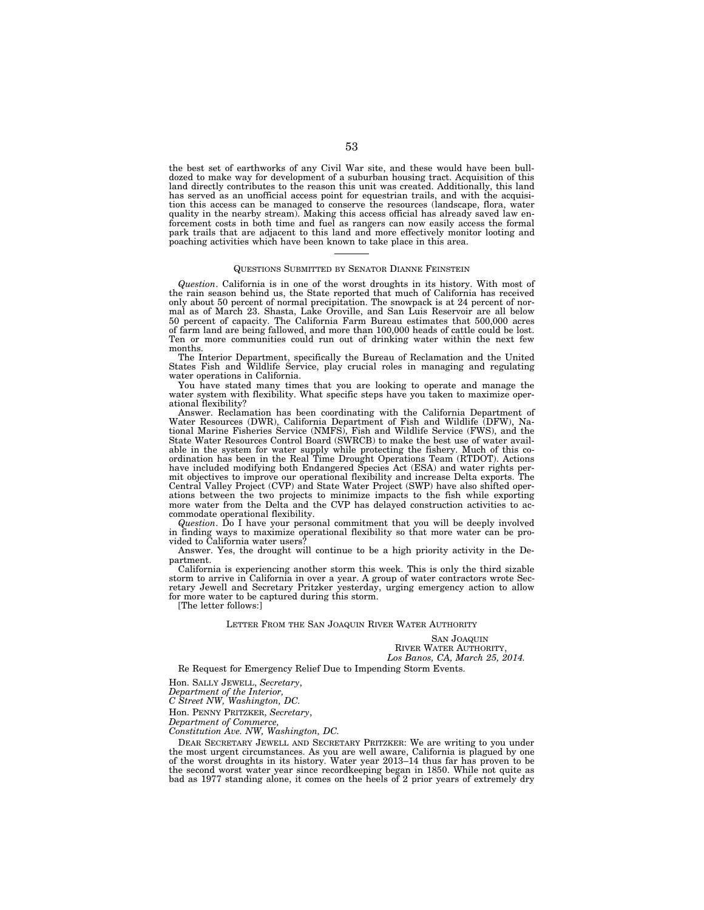the best set of earthworks of any Civil War site, and these would have been bulldozed to make way for development of a suburban housing tract. Acquisition of this land directly contributes to the reason this unit was created. Additionally, this land has served as an unofficial access point for equestrian trails, and with the acquisition this access can be managed to conserve the resources (landscape, flora, water quality in the nearby stream). Making this access official has already saved law enforcement costs in both time and fuel as rangers can now easily access the formal park trails that are adjacent to this land and more effectively monitor looting and poaching activities which have been known to take place in this area.

#### QUESTIONS SUBMITTED BY SENATOR DIANNE FEINSTEIN

*Question*. California is in one of the worst droughts in its history. With most of the rain season behind us, the State reported that much of California has received only about 50 percent of normal precipitation. The snowpack is at 24 percent of normal as of March 23. Shasta, Lake Oroville, and San Luis Reservoir are all below 50 percent of capacity. The California Farm Bureau estimates that 500,000 acres of farm land are being fallowed, and more than 100,000 heads of cattle could be lost. Ten or more communities could run out of drinking water within the next few months.

The Interior Department, specifically the Bureau of Reclamation and the United States Fish and Wildlife Service, play crucial roles in managing and regulating water operations in California.

You have stated many times that you are looking to operate and manage the water system with flexibility. What specific steps have you taken to maximize operational flexibility?

Answer. Reclamation has been coordinating with the California Department of Water Resources (DWR), California Department of Fish and Wildlife (DFW), National Marine Fisheries Service (NMFS), Fish and Wildlife Service (FWS), and the State Water Resources Control Board (SWRCB) to make the best use of water available in the system for water supply while protecting the fishery. Much of this coordination has been in the Real Time Drought Operations Team (RTDOT). Actions have included modifying both Endangered Species Act (ESA) and water rights permit objectives to improve our operational flexibility and increase Delta exports. The Central Valley Project (CVP) and State Water Project (SWP) have also shifted operations between the two projects to minimize impacts to the fish while exporting more water from the Delta and the CVP has delayed construction activities to accommodate operational flexibility.

*Question*. Do I have your personal commitment that you will be deeply involved in finding ways to maximize operational flexibility so that more water can be provided to California water users?

Answer. Yes, the drought will continue to be a high priority activity in the Department.

California is experiencing another storm this week. This is only the third sizable storm to arrive in California in over a year. A group of water contractors wrote Secretary Jewell and Secretary Pritzker yesterday, urging emergency action to allow for more water to be captured during this storm.

[The letter follows:]

### LETTER FROM THE SAN JOAQUIN RIVER WATER AUTHORITY

SAN JOAQUIN RIVER WATER AUTHORITY, *Los Banos, CA, March 25, 2014.* 

Re Request for Emergency Relief Due to Impending Storm Events.

Hon. SALLY JEWELL, *Secretary*,

*Department of the Interior,* 

*C Street NW, Washington, DC.* 

Hon. PENNY PRITZKER, *Secretary*,

*Department of Commerce,* 

*Constitution Ave. NW, Washington, DC.* 

DEAR SECRETARY JEWELL AND SECRETARY PRITZKER: We are writing to you under the most urgent circumstances. As you are well aware, California is plagued by one of the worst droughts in its history. Water year 2013–14 thus far has proven to be the second worst water year since recordkeeping began in 1850. While not quite as bad as 1977 standing alone, it comes on the heels of 2 prior years of extremely dry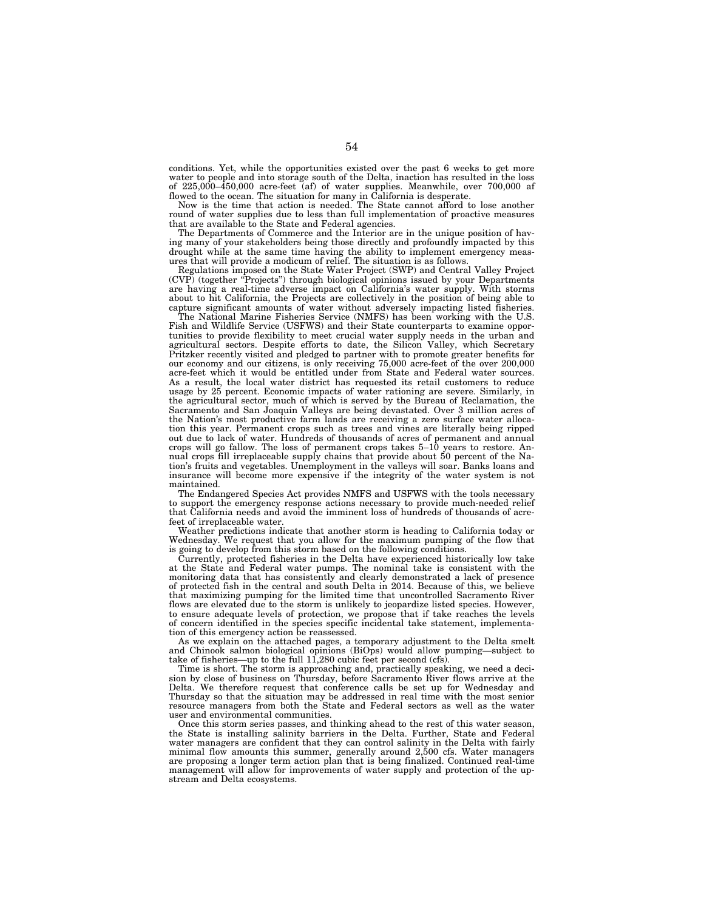conditions. Yet, while the opportunities existed over the past 6 weeks to get more water to people and into storage south of the Delta, inaction has resulted in the loss of  $225,000-450,000$  acre-feet (af) of water supplies. Meanwhile, over  $700,000$  af flowed to the ocean. The situation for many in California is desperate.

Now is the time that action is needed. The State cannot afford to lose another round of water supplies due to less than full implementation of proactive measures that are available to the State and Federal agencies.

The Departments of Commerce and the Interior are in the unique position of having many of your stakeholders being those directly and profoundly impacted by this drought while at the same time having the ability to implement emergency measures that will provide a modicum of relief. The situation is as follows.

Regulations imposed on the State Water Project (SWP) and Central Valley Project (CVP) (together ''Projects'') through biological opinions issued by your Departments are having a real-time adverse impact on California's water supply. With storms about to hit California, the Projects are collectively in the position of being able to capture significant amounts of water without adversely impacting listed fisheries.

The National Marine Fisheries Service (NMFS) has been working with the U.S. Fish and Wildlife Service (USFWS) and their State counterparts to examine opportunities to provide flexibility to meet crucial water supply needs in the urban and agricultural sectors. Despite efforts to date, the Silicon Valley, which Secretary Pritzker recently visited and pledged to partner with to promote greater benefits for our economy and our citizens, is only receiving 75,000 acre-feet of the over 200,000 acre-feet which it would be entitled under from State and Federal water sources. As a result, the local water district has requested its retail customers to reduce usage by 25 percent. Economic impacts of water rationing are severe. Similarly, in the agricultural sector, much of which is served by the Bureau of Reclamation, the Sacramento and San Joaquin Valleys are being devastated. Over 3 million acres of the Nation's most productive farm lands are receiving a zero surface water allocation this year. Permanent crops such as trees and vines are literally being ripped out due to lack of water. Hundreds of thousands of acres of permanent and annual crops will go fallow. The loss of permanent crops takes 5–10 years to restore. Annual crops fill irreplaceable supply chains that provide about 50 percent of the Nation's fruits and vegetables. Unemployment in the valleys will soar. Banks loans and insurance will become more expensive if the integrity of the water system is not maintained.

The Endangered Species Act provides NMFS and USFWS with the tools necessary to support the emergency response actions necessary to provide much-needed relief that California needs and avoid the imminent loss of hundreds of thousands of acrefeet of irreplaceable water.

Weather predictions indicate that another storm is heading to California today or Wednesday. We request that you allow for the maximum pumping of the flow that is going to develop from this storm based on the following conditions.

Currently, protected fisheries in the Delta have experienced historically low take at the State and Federal water pumps. The nominal take is consistent with the monitoring data that has consistently and clearly demonstrated a lack of presence of protected fish in the central and south Delta in 2014. Because of this, we believe that maximizing pumping for the limited time that uncontrolled Sacramento River flows are elevated due to the storm is unlikely to jeopardize listed species. However, to ensure adequate levels of protection, we propose that if take reaches the levels of concern identified in the species specific incidental take statement, implementation of this emergency action be reassessed.

As we explain on the attached pages, a temporary adjustment to the Delta smelt and Chinook salmon biological opinions (BiOps) would allow pumping—subject to take of fisheries—up to the full  $11,280$  cubic feet per second (cfs).

Time is short. The storm is approaching and, practically speaking, we need a decision by close of business on Thursday, before Sacramento River flows arrive at the Delta. We therefore request that conference calls be set up for Wednesday and Thursday so that the situation may be addressed in real time with the most senior resource managers from both the State and Federal sectors as well as the water user and environmental communities.

Once this storm series passes, and thinking ahead to the rest of this water season, the State is installing salinity barriers in the Delta. Further, State and Federal water managers are confident that they can control salinity in the Delta with fairly minimal flow amounts this summer, generally around 2,500 cfs. Water managers are proposing a longer term action plan that is being finalized. Continued real-time management will allow for improvements of water supply and protection of the upstream and Delta ecosystems.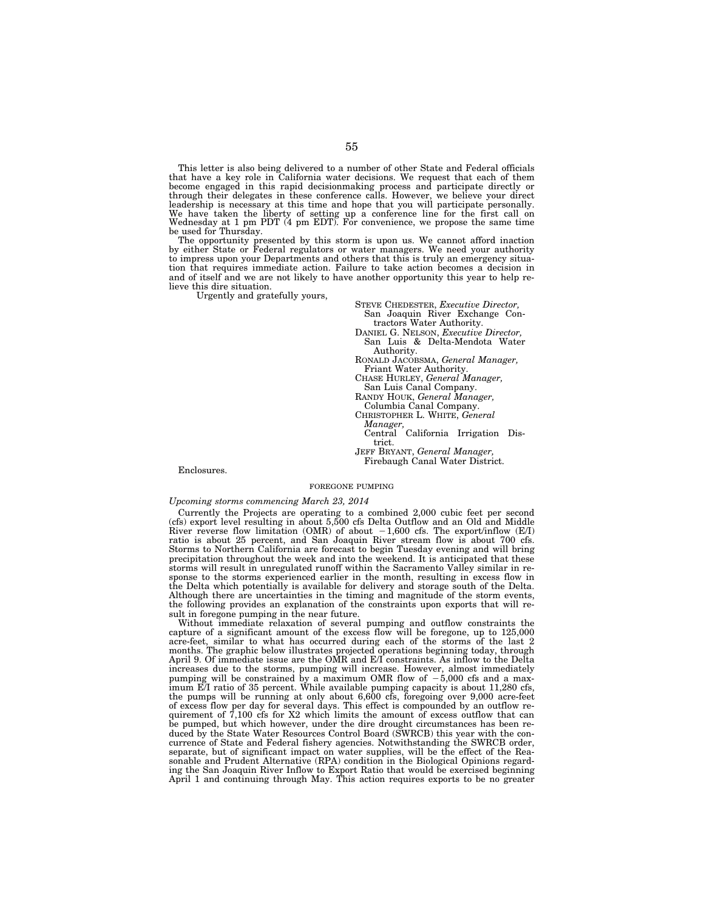This letter is also being delivered to a number of other State and Federal officials that have a key role in California water decisions. We request that each of them become engaged in this rapid decisionmaking process and participate directly or through their delegates in these conference calls. However, we believe your direct leadership is necessary at this time and hope that you will participate personally. We have taken the liberty of setting up a conference line for the first call on Wednesday at 1 pm PDT (4 pm EDT). For convenience, we propose the same time be used for Thursday.

The opportunity presented by this storm is upon us. We cannot afford inaction<br>by either State or Federal regulators or water managers. We need your authority<br>to impress upon your Departments and others that this is truly a tion that requires immediate action. Failure to take action becomes a decision in and of itself and we are not likely to have another opportunity this year to help relieve this dire situation.

Urgently and gratefully yours,

STEVE CHEDESTER, *Executive Director,*  San Joaquin River Exchange Contractors Water Authority. DANIEL G. NELSON, *Executive Director,*  San Luis & Delta-Mendota Water Authority. RONALD JACOBSMA, *General Manager,*  Friant Water Authority.

CHASE HURLEY, *General Manager,*  San Luis Canal Company.

RANDY HOUK, *General Manager,* 

Columbia Canal Company.

CHRISTOPHER L. WHITE, *General* 

*Manager,* 

Central California Irrigation District.

JEFF BRYANT, *General Manager,*  Firebaugh Canal Water District.

#### Enclosures.

#### FOREGONE PUMPING

## *Upcoming storms commencing March 23, 2014*

Currently the Projects are operating to a combined 2,000 cubic feet per second (cfs) export level resulting in about 5,500 cfs Delta Outflow and an Old and Middle River reverse flow limitation  $(OMR)$  of about  $-1,600$  cfs. The export/inflow  $(E/I)$ ratio is about 25 percent, and San Joaquin River stream flow is about 700 cfs. Storms to Northern California are forecast to begin Tuesday evening and will bring precipitation throughout the week and into the weekend. It is anticipated that these storms will result in unregulated runoff within the Sacramento Valley similar in response to the storms experienced earlier in the month, resulting in excess flow in the Delta which potentially is available for delivery and storage south of the Delta. Although there are uncertainties in the timing and magnitude of the storm events, the following provides an explanation of the constraints upon exports that will result in foregone pumping in the near future.

Without immediate relaxation of several pumping and outflow constraints the capture of a significant amount of the excess flow will be foregone, up to 125,000 acre-feet, similar to what has occurred during each of the storms of the last 2 months. The graphic below illustrates projected operations beginning today, through April 9. Of immediate issue are the OMR and E/I constraints. As inflow to the Delta increases due to the storms, pumping will increase. However, almost immediately pumping will be constrained by a maximum OMR flow of  $-5,000$  cfs and a maximum E/I ratio of 35 percent. While available pumping capacity is about 11,280 cfs, the pumps will be running at only about 6,600 cfs, foregoing over 9,000 acre-feet of excess flow per day for several days. This effect is compounded by an outflow requirement of 7,100 cfs for X2 which limits the amount of excess outflow that can be pumped, but which however, under the dire drought circumstances has been reduced by the State Water Resources Control Board (SWRCB) this year with the concurrence of State and Federal fishery agencies. Notwithstanding the SWRCB order, separate, but of significant impact on water supplies, will be the effect of the Reasonable and Prudent Alternative (RPA) condition in the Biological Opinions regarding the San Joaquin River Inflow to Export Ratio that would be exercised beginning April 1 and continuing through May. This action requires exports to be no greater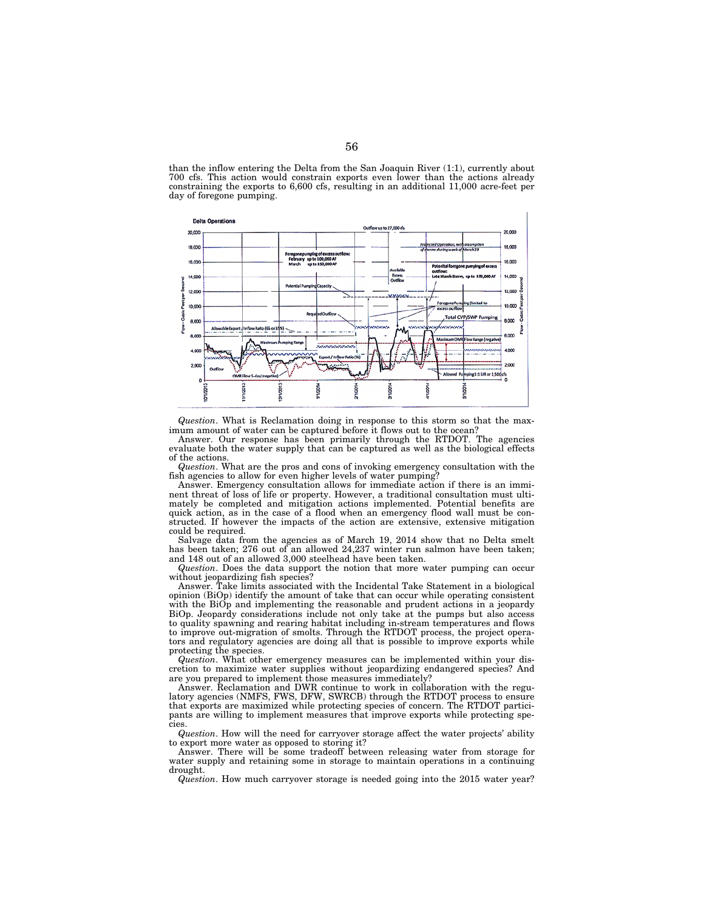



*Question*. What is Reclamation doing in response to this storm so that the maximum amount of water can be captured before it flows out to the ocean?

Answer. Our response has been primarily through the RTDOT. The agencies evaluate both the water supply that can be captured as well as the biological effects of the actions.

*Question*. What are the pros and cons of invoking emergency consultation with the fish agencies to allow for even higher levels of water pumping?

Answer. Emergency consultation allows for immediate action if there is an imminent threat of loss of life or property. However, a traditional consultation must ultimately be completed and mitigation actions implemented. Potential benefits are quick action, as in the case of a flood when an emergency flood wall must be constructed. If however the impacts of the action are extensive, extensive mitigation could be required.

Salvage data from the agencies as of March 19, 2014 show that no Delta smelt has been taken; 276 out of an allowed 24,237 winter run salmon have been taken; and 148 out of an allowed 3,000 steelhead have been taken.

*Question*. Does the data support the notion that more water pumping can occur without jeopardizing fish species?

Answer. Take limits associated with the Incidental Take Statement in a biological opinion (BiOp) identify the amount of take that can occur while operating consistent with the BiOp and implementing the reasonable and prudent actions in a jeopardy BiOp. Jeopardy considerations include not only take at the pumps but also access to quality spawning and rearing habitat including in-stream temperatures and flows to improve out-migration of smolts. Through the RTDOT process, the project operators and regulatory agencies are doing all that is possible to improve exports while protecting the species.

*Question*. What other emergency measures can be implemented within your discretion to maximize water supplies without jeopardizing endangered species? And are you prepared to implement those measures immediately?

Answer. Reclamation and DWR continue to work in collaboration with the regulatory agencies (NMFS, FWS, DFW, SWRCB) through the RTDOT process to ensure that exports are maximized while protecting species of concern. The RTDOT participants are willing to implement measures that improve exports while protecting species.

*Question*. How will the need for carryover storage affect the water projects' ability to export more water as opposed to storing it?

Answer. There will be some tradeoff between releasing water from storage for water supply and retaining some in storage to maintain operations in a continuing drought.

*Question*. How much carryover storage is needed going into the 2015 water year?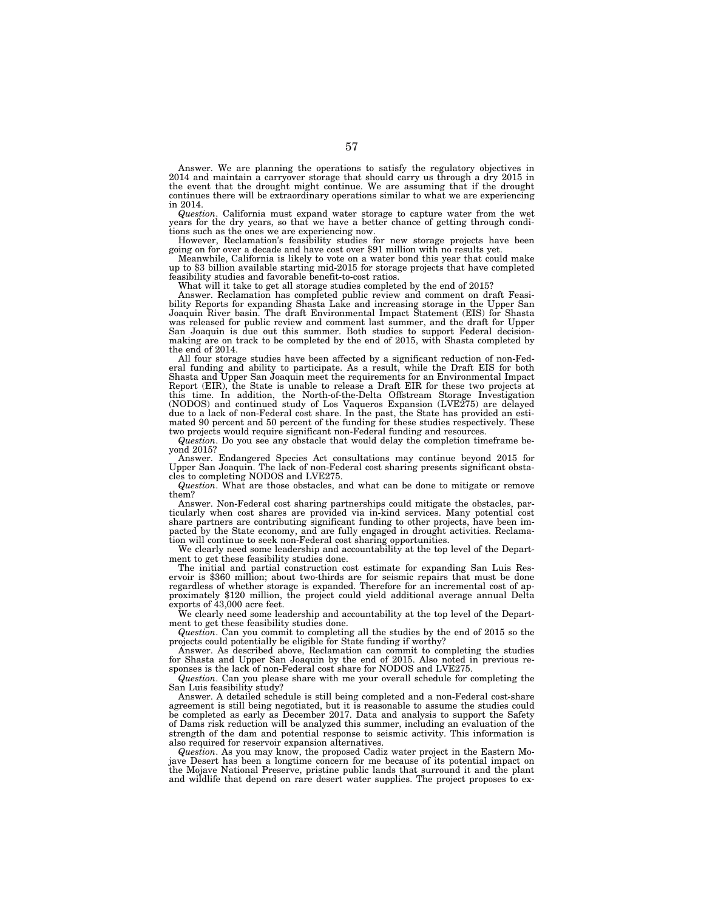Answer. We are planning the operations to satisfy the regulatory objectives in 2014 and maintain a carryover storage that should carry us through a dry 2015 in the event that the drought might continue. We are assuming that if the drought continues there will be extraordinary operations similar to what we are experiencing in 2014.

*Question*. California must expand water storage to capture water from the wet years for the dry years, so that we have a better chance of getting through condi-

tions such as the ones we are experiencing now. Figure on for over a decade and have cost over \$91 million with no results yet.<br>Meanwhile, California is likely to vote on a water bond this year that could make

Meanwhile, California is likely to vote on a water bond this year that could make up to \$3 billion available starting mid-2015 for storage projects that have completed feasibility studies and favorable benefit-to-cost rati

What will it take to get all storage studies completed by the end of 2015?

Answer. Reclamation has completed public review and comment on draft Feasibility Reports for expanding Shasta Lake and increasing storage in the Upper San Joaquin River basin. The draft Environmental Impact Statement (EIS) for Shasta was released for public review and comment last summer, and the draft for Upper San Joaquin is due out this summer. Both studies to support Federal decisionmaking are on track to be completed by the end of 2015, with Shasta completed by the end of 2014.

All four storage studies have been affected by a significant reduction of non-Fed-eral funding and ability to participate. As a result, while the Draft EIS for both Shasta and Upper San Joaquin meet the requirements for an Environmental Impact Report (EIR), the State is unable to release a Draft EIR for these two projects at this time. In addition, the North-of-the-Delta Offstream Storage Investigation<br>(NODOS) and continued study of Los Vaqueros Expansion (LVE275) are delayed<br>due to a lack of non-Federal cost share. In the past, the State has mated 90 percent and 50 percent of the funding for these studies respectively. These two projects would require significant non-Federal funding and resources.

*Question*. Do you see any obstacle that would delay the completion timeframe beyond 2015?

Answer. Endangered Species Act consultations may continue beyond 2015 for Upper San Joaquin. The lack of non-Federal cost sharing presents significant obsta-cles to completing NODOS and LVE275.

*Question*. What are those obstacles, and what can be done to mitigate or remove them?

Answer. Non-Federal cost sharing partnerships could mitigate the obstacles, particularly when cost shares are provided via in-kind services. Many potential cost share partners are contributing significant funding to other projects, have been impacted by the State economy, and are fully engaged in drought activities. Reclamation will continue to seek non-Federal cost sharing opportunities.

We clearly need some leadership and accountability at the top level of the Department to get these feasibility studies done.

The initial and partial construction cost estimate for expanding San Luis Reservoir is \$360 million; about two-thirds are for seismic repairs that must be done regardless of whether storage is expanded. Therefore for an incremental cost of approximately \$120 million, the project could yield additional average annual Delta exports of 43,000 acre feet.

We clearly need some leadership and accountability at the top level of the Department to get these feasibility studies done.

*Question*. Can you commit to completing all the studies by the end of 2015 so the projects could potentially be eligible for State funding if worthy?

Answer. As described above, Reclamation can commit to completing the studies for Shasta and Upper San Joaquin by the end of 2015. Also noted in previous responses is the lack of non-Federal cost share for NODOS and LVE275.

*Question*. Can you please share with me your overall schedule for completing the San Luis feasibility study?

Answer. A detailed schedule is still being completed and a non-Federal cost-share agreement is still being negotiated, but it is reasonable to assume the studies could be completed as early as December 2017. Data and analysis to support the Safety of Dams risk reduction will be analyzed this summer, including an evaluation of the strength of the dam and potential response to seismic activity. This information is also required for reservoir expansion alternatives.

*Question*. As you may know, the proposed Cadiz water project in the Eastern Mojave Desert has been a longtime concern for me because of its potential impact on the Mojave National Preserve, pristine public lands that surround it and the plant and wildlife that depend on rare desert water supplies. The project proposes to ex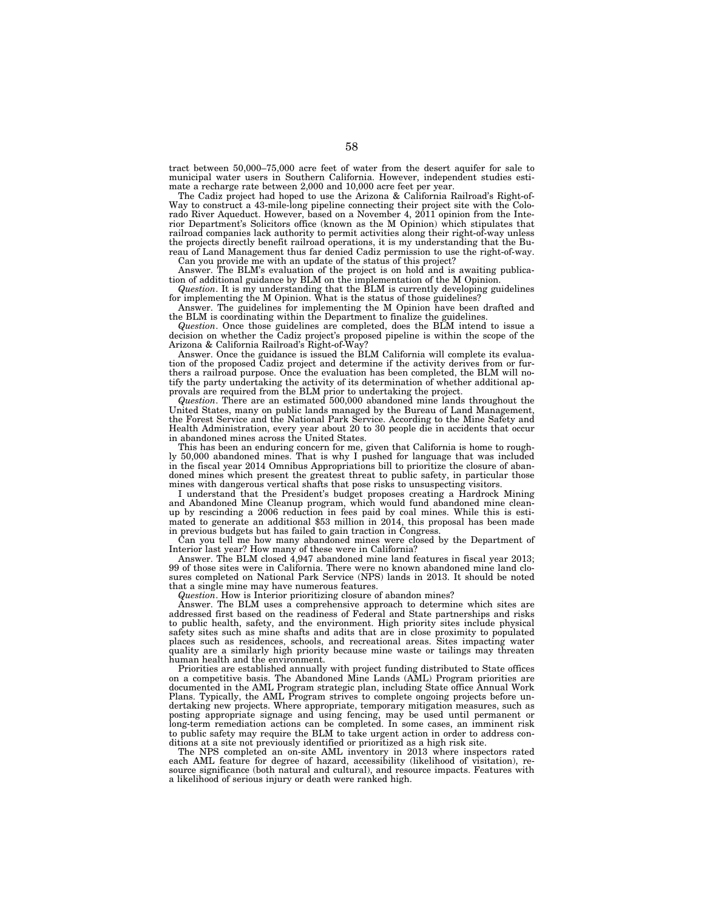tract between 50,000–75,000 acre feet of water from the desert aquifer for sale to municipal water users in Southern California. However, independent studies estimate a recharge rate between 2,000 and 10,000 acre feet per year.

The Cadiz project had hoped to use the Arizona & California Railroad's Right-of-Way to construct a 43-mile-long pipeline connecting their project site with the Colorado River Aqueduct. However, based on a November 4, 2011 opinion from the Interior Department's Solicitors office (known as the M Opinion) which stipulates that railroad companies lack authority to permit activities along their right-of-way unless the projects directly benefit railroad operations, it is my understanding that the Bureau of Land Management thus far denied Cadiz permission to use the right-of-way.

Can you provide me with an update of the status of this project? Answer. The BLM's evaluation of the project is on hold and is awaiting publication of additional guidance by BLM on the implementation of the M Opinion.

*Question*. It is my understanding that the BLM is currently developing guidelines for implementing the M Opinion. What is the status of those guidelines?

Answer. The guidelines for implementing the M Opinion have been drafted and the BLM is coordinating within the Department to finalize the guidelines.

*Question*. Once those guidelines are completed, does the BLM intend to issue a decision on whether the Cadiz project's proposed pipeline is within the scope of the Arizona & California Railroad's Right-of-Way?

Answer. Once the guidance is issued the BLM California will complete its evaluation of the proposed Cadiz project and determine if the activity derives from or furthers a railroad purpose. Once the evaluation has been completed, the BLM will notify the party undertaking the activity of its determination of whether additional approvals are required from the BLM prior to undertaking the project.

*Question*. There are an estimated 500,000 abandoned mine lands throughout the United States, many on public lands managed by the Bureau of Land Management, the Forest Service and the National Park Service. According to the Mine Safety and Health Administration, every year about 20 to 30 people die in accidents that occur in abandoned mines across the United States.

This has been an enduring concern for me, given that California is home to roughly 50,000 abandoned mines. That is why I pushed for language that was included in the fiscal year 2014 Omnibus Appropriations bill to prioritize the closure of abandoned mines which present the greatest threat to public safety, in particular those mines with dangerous vertical shafts that pose risks to unsuspecting visitors.

I understand that the President's budget proposes creating a Hardrock Mining and Abandoned Mine Cleanup program, which would fund abandoned mine cleanup by rescinding a 2006 reduction in fees paid by coal mines. While this is estimated to generate an additional \$53 million in 2014, this proposal has been made in previous budgets but has failed to gain traction in Congress.

Can you tell me how many abandoned mines were closed by the Department of Interior last year? How many of these were in California?

Answer. The BLM closed 4,947 abandoned mine land features in fiscal year 2013; 99 of those sites were in California. There were no known abandoned mine land closures completed on National Park Service (NPS) lands in 2013. It should be noted that a single mine may have numerous features.

*Question*. How is Interior prioritizing closure of abandon mines?

Answer. The BLM uses a comprehensive approach to determine which sites are addressed first based on the readiness of Federal and State partnerships and risks to public health, safety, and the environment. High priority sites include physical safety sites such as mine shafts and adits that are in close proximity to populated places such as residences, schools, and recreational areas. Sites impacting water quality are a similarly high priority because mine waste or tailings may threaten human health and the environment.

Priorities are established annually with project funding distributed to State offices on a competitive basis. The Abandoned Mine Lands (AML) Program priorities are documented in the AML Program strategic plan, including State office Annual Work Plans. Typically, the AML Program strives to complete ongoing projects before undertaking new projects. Where appropriate, temporary mitigation measures, such as posting appropriate signage and using fencing, may be used until permanent or long-term remediation actions can be completed. In some cases, an imminent risk to public safety may require the BLM to take urgent action in order to address conditions at a site not previously identified or prioritized as a high risk site.

The NPS completed an on-site AML inventory in 2013 where inspectors rated each AML feature for degree of hazard, accessibility (likelihood of visitation), resource significance (both natural and cultural), and resource impacts. Features with a likelihood of serious injury or death were ranked high.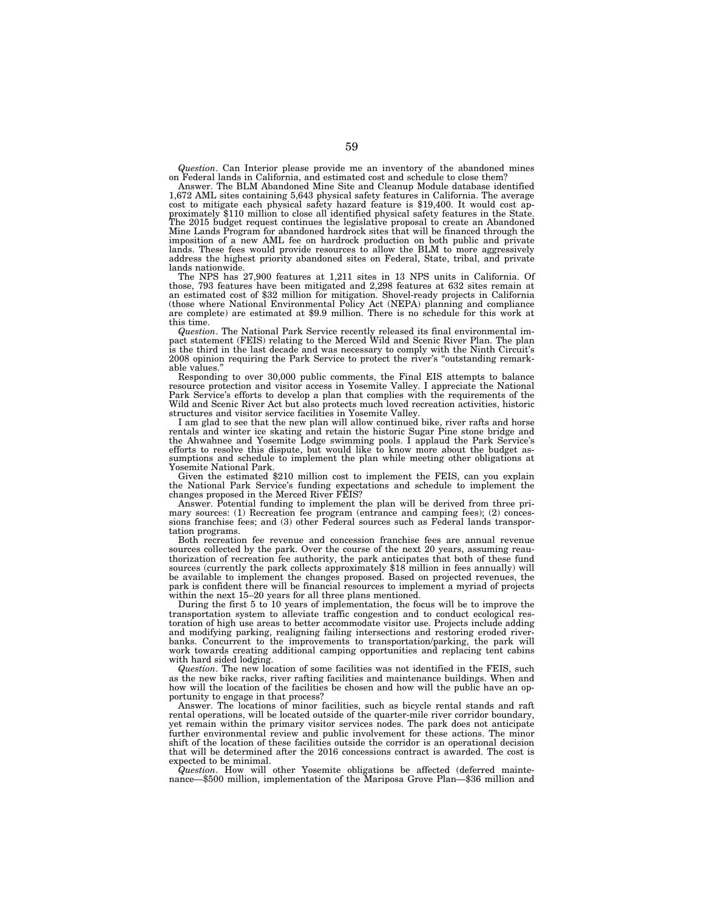*Question*. Can Interior please provide me an inventory of the abandoned mines on Federal lands in California, and estimated cost and schedule to close them?

Answer. The BLM Abandoned Mine Site and Cleanup Module database identified 1,672 AML sites containing 5,643 physical safety features in California. The average cost to mitigate each physical safety hazard feature is \$19,400. It would cost approximately \$110 million to close all identified physical safety features in the State.<br>The 2015 budget request continues the legislative proposal to create an Abandoned<br>Mine Lands Program for abandoned hardrock sites that imposition of a new AML fee on hardrock production on both public and private lands. These fees would provide resources to allow the BLM to more aggressively address the highest priority abandoned sites on Federal, State, tribal, and private

lands nationwide. The NPS has 27,900 features at 1,211 sites in 13 NPS units in California. Of those, 793 features have been mitigated and 2,298 features at 632 sites remain at an estimated cost of \$32 million for mitigation. Shovel-ready projects in California (those where National Environmental Policy Act (NEPA) planning and compliance are complete) are estimated at \$9.9 million. There is no schedule for this work at this time.

*Question*. The National Park Service recently released its final environmental impact statement (FEIS) relating to the Merced Wild and Scenic River Plan. The plan is the third in the last decade and was necessary to comply with the Ninth Circuit's 2008 opinion requiring the Park Service to protect the river's ''outstanding remarkable values.''

Responding to over 30,000 public comments, the Final EIS attempts to balance resource protection and visitor access in Yosemite Valley. I appreciate the National Park Service's efforts to develop a plan that complies with the requirements of the Wild and Scenic River Act but also protects much loved recreation activities, historic structures and visitor service facilities in Yosemite Valley.

I am glad to see that the new plan will allow continued bike, river rafts and horse rentals and winter ice skating and retain the historic Sugar Pine stone bridge and<br>the Ahwahnee and Yosemite Lodge swimming pools. I applaud the Park Service's<br>efforts to resolve this dispute, but would like to know more a sumptions and schedule to implement the plan while meeting other obligations at Yosemite National Park.

Given the estimated \$210 million cost to implement the FEIS, can you explain the National Park Service's funding expectations and schedule to implement the changes proposed in the Merced River FEIS?

Answer. Potential funding to implement the plan will be derived from three primary sources: (1) Recreation fee program (entrance and camping fees); (2) concessions franchise fees; and (3) other Federal sources such as Federal lands transportation programs.

Both recreation fee revenue and concession franchise fees are annual revenue sources collected by the park. Over the course of the next 20 years, assuming reauthorization of recreation fee authority, the park anticipates that both of these fund sources (currently the park collects approximately \$18 million in fees annually) will be available to implement the changes proposed. Based on projected revenues, the park is confident there will be financial resources to implement a myriad of projects within the next 15–20 years for all three plans mentioned.

During the first 5 to 10 years of implementation, the focus will be to improve the transportation system to alleviate traffic congestion and to conduct ecological restoration of high use areas to better accommodate visitor use. Projects include adding and modifying parking, realigning failing intersections and restoring eroded riverbanks. Concurrent to the improvements to transportation/parking, the park will work towards creating additional camping opportunities and replacing tent cabins with hard sided lodging.

*Question*. The new location of some facilities was not identified in the FEIS, such as the new bike racks, river rafting facilities and maintenance buildings. When and how will the location of the facilities be chosen and how will the public have an opportunity to engage in that process?

Answer. The locations of minor facilities, such as bicycle rental stands and raft rental operations, will be located outside of the quarter-mile river corridor boundary, yet remain within the primary visitor services nodes. The park does not anticipate further environmental review and public involvement for these actions. The minor shift of the location of these facilities outside the corridor is an operational decision that will be determined after the 2016 concessions contract is awarded. The cost is expected to be minimal.

*Question*. How will other Yosemite obligations be affected (deferred maintenance—\$500 million, implementation of the Mariposa Grove Plan—\$36 million and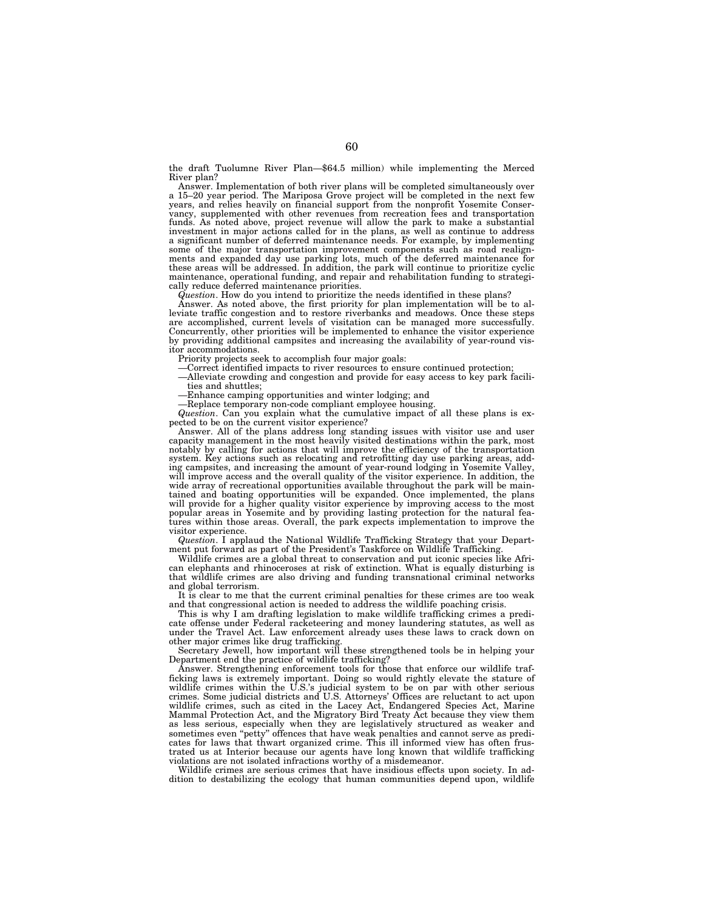the draft Tuolumne River Plan—\$64.5 million) while implementing the Merced River plan?

Answer. Implementation of both river plans will be completed simultaneously over a 15–20 year period. The Mariposa Grove project will be completed in the next few years, and relies heavily on financial support from the nonprofit Yosemite Conservancy, supplemented with other revenues from recreation fees and transportation funds. As noted above, project revenue will allow the park to make a substantial investment in major actions called for in the plans, as well as continue to address a significant number of deferred maintenance needs. For example, by implementing some of the major transportation improvement components such as road realignments and expanded day use parking lots, much of the deferred maintenance for these areas will be addressed. In addition, the park will continue to prioritize cyclic maintenance, operational funding, and repair and rehabilitation funding to strategically reduce deferred maintenance priorities.

*Question*. How do you intend to prioritize the needs identified in these plans?

Answer. As noted above, the first priority for plan implementation will be to al-leviate traffic congestion and to restore riverbanks and meadows. Once these steps are accomplished, current levels of visitation can be managed more successfully. Concurrently, other priorities will be implemented to enhance the visitor experience by providing additional campsites and increasing the availability of year-round visitor accommodations.

Priority projects seek to accomplish four major goals:

—Correct identified impacts to river resources to ensure continued protection;

—Alleviate crowding and congestion and provide for easy access to key park facilities and shuttles;

—Enhance camping opportunities and winter lodging; and —Replace temporary non-code compliant employee housing.

*Question*. Can you explain what the cumulative impact of all these plans is expected to be on the current visitor experience?

Answer. All of the plans address long standing issues with visitor use and user capacity management in the most heavily visited destinations within the park, most notably by calling for actions that will improve the efficiency of the transportation system. Key actions such as relocating and retrofitting day use parking areas, adding campsites, and increasing the amount of year-round lodging in Yosemite Valley, will improve access and the overall quality of the visitor experience. In addition, the wide array of recreational opportunities available throughout the park will be maintained and boating opportunities will be expanded. Once implemented, the plans will provide for a higher quality visitor experience by improving access to the most popular areas in Yosemite and by providing lasting protection for the natural fea-tures within those areas. Overall, the park expects implementation to improve the visitor experience.

*Question*. I applaud the National Wildlife Trafficking Strategy that your Department put forward as part of the President's Taskforce on Wildlife Trafficking.

Wildlife crimes are a global threat to conservation and put iconic species like African elephants and rhinoceroses at risk of extinction. What is equally disturbing is that wildlife crimes are also driving and funding transnational criminal networks and global terrorism.

It is clear to me that the current criminal penalties for these crimes are too weak and that congressional action is needed to address the wildlife poaching crisis.

This is why I am drafting legislation to make wildlife trafficking crimes a predicate offense under Federal racketeering and money laundering statutes, as well as under the Travel Act. Law enforcement already uses these laws to crack down on other major crimes like drug trafficking.

Secretary Jewell, how important will these strengthened tools be in helping your Department end the practice of wildlife trafficking?

Answer. Strengthening enforcement tools for those that enforce our wildlife trafficking laws is extremely important. Doing so would rightly elevate the stature of wildlife crimes within the U.S.'s judicial system to be on par with other serious crimes. Some judicial districts and U.S. Attorneys' Offices are reluctant to act upon wildlife crimes, such as cited in the Lacey Act, Endangered Species Act, Marine Mammal Protection Act, and the Migratory Bird Treaty Act because they view them as less serious, especially when they are legislatively structured as weaker and "petty" offences that have weak penalties and cannot serve as predicates for laws that thwart organized crime. This ill informed view has often frustrated us at Interior because our agents have long known that wildlife trafficking violations are not isolated infractions worthy of a misdemeanor.

Wildlife crimes are serious crimes that have insidious effects upon society. In addition to destabilizing the ecology that human communities depend upon, wildlife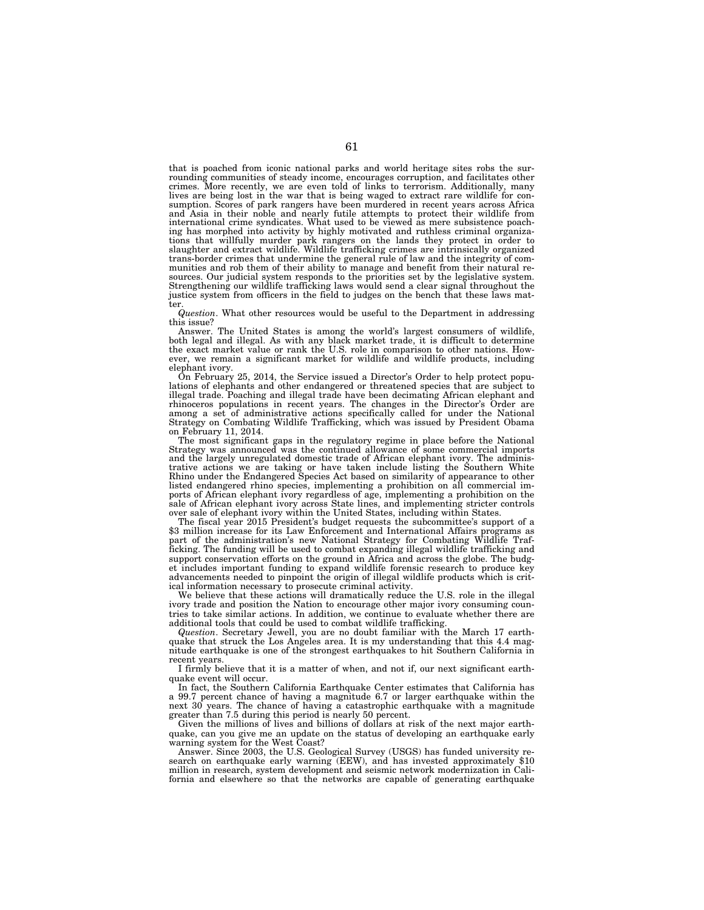that is poached from iconic national parks and world heritage sites robs the surrounding communities of steady income, encourages corruption, and facilitates other crimes. More recently, we are even told of links to terrorism. Additionally, many lives are being lost in the war that is being waged to extract rare wildlife for consumption. Scores of park rangers have been murdered in recent years across Africa and Asia in their noble and nearly futile attempts to protect their wildlife from international crime syndicates. What used to be viewed as mere subsistence poaching has morphed into activity by highly motivated and ruthless criminal organizations that willfully murder park rangers on the lands they protect in order to slaughter and extract wildlife. Wildlife trafficking crimes are intrinsically organized trans-border crimes that undermine the general rule of law and the integrity of communities and rob them of their ability to manage and benefit from their natural re-sources. Our judicial system responds to the priorities set by the legislative system. Strengthening our wildlife trafficking laws would send a clear signal throughout the justice system from officers in the field to judges on the bench that these laws matter.

*Question*. What other resources would be useful to the Department in addressing this issue?

Answer. The United States is among the world's largest consumers of wildlife, both legal and illegal. As with any black market trade, it is difficult to determine the exact market value or rank the U.S. role in comparison to other nations. However, we remain a significant market for wildlife and wildlife products, including elephant ivory.

On February 25, 2014, the Service issued a Director's Order to help protect populations of elephants and other endangered or threatened species that are subject to illegal trade. Poaching and illegal trade have been decimating African elephant and rhinoceros populations in recent years. The changes in the Director's Order are among a set of administrative actions specifically called for under the National Strategy on Combating Wildlife Trafficking, which was issued by President Obama on February 11, 2014.

The most significant gaps in the regulatory regime in place before the National Strategy was announced was the continued allowance of some commercial imports and the largely unregulated domestic trade of African elephant ivory. The administrative actions we are taking or have taken include listing the Southern White Rhino under the Endangered Species Act based on similarity of appearance to other listed endangered rhino species, implementing a prohibition on all commercial imports of African elephant ivory regardless of age, implementing a prohibition on the sale of African elephant ivory across State lines, and implementing stricter controls over sale of elephant ivory within the United States, including within States.<br>The fiscal year 2015 President's budget requests the subcommittee's support of a

\$3 million increase for its Law Enforcement and International Affairs programs as part of the administration's new National Strategy for Combating Wildlife Trafficking. The funding will be used to combat expanding illegal wildlife trafficking and support conservation efforts on the ground in Africa and across the globe. The budget includes important funding to expand wildlife forensic research to produce key advancements needed to pinpoint the origin of illegal wildlife products which is critical information necessary to prosecute criminal activity.

We believe that these actions will dramatically reduce the U.S. role in the illegal ivory trade and position the Nation to encourage other major ivory consuming countries to take similar actions. In addition, we continue to evaluate whether there are additional tools that could be used to combat wildlife trafficking.

*Question*. Secretary Jewell, you are no doubt familiar with the March 17 earthquake that struck the Los Angeles area. It is my understanding that this 4.4 magnitude earthquake is one of the strongest earthquakes to hit Southern California in recent years.

I firmly believe that it is a matter of when, and not if, our next significant earthquake event will occur.

In fact, the Southern California Earthquake Center estimates that California has a 99.7 percent chance of having a magnitude 6.7 or larger earthquake within the next 30 years. The chance of having a catastrophic earthquake with a magnitude greater than 7.5 during this period is nearly 50 percent.

Given the millions of lives and billions of dollars at risk of the next major earthquake, can you give me an update on the status of developing an earthquake early warning system for the West Coast?

Answer. Since 2003, the U.S. Geological Survey (USGS) has funded university research on earthquake early warning (EEW), and has invested approximately \$10 million in research, system development and seismic network modernization in California and elsewhere so that the networks are capable of generating earthquake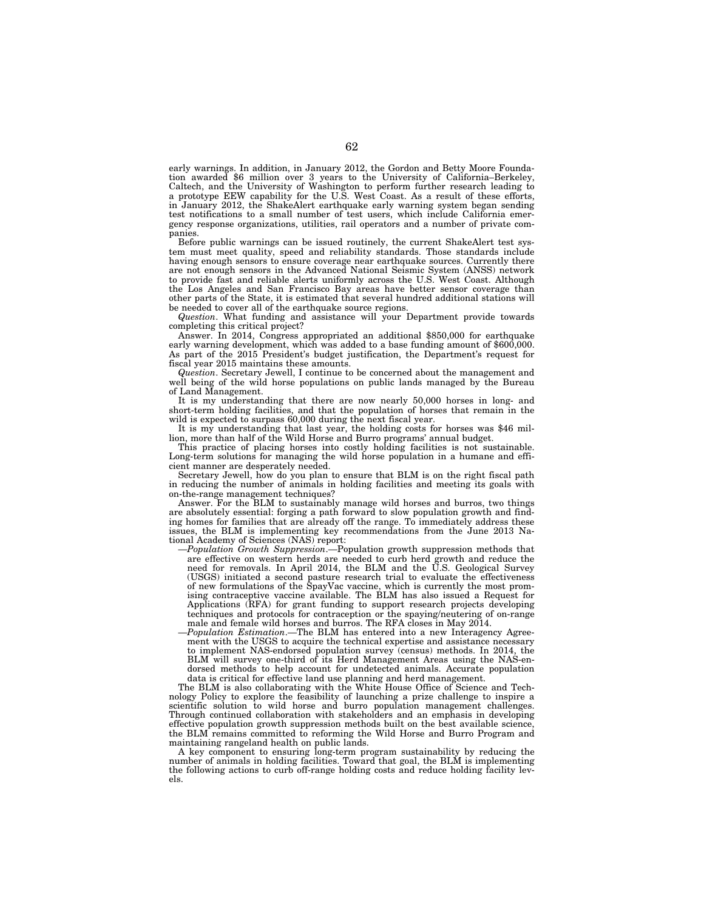early warnings. In addition, in January 2012, the Gordon and Betty Moore Foundation awarded \$6 million over 3 years to the University of California–Berkeley, Caltech, and the University of Washington to perform further research leading to a prototype EEW capability for the U.S. West Coast. As a result of these efforts, in January 2012, the ShakeAlert earthquake early warning system began sending test notifications to a small number of test users, which include California emergency response organizations, utilities, rail operators and a number of private companies.

Before public warnings can be issued routinely, the current ShakeAlert test system must meet quality, speed and reliability standards. Those standards include having enough sensors to ensure coverage near earthquake sources. Currently there are not enough sensors in the Advanced National Seismic System (ANSS) network to provide fast and reliable alerts uniformly across the U.S. West Coast. Although the Los Angeles and San Francisco Bay areas have better sensor coverage than other parts of the State, it is estimated that several hundred additional stations will be needed to cover all of the earthquake source regions.

*Question*. What funding and assistance will your Department provide towards completing this critical project?

Answer. In 2014, Congress appropriated an additional \$850,000 for earthquake early warning development, which was added to a base funding amount of \$600,000. As part of the 2015 President's budget justification, the Department's request for fiscal year 2015 maintains these amounts.

*Question*. Secretary Jewell, I continue to be concerned about the management and well being of the wild horse populations on public lands managed by the Bureau of Land Management.

It is my understanding that there are now nearly 50,000 horses in long- and short-term holding facilities, and that the population of horses that remain in the wild is expected to surpass  $60,000$  during the next fiscal year.

It is my understanding that last year, the holding costs for horses was \$46 million, more than half of the Wild Horse and Burro programs' annual budget.

This practice of placing horses into costly holding facilities is not sustainable. Long-term solutions for managing the wild horse population in a humane and efficient manner are desperately needed.

Secretary Jewell, how do you plan to ensure that BLM is on the right fiscal path in reducing the number of animals in holding facilities and meeting its goals with on-the-range management techniques?

Answer. For the BLM to sustainably manage wild horses and burros, two things are absolutely essential: forging a path forward to slow population growth and finding homes for families that are already off the range. To immediately address these issues, the BLM is implementing key recommendations from the June 2013 National Academy of Sciences (NAS) report:

- —*Population Growth Suppression*.—Population growth suppression methods that are effective on western herds are needed to curb herd growth and reduce the need for removals. In April 2014, the BLM and the U.S. Geological Survey (USGS) initiated a second pasture research trial to evaluate the effectiveness of new formulations of the SpayVac vaccine, which is currently the most promising contraceptive vaccine available. The BLM has also issued a Request for Applications (RFA) for grant funding to support research projects developing techniques and protocols for contraception or the spaying/neutering of on-range male and female wild horses and burros. The RFA closes in May 2014.
- —*Population Estimation*.—The BLM has entered into a new Interagency Agreement with the USGS to acquire the technical expertise and assistance necessary to implement NAS-endorsed population survey (census) methods. In 2014, the BLM will survey one-third of its Herd Management Areas using the NAS-endorsed methods to help account for undetected animals. Accurate population data is critical for effective land use planning and herd management.

The BLM is also collaborating with the White House Office of Science and Technology Policy to explore the feasibility of launching a prize challenge to inspire a scientific solution to wild horse and burro population management challenges. Through continued collaboration with stakeholders and an emphasis in developing effective population growth suppression methods built on the best available science, the BLM remains committed to reforming the Wild Horse and Burro Program and maintaining rangeland health on public lands.

A key component to ensuring long-term program sustainability by reducing the number of animals in holding facilities. Toward that goal, the BLM is implementing the following actions to curb off-range holding costs and reduce holding facility levels.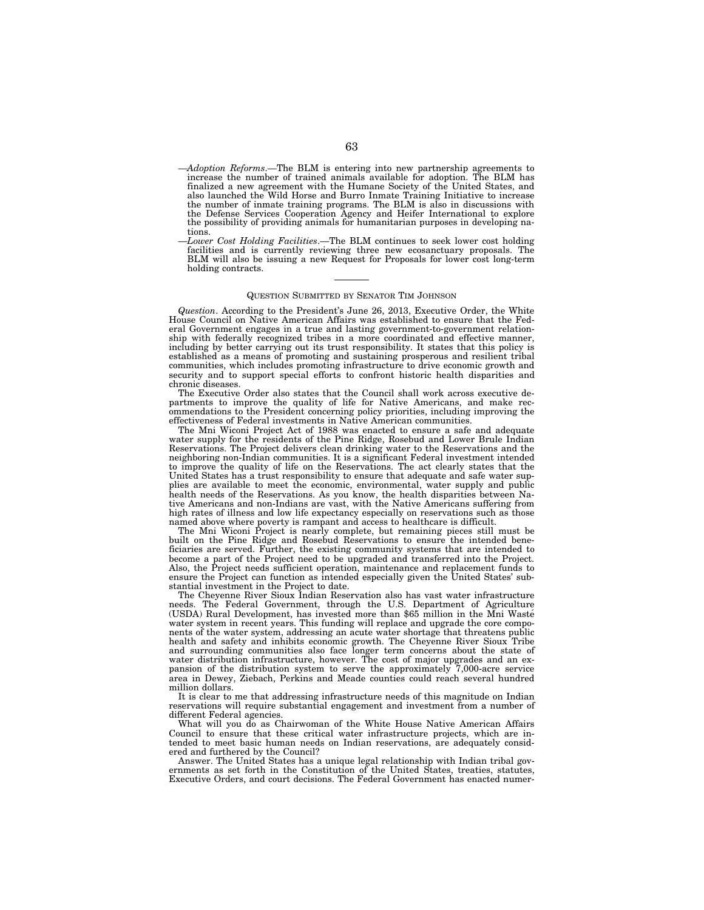- —*Adoption Reforms*.—The BLM is entering into new partnership agreements to increase the number of trained animals available for adoption. The BLM has finalized a new agreement with the Humane Society of the United States, and also launched the Wild Horse and Burro Inmate Training Initiative to increase the number of inmate training programs. The BLM is also in discussions with the Defense Services Cooperation Agency and Heifer International to explore the possibility of providing animals for humanitarian purposes in developing nations.
- —*Lower Cost Holding Facilities*.—The BLM continues to seek lower cost holding facilities and is currently reviewing three new ecosanctuary proposals. The BLM will also be issuing a new Request for Proposals for lower cost long-term holding contracts.

## QUESTION SUBMITTED BY SENATOR TIM JOHNSON

*Question*. According to the President's June 26, 2013, Executive Order, the White House Council on Native American Affairs was established to ensure that the Federal Government engages in a true and lasting government-to-government relationship with federally recognized tribes in a more coordinated and effective manner, including by better carrying out its trust responsibility. It states that this policy is established as a means of promoting and sustaining prosperous and resilient tribal communities, which includes promoting infrastructure to drive economic growth and security and to support special efforts to confront historic health disparities and chronic diseases.

The Executive Order also states that the Council shall work across executive departments to improve the quality of life for Native Americans, and make recommendations to the President concerning policy priorities, including improving the effectiveness of Federal investments in Native American communities.

The Mni Wiconi Project Act of 1988 was enacted to ensure a safe and adequate water supply for the residents of the Pine Ridge, Rosebud and Lower Brule Indian Reservations. The Project delivers clean drinking water to the Reservations and the neighboring non-Indian communities. It is a significant Federal investment intended to improve the quality of life on the Reservations. The act clearly states that the United States has a trust responsibility to ensure that adequate and safe water supplies are available to meet the economic, environmental, water supply and public health needs of the Reservations. As you know, the health disparities between Native Americans and non-Indians are vast, with the Native Americans suffering from high rates of illness and low life expectancy especially on reservations such as those named above where poverty is rampant and access to healthcare is difficult.

The Mni Wiconi Project is nearly complete, but remaining pieces still must be built on the Pine Ridge and Rosebud Reservations to ensure the intended beneficiaries are served. Further, the existing community systems that are intended to become a part of the Project need to be upgraded and transferred into the Project. Also, the Project needs sufficient operation, maintenance and replacement funds to ensure the Project can function as intended especially given the United States' substantial investment in the Project to date.

The Cheyenne River Sioux Indian Reservation also has vast water infrastructure needs. The Federal Government, through the U.S. Department of Agriculture (USDA) Rural Development, has invested more than \$65 million in the Mni Waste´ water system in recent years. This funding will replace and upgrade the core components of the water system, addressing an acute water shortage that threatens public health and safety and inhibits economic growth. The Cheyenne River Sioux Tribe and surrounding communities also face longer term concerns about the state of water distribution infrastructure, however. The cost of major upgrades and an expansion of the distribution system to serve the approximately  $\overline{7}$ ,000-acre service area in Dewey, Ziebach, Perkins and Meade counties could reach several hundred million dollars.

It is clear to me that addressing infrastructure needs of this magnitude on Indian reservations will require substantial engagement and investment from a number of different Federal agencies.

What will you do as Chairwoman of the White House Native American Affairs Council to ensure that these critical water infrastructure projects, which are intended to meet basic human needs on Indian reservations, are adequately considered and furthered by the Council?

Answer. The United States has a unique legal relationship with Indian tribal gov-ernments as set forth in the Constitution of the United States, treaties, statutes, Executive Orders, and court decisions. The Federal Government has enacted numer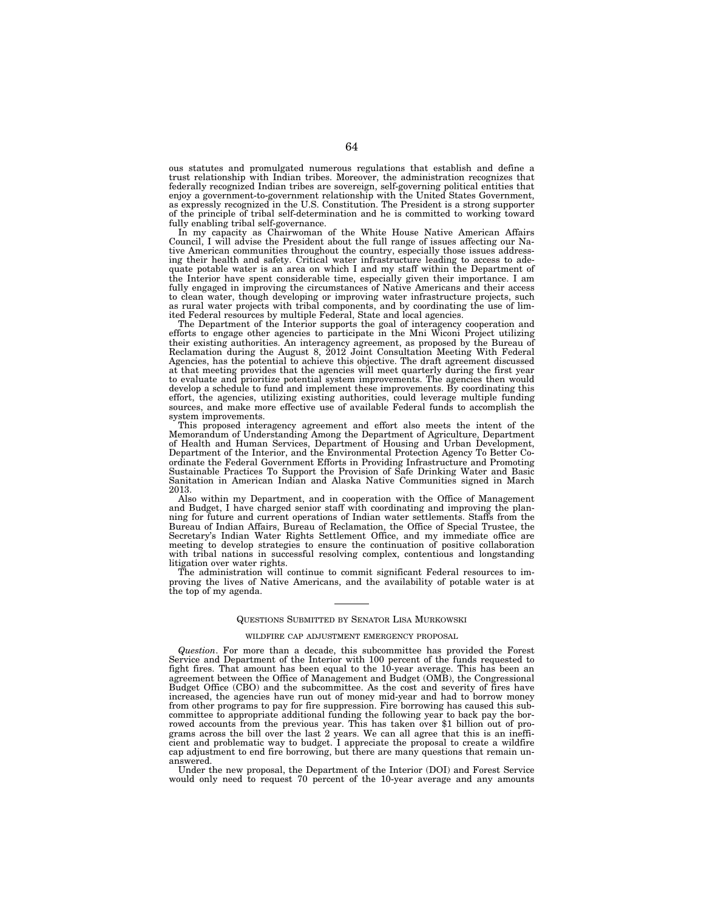ous statutes and promulgated numerous regulations that establish and define a trust relationship with Indian tribes. Moreover, the administration recognizes that federally recognized Indian tribes are sovereign, self-governing political entities that enjoy a government-to-government relationship with the United States Government, as expressly recognized in the U.S. Constitution. The President is a strong supporter of the principle of tribal self-determination and he is committed to working toward fully enabling tribal self-governance.

In my capacity as Chairwoman of the White House Native American Affairs Council, I will advise the President about the full range of issues affecting our Native American communities throughout the country, especially those issues addressing their health and safety. Critical water infrastructure leading to access to adequate potable water is an area on which I and my staff within the Department of the Interior have spent considerable time, especially given their importance. I am fully engaged in improving the circumstances of Native Americans and their access to clean water, though developing or improving water infrastructure projects, such as rural water projects with tribal components, and by coordinating the use of limited Federal resources by multiple Federal, State and local agencies.

The Department of the Interior supports the goal of interagency cooperation and efforts to engage other agencies to participate in the Mni Wiconi Project utilizing their existing authorities. An interagency agreement, as proposed by the Bureau of Reclamation during the August 8, 2012 Joint Consultation Meeting With Federal Agencies, has the potential to achieve this objective. The draft agreement discussed at that meeting provides that the agencies will meet quarterly during the first year to evaluate and prioritize potential system improvements. The agencies then would develop a schedule to fund and implement these improvements. By coordinating this effort, the agencies, utilizing existing authorities, could leverage multiple funding sources, and make more effective use of available Federal funds to accomplish the system improvements.

This proposed interagency agreement and effort also meets the intent of the Memorandum of Understanding Among the Department of Agriculture, Department of Health and Human Services, Department of Housing and Urban Development, Department of the Interior, and the Environmental Protection Agency To Better Coordinate the Federal Government Efforts in Providing Infrastructure and Promoting Sustainable Practices To Support the Provision of Safe Drinking Water and Basic Sanitation in American Indian and Alaska Native Communities signed in March 2013.

Also within my Department, and in cooperation with the Office of Management and Budget, I have charged senior staff with coordinating and improving the planning for future and current operations of Indian water settlements. Staffs from the Bureau of Indian Affairs, Bureau of Reclamation, the Office of Special Trustee, the Secretary's Indian Water Rights Settlement Office, and my immediate office are meeting to develop strategies to ensure the continuation of positive collaboration with tribal nations in successful resolving complex, contentious and longstanding litigation over water rights.

The administration will continue to commit significant Federal resources to improving the lives of Native Americans, and the availability of potable water is at the top of my agenda.

## QUESTIONS SUBMITTED BY SENATOR LISA MURKOWSKI

### WILDFIRE CAP ADJUSTMENT EMERGENCY PROPOSAL

*Question*. For more than a decade, this subcommittee has provided the Forest Service and Department of the Interior with 100 percent of the funds requested to fight fires. That amount has been equal to the 10-year average. This has been an agreement between the Office of Management and Budget (OMB), the Congressional Budget Office (CBO) and the subcommittee. As the cost and severity of fires have increased, the agencies have run out of money mid-year and had to borrow money from other programs to pay for fire suppression. Fire borrowing has caused this subcommittee to appropriate additional funding the following year to back pay the borrowed accounts from the previous year. This has taken over \$1 billion out of programs across the bill over the last 2 years. We can all agree that this is an inefficient and problematic way to budget. I appreciate the proposal to create a wildfire cap adjustment to end fire borrowing, but there are many questions that remain unanswered.

Under the new proposal, the Department of the Interior (DOI) and Forest Service would only need to request 70 percent of the 10-year average and any amounts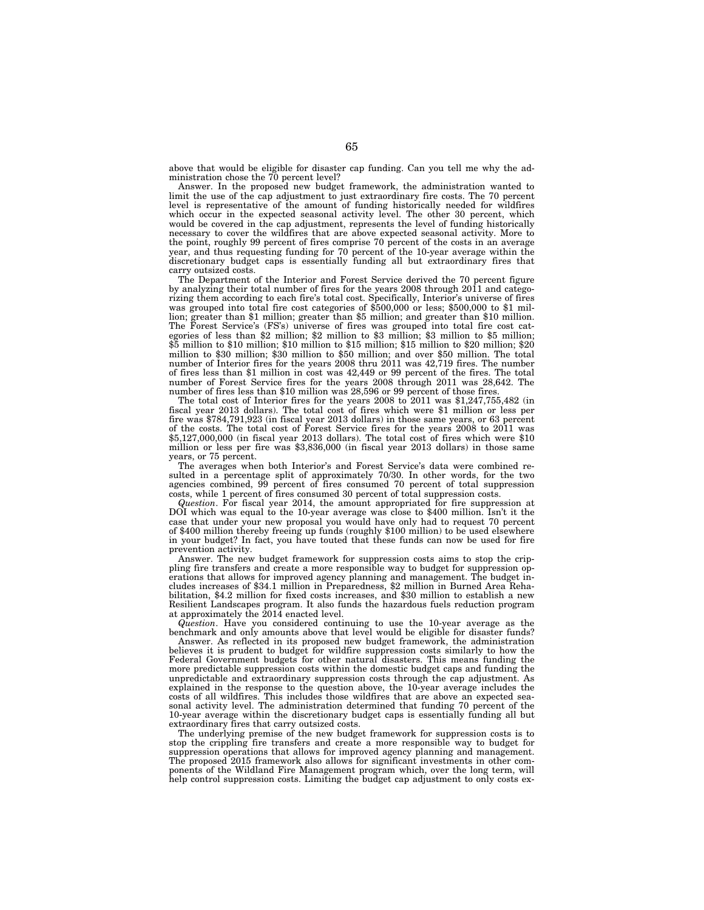above that would be eligible for disaster cap funding. Can you tell me why the administration chose the 70 percent level?

Answer. In the proposed new budget framework, the administration wanted to limit the use of the cap adjustment to just extraordinary fire costs. The 70 percent level is representative of the amount of funding historically needed for wildfires which occur in the expected seasonal activity level. The other 30 percent, which would be covered in the cap adjustment, represents the level of funding historically necessary to cover the wildfires that are above expected seasonal activity. More to the point, roughly 99 percent of fires comprise 70 percent of the costs in an average year, and thus requesting funding for 70 percent of the 10-year average within the discretionary budget caps is essentially funding all but extraordinary fires that carry outsized costs.

The Department of the Interior and Forest Service derived the 70 percent figure by analyzing their total number of fires for the years 2008 through 2011 and categorizing them according to each fire's total cost. Specifically, Interior's universe of fires was grouped into total fire cost categories of \$500,000 or less; \$500,000 to \$1 million; greater than \$1 million; greater than \$5 million; and greater than \$10 million. The Forest Service's (FS's) universe of fires was grouped into total fire cost categories of less than \$2 million; \$2 million to \$3 million; \$3 million to \$5 million; \$5 million to \$10 million; \$10 million to \$15 million; \$15 million to \$20 million; \$20 million to \$30 million; \$30 million to \$50 million; and over \$50 million. The total number of Interior fires for the years 2008 thru 2011 was 42,719 fires. The number of fires less than \$1 million in cost was 42,449 or 99 percent of the fires. The total number of Forest Service fires for the years 2008 through 2011 was 28,642. The number of fires less than \$10 million was 28,596 or 99 percent of those fires.

The total cost of Interior fires for the years 2008 to 2011 was \$1,247,755,482 (in fiscal year 2013 dollars). The total cost of fires which were \$1 million or less per fire was \$784,791,923 (in fiscal year 2013 dollars) in those same years, or 63 percent of the costs. The total cost of Forest Service fires for the years 2008 to 2011 was \$5,127,000,000 (in fiscal year 2013 dollars). The total cost of fires which were \$10 million or less per fire was \$3,836,000 (in fiscal year 2013 dollars) in those same years, or 75 percent.

The averages when both Interior's and Forest Service's data were combined resulted in a percentage split of approximately 70/30. In other words, for the two agencies combined, 99 percent of fires consumed 70 percent of total suppression costs, while 1 percent of fires consumed 30 percent of total suppression costs.

*Question*. For fiscal year 2014, the amount appropriated for fire suppression at DOI which was equal to the 10-year average was close to \$400 million. Isn't it the case that under your new proposal you would have only had to request 70 percent of \$400 million thereby freeing up funds (roughly \$100 million) to be used elsewhere in your budget? In fact, you have touted that these funds can now be used for fire prevention activity.

Answer. The new budget framework for suppression costs aims to stop the crippling fire transfers and create a more responsible way to budget for suppression operations that allows for improved agency planning and management. The budget includes increases of \$34.1 million in Preparedness, \$2 million in Burned Area Rehabilitation, \$4.2 million for fixed costs increases, and \$30 million to establish a new Resilient Landscapes program. It also funds the hazardous fuels reduction program at approximately the 2014 enacted level.

*Question*. Have you considered continuing to use the 10-year average as the benchmark and only amounts above that level would be eligible for disaster funds?

Answer. As reflected in its proposed new budget framework, the administration believes it is prudent to budget for wildfire suppression costs similarly to how the Federal Government budgets for other natural disasters. This means funding the more predictable suppression costs within the domestic budget caps and funding the unpredictable and extraordinary suppression costs through the cap adjustment. As explained in the response to the question above, the 10-year average includes the costs of all wildfires. This includes those wildfires that are above an expected seasonal activity level. The administration determined that funding 70 percent of the 10-year average within the discretionary budget caps is essentially funding all but extraordinary fires that carry outsized costs.

The underlying premise of the new budget framework for suppression costs is to stop the crippling fire transfers and create a more responsible way to budget for suppression operations that allows for improved agency planning and management. The proposed 2015 framework also allows for significant investments in other components of the Wildland Fire Management program which, over the long term, will help control suppression costs. Limiting the budget cap adjustment to only costs ex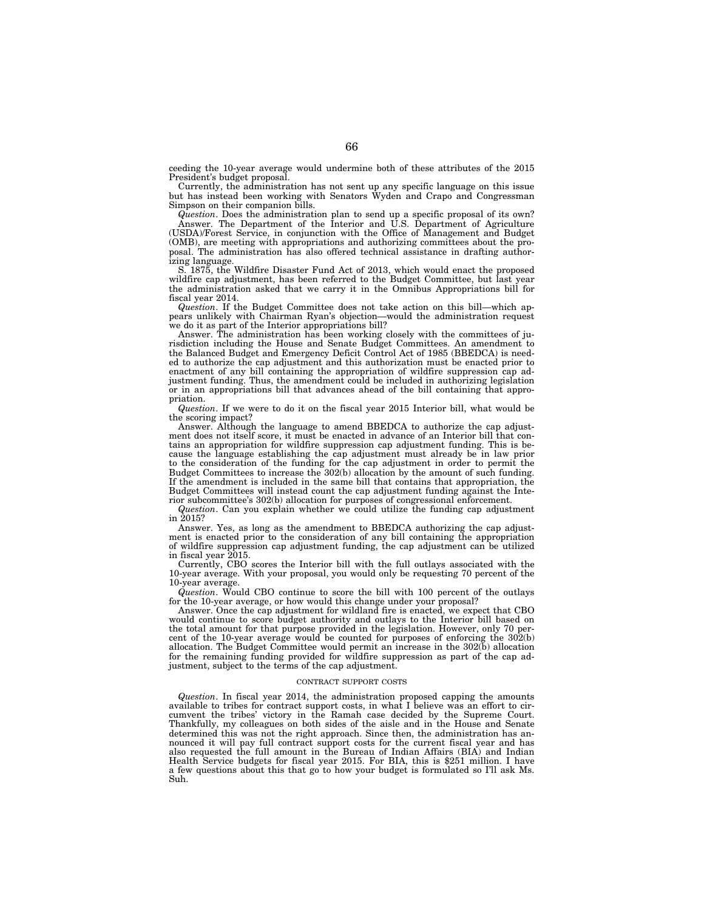ceeding the 10-year average would undermine both of these attributes of the 2015 President's budget proposal.

Currently, the administration has not sent up any specific language on this issue but has instead been working with Senators Wyden and Crapo and Congressman Simpson on their companion bills.

*Question*. Does the administration plan to send up a specific proposal of its own? Answer. The Department of the Interior and U.S. Department of Agriculture (USDA)/Forest Service, in conjunction with the Office of Management and Budget (OMB), are meeting with appropriations and authorizing committees about the proposal. The administration has also offered technical assistance in drafting authorizing language.

S. 1875, the Wildfire Disaster Fund Act of 2013, which would enact the proposed wildfire cap adjustment, has been referred to the Budget Committee, but last year the administration asked that we carry it in the Omnibus Appropriations bill for fiscal year 2014.

*Question*. If the Budget Committee does not take action on this bill—which appears unlikely with Chairman Ryan's objection—would the administration request we do it as part of the Interior appropriations bill?

Answer. The administration has been working closely with the committees of jurisdiction including the House and Senate Budget Committees. An amendment to the Balanced Budget and Emergency Deficit Control Act of 1985 (BBEDCA) is needed to authorize the cap adjustment and this authorization must be enacted prior to enactment of any bill containing the appropriation of wildfire suppression cap adjustment funding. Thus, the amendment could be included in authorizing legislation or in an appropriations bill that advances ahead of the bill containing that appropriation.

*Question*. If we were to do it on the fiscal year 2015 Interior bill, what would be the scoring impact?

Answer. Although the language to amend BBEDCA to authorize the cap adjustment does not itself score, it must be enacted in advance of an Interior bill that contains an appropriation for wildfire suppression cap adjustment funding. This is because the language establishing the cap adjustment must already be in law prior to the consideration of the funding for the cap adjustment in order to permit the Budget Committees to increase the 302(b) allocation by the amount of such funding. If the amendment is included in the same bill that contains that appropriation, the Budget Committees will instead count the cap adjustment funding against the Interior subcommittee's 302(b) allocation for purposes of congressional enforcement.

*Question*. Can you explain whether we could utilize the funding cap adjustment in 2015?

Answer. Yes, as long as the amendment to BBEDCA authorizing the cap adjustment is enacted prior to the consideration of any bill containing the appropriation of wildfire suppression cap adjustment funding, the cap adjustment can be utilized in fiscal year 2015.

Currently, CBO scores the Interior bill with the full outlays associated with the 10-year average. With your proposal, you would only be requesting 70 percent of the 10-year average.

*Question*. Would CBO continue to score the bill with 100 percent of the outlays for the 10-year average, or how would this change under your proposal?

Answer. Once the cap adjustment for wildland fire is enacted, we expect that CBO would continue to score budget authority and outlays to the Interior bill based on the total amount for that purpose provided in the legislation. However, only 70 percent of the 10-year average would be counted for purposes of enforcing the 302(b) allocation. The Budget Committee would permit an increase in the 302(b) allocation for the remaining funding provided for wildfire suppression as part of the cap adjustment, subject to the terms of the cap adjustment.

#### CONTRACT SUPPORT COSTS

*Question*. In fiscal year 2014, the administration proposed capping the amounts available to tribes for contract support costs, in what I believe was an effort to circumvent the tribes' victory in the Ramah case decided by the Supreme Court. Thankfully, my colleagues on both sides of the aisle and in the House and Senate determined this was not the right approach. Since then, the administration has announced it will pay full contract support costs for the current fiscal year and has also requested the full amount in the Bureau of Indian Affairs (BIA) and Indian Health Service budgets for fiscal year 2015. For BIA, this is \$251 million. I have a few questions about this that go to how your budget is formulated so I'll ask Ms. Suh.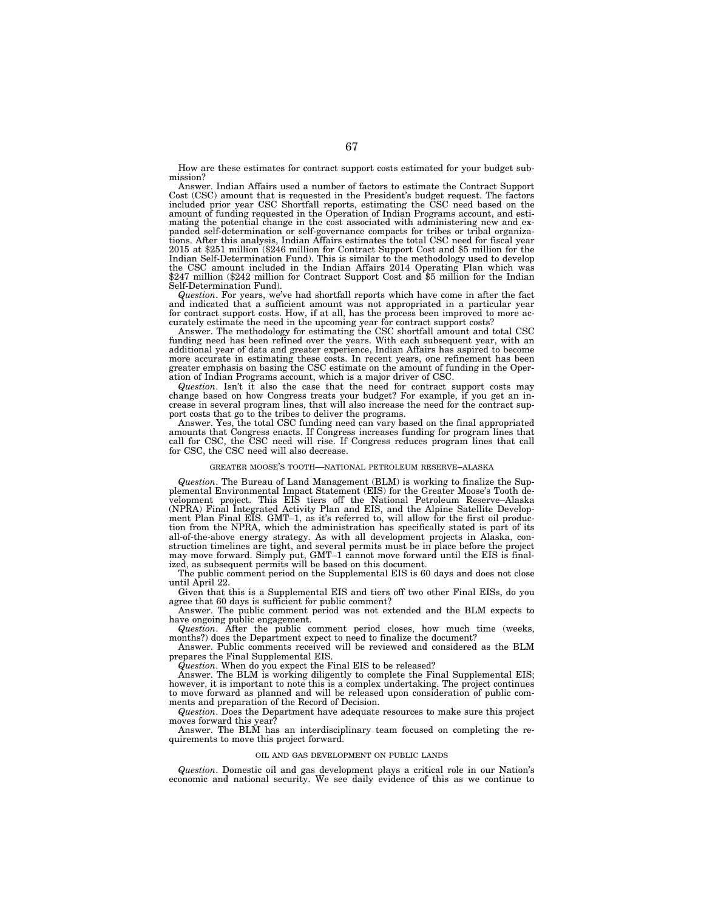How are these estimates for contract support costs estimated for your budget submission?

Answer. Indian Affairs used a number of factors to estimate the Contract Support Cost (CSC) amount that is requested in the President's budget request. The factors included prior year CSC Shortfall reports, estimating the CSC need based on the amount of funding requested in the Operation of Indian Programs account, and estimating the potential change in the cost associated with administering new and expanded self-determination or self-governance compacts for tribes or tribal organizations. After this analysis, Indian Affairs estimates the total CSC need for fiscal year 2015 at \$251 million (\$246 million for Contract Support Cost and \$5 million for the Indian Self-Determination Fund). This is similar to the methodology used to develop the CSC amount included in the Indian Affairs 2014 Operating Plan which was \$247 million (\$242 million for Contract Support Cost and \$5 million for the Indian Self-Determination Fund).

*Question*. For years, we've had shortfall reports which have come in after the fact and indicated that a sufficient amount was not appropriated in a particular year for contract support costs. How, if at all, has the process been improved to more ac-

curately estimate the need in the upcoming year for contract support costs? Answer. The methodology for estimating the CSC shortfall amount and total CSC funding need has been refined over the years. With each subsequent year, with an additional year of data and greater experience, Indian Affairs has aspired to become more accurate in estimating these costs. In recent years, one refinement has been greater emphasis on basing the CSC estimate on the amount of funding in the Operation of Indian Programs account, which is a major driver of CSC.

*Question*. Isn't it also the case that the need for contract support costs may change based on how Congress treats your budget? For example, if you get an increase in several program lines, that will also increase the need for the contract support costs that go to the tribes to deliver the programs.

Answer. Yes, the total CSC funding need can vary based on the final appropriated amounts that Congress enacts. If Congress increases funding for program lines that call for CSC, the CSC need will rise. If Congress reduces program lines that call for CSC, the CSC need will also decrease.

### GREATER MOOSE'S TOOTH—NATIONAL PETROLEUM RESERVE–ALASKA

*Question*. The Bureau of Land Management (BLM) is working to finalize the Supplemental Environmental Impact Statement (EIS) for the Greater Moose's Tooth development project. This EIS tiers off the National Petroleum Reserve–Alaska (NPRA) Final Integrated Activity Plan and EIS, and the Alpine Satellite Development Plan Final EIS. GMT–1, as it's referred to, will allow for the first oil production from the NPRA, which the administration has specifically stated is part of its all-of-the-above energy strategy. As with all development projects in Alaska, construction timelines are tight, and several permits must be in place before the project may move forward. Simply put, GMT–1 cannot move forward until the EIS is finalized, as subsequent permits will be based on this document.

The public comment period on the Supplemental EIS is 60 days and does not close until April 22.

Given that this is a Supplemental EIS and tiers off two other Final EISs, do you agree that 60 days is sufficient for public comment?

Answer. The public comment period was not extended and the BLM expects to have ongoing public engagement.

*Question*. After the public comment period closes, how much time (weeks, months?) does the Department expect to need to finalize the document?

Answer. Public comments received will be reviewed and considered as the BLM prepares the Final Supplemental EIS.

*Question*. When do you expect the Final EIS to be released?

Answer. The BLM is working diligently to complete the Final Supplemental EIS; however, it is important to note this is a complex undertaking. The project continues to move forward as planned and will be released upon consideration of public comments and preparation of the Record of Decision.

*Question*. Does the Department have adequate resources to make sure this project moves forward this year?

Answer. The BLM has an interdisciplinary team focused on completing the requirements to move this project forward.

#### OIL AND GAS DEVELOPMENT ON PUBLIC LANDS

*Question*. Domestic oil and gas development plays a critical role in our Nation's economic and national security. We see daily evidence of this as we continue to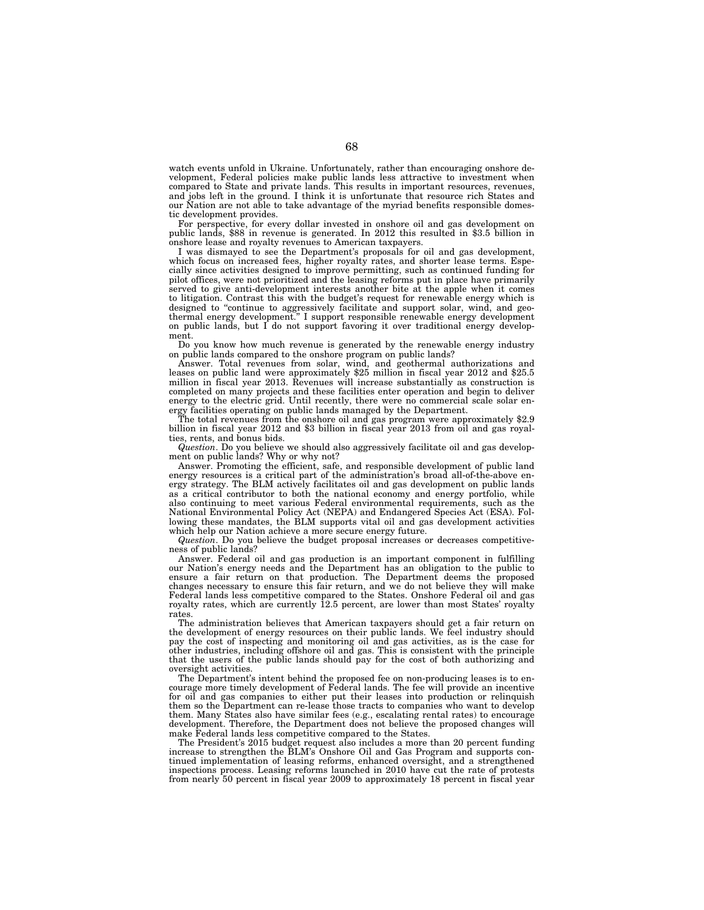watch events unfold in Ukraine. Unfortunately, rather than encouraging onshore development, Federal policies make public lands less attractive to investment when compared to State and private lands. This results in important resources, revenues, and jobs left in the ground. I think it is unfortunate that resource rich States and our Nation are not able to take advantage of the myriad benefits responsible domestic development provides.

For perspective, for every dollar invested in onshore oil and gas development on public lands, \$88 in revenue is generated. In 2012 this resulted in \$3.5 billion in onshore lease and royalty revenues to American taxpayers.

I was dismayed to see the Department's proposals for oil and gas development, which focus on increased fees, higher royalty rates, and shorter lease terms. Especially since activities designed to improve permitting, such as continued funding for pilot offices, were not prioritized and the leasing reforms put in place have primarily served to give anti-development interests another bite at the apple when it comes to litigation. Contrast this with the budget's request for renewable energy which is designed to "continue to aggressively facilitate and support solar, wind, and geothermal energy development.'' I support responsible renewable energy development on public lands, but  $\tilde{I}$  do not support favoring it over traditional energy development.

Do you know how much revenue is generated by the renewable energy industry on public lands compared to the onshore program on public lands?

Answer. Total revenues from solar, wind, and geothermal authorizations and leases on public land were approximately \$25 million in fiscal year 2012 and \$25.5 million in fiscal year 2013. Revenues will increase substantially as construction is completed on many projects and these facilities enter operation and begin to deliver energy to the electric grid. Until recently, there were no commercial scale solar energy facilities operating on public lands managed by the Department.

The total revenues from the onshore oil and gas program were approximately \$2.9 billion in fiscal year 2012 and \$3 billion in fiscal year 2013 from oil and gas royalties, rents, and bonus bids.

*Question*. Do you believe we should also aggressively facilitate oil and gas development on public lands? Why or why not?

Answer. Promoting the efficient, safe, and responsible development of public land energy resources is a critical part of the administration's broad all-of-the-above energy strategy. The BLM actively facilitates oil and gas development on public lands as a critical contributor to both the national economy and energy portfolio, while also continuing to meet various Federal environmental requirements, such as the National Environmental Policy Act (NEPA) and Endangered Species Act (ESA). Following these mandates, the BLM supports vital oil and gas development activities which help our Nation achieve a more secure energy future.

*Question*. Do you believe the budget proposal increases or decreases competitiveness of public lands?

Answer. Federal oil and gas production is an important component in fulfilling our Nation's energy needs and the Department has an obligation to the public to ensure a fair return on that production. The Department deems the proposed changes necessary to ensure this fair return, and we do not believe they will make Federal lands less competitive compared to the States. Onshore Federal oil and gas royalty rates, which are currently 12.5 percent, are lower than most States' royalty rates.

The administration believes that American taxpayers should get a fair return on the development of energy resources on their public lands. We feel industry should pay the cost of inspecting and monitoring oil and gas activities, as is the case for other industries, including offshore oil and gas. This is consistent with the principle that the users of the public lands should pay for the cost of both authorizing and oversight activities.

The Department's intent behind the proposed fee on non-producing leases is to encourage more timely development of Federal lands. The fee will provide an incentive for oil and gas companies to either put their leases into production or relinquish them so the Department can re-lease those tracts to companies who want to develop them. Many States also have similar fees (e.g., escalating rental rates) to encourage development. Therefore, the Department does not believe the proposed changes will make Federal lands less competitive compared to the States.

The President's 2015 budget request also includes a more than 20 percent funding increase to strengthen the BLM's Onshore Oil and Gas Program and supports continued implementation of leasing reforms, enhanced oversight, and a strengthened inspections process. Leasing reforms launched in 2010 have cut the rate of protests from nearly 50 percent in fiscal year 2009 to approximately 18 percent in fiscal year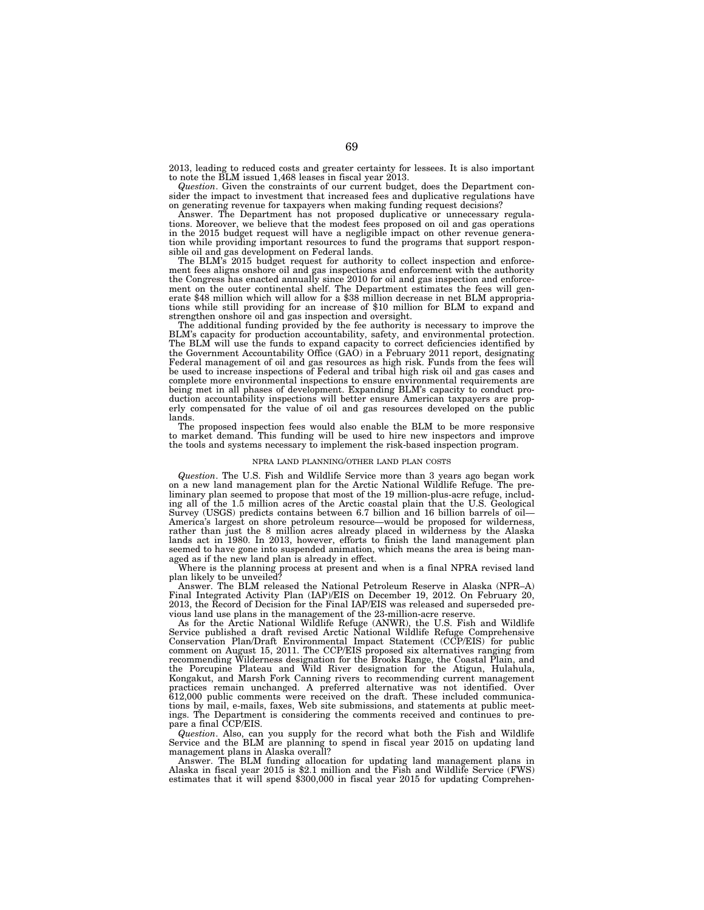2013, leading to reduced costs and greater certainty for lessees. It is also important to note the BLM issued 1,468 leases in fiscal year 2013.

*Question*. Given the constraints of our current budget, does the Department consider the impact to investment that increased fees and duplicative regulations have on generating revenue for taxpayers when making funding request decisions?

Answer. The Department has not proposed duplicative or unnecessary regulations. Moreover, we believe that the modest fees proposed on oil and gas operations in the 2015 budget request will have a negligible impact on other revenue generation while providing important resources to fund the programs that support responsible oil and gas development on Federal lands.

The BLM's 2015 budget request for authority to collect inspection and enforcement fees aligns onshore oil and gas inspections and enforcement with the authority the Congress has enacted annually since 2010 for oil and gas inspection and enforcement on the outer continental shelf. The Department estimates the fees will generate \$48 million which will allow for a \$38 million decrease in net BLM appropriations while still providing for an increase of \$10 million for BLM to expand and strengthen onshore oil and gas inspection and oversight.

The additional funding provided by the fee authority is necessary to improve the BLM's capacity for production accountability, safety, and environmental protection. The BLM will use the funds to expand capacity to correct deficiencies identified by the Government Accountability Office (GAO) in a February 2011 report, designating Federal management of oil and gas resources as high risk. Funds from the fees will be used to increase inspections of Federal and tribal high risk oil and gas cases and complete more environmental inspections to ensure environmental requirements are being met in all phases of development. Expanding BLM's capacity to conduct production accountability inspections will better ensure American taxpayers are properly compensated for the value of oil and gas resources developed on the public lands.

The proposed inspection fees would also enable the BLM to be more responsive to market demand. This funding will be used to hire new inspectors and improve the tools and systems necessary to implement the risk-based inspection program.

### NPRA LAND PLANNING/OTHER LAND PLAN COSTS

*Question*. The U.S. Fish and Wildlife Service more than 3 years ago began work on a new land management plan for the Arctic National Wildlife Refuge. The preliminary plan seemed to propose that most of the 19 million-plus-acre refuge, including all of the 1.5 million acres of the Arctic coastal plain that the U.S. Geological Survey (USGS) predicts contains between 6.7 billion and 16 billion barrels of oil— America's largest on shore petroleum resource—would be proposed for wilderness, rather than just the 8 million acres already placed in wilderness by the Alaska lands act in 1980. In 2013, however, efforts to finish the land management plan seemed to have gone into suspended animation, which means the area is being managed as if the new land plan is already in effect.

Where is the planning process at present and when is a final NPRA revised land plan likely to be unveiled?

Answer. The BLM released the National Petroleum Reserve in Alaska (NPR–A) Final Integrated Activity Plan (IAP)/EIS on December 19, 2012. On February 20, 2013, the Record of Decision for the Final IAP/EIS was released and superseded previous land use plans in the management of the 23-million-acre reserve.

As for the Arctic National Wildlife Refuge (ANWR), the U.S. Fish and Wildlife Service published a draft revised Arctic National Wildlife Refuge Comprehensive Conservation Plan/Draft Environmental Impact Statement (CCP/EIS) for public comment on August 15, 2011. The CCP/EIS proposed six alternatives ranging from recommending Wilderness designation for the Brooks Range, the Coastal Plain, and the Porcupine Plateau and Wild River designation for the Atigun, Hulahula, Kongakut, and Marsh Fork Canning rivers to recommending current management practices remain unchanged. A preferred alternative was not identified. Over 612,000 public comments were received on the draft. These included communications by mail, e-mails, faxes, Web site submissions, and statements at public meetings. The Department is considering the comments received and continues to prepare a final CCP/EIS.

*Question*. Also, can you supply for the record what both the Fish and Wildlife Service and the BLM are planning to spend in fiscal year 2015 on updating land management plans in Alaska overall?

Answer. The BLM funding allocation for updating land management plans in Alaska in fiscal year 2015 is \$2.1 million and the Fish and Wildlife Service (FWS) estimates that it will spend \$300,000 in fiscal year 2015 for updating Comprehen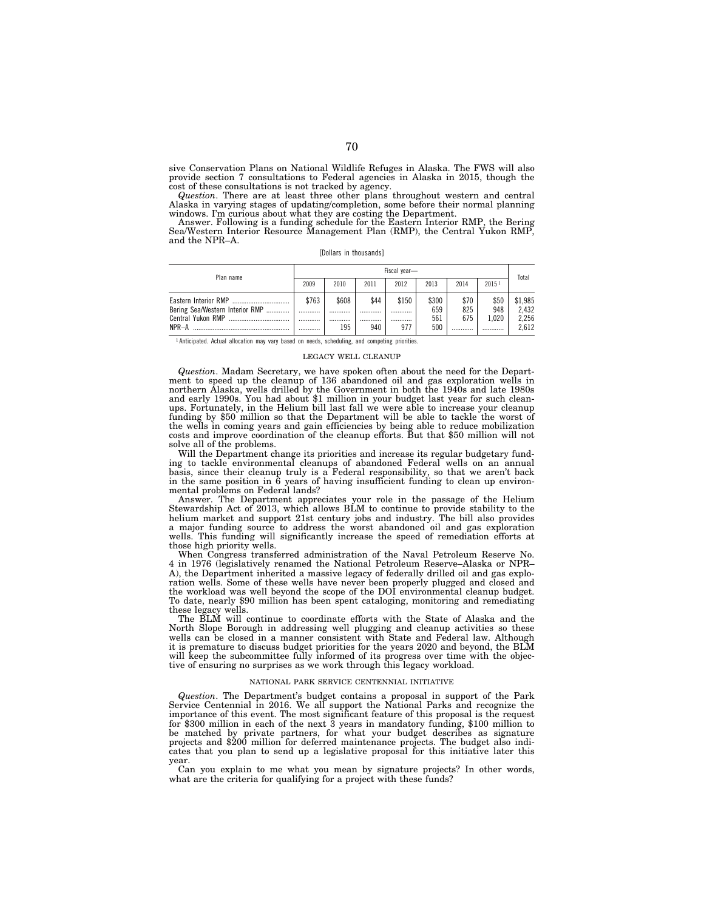sive Conservation Plans on National Wildlife Refuges in Alaska. The FWS will also provide section 7 consultations to Federal agencies in Alaska in 2015, though the cost of these consultations is not tracked by agency.

*Question*. There are at least three other plans throughout western and central Alaska in varying stages of updating/completion, some before their normal planning windows. I'm curious about what they are costing the Department. Answer. Following is a funding schedule for the Eastern Interior RMP, the Bering

Sea/Western Interior Resource Management Plan (RMP), the Central Yukon RMP, and the NPR–A.

[Dollars in thousands]

| Plan name                                            | Fiscal year- |       |      |       |            |            |              | Total          |
|------------------------------------------------------|--------------|-------|------|-------|------------|------------|--------------|----------------|
|                                                      | 2009         | 2010  | 2011 | 2012  | 2013       | 2014       | 20151        |                |
|                                                      | \$763        | \$608 | \$44 | \$150 | \$300      | \$70       | \$50         | \$1,985        |
| Bering Sea/Western Interior RMP<br>Central Yukon RMP | <br>         | <br>  | <br> | <br>  | 659<br>561 | 825<br>675 | 948<br>1.020 | 2.432<br>2,256 |
| NPR-A                                                |              | 195   | 940  | 977   | 500        |            |              | 2.612          |

<sup>1</sup> Anticipated. Actual allocation may vary based on needs, scheduling, and competing priorities.

#### LEGACY WELL CLEANUP

*Question*. Madam Secretary, we have spoken often about the need for the Depart-ment to speed up the cleanup of 136 abandoned oil and gas exploration wells in northern Alaska, wells drilled by the Government in both the 1940s and late 1980s and early 1990s. You had about \$1 million in your budget last year for such cleanups. Fortunately, in the Helium bill last fall we were able to increase your cleanup funding by \$50 million so that the Department will be able to tackle the worst of the wells in coming years and gain efficiencies by being able to reduce mobilization costs and improve coordination of the cleanup efforts. But that \$50 million will not solve all of the problems.

Will the Department change its priorities and increase its regular budgetary funding to tackle environmental cleanups of abandoned Federal wells on an annual basis, since their cleanup truly is a Federal responsibility, so that we aren't back in the same position in 6 years of having insufficient funding to clean up environmental problems on Federal lands?

Answer. The Department appreciates your role in the passage of the Helium Stewardship Act of 2013, which allows BLM to continue to provide stability to the helium market and support 21st century jobs and industry. The bill also provides a major funding source to address the worst abandoned oil and gas exploration wells. This funding will significantly increase the speed of remediation efforts at those high priority wells.

When Congress transferred administration of the Naval Petroleum Reserve No. 4 in 1976 (legislatively renamed the National Petroleum Reserve–Alaska or NPR– A), the Department inherited a massive legacy of federally drilled oil and gas exploration wells. Some of these wells have never been properly plugged and closed and the workload was well beyond the scope of the DOI environmental cleanup budget. To date, nearly \$90 million has been spent cataloging, monitoring and remediating these legacy wells.

The BLM will continue to coordinate efforts with the State of Alaska and the North Slope Borough in addressing well plugging and cleanup activities so these wells can be closed in a manner consistent with State and Federal law. Although it is premature to discuss budget priorities for the years 2020 and beyond, the BLM will keep the subcommittee fully informed of its progress over time with the objective of ensuring no surprises as we work through this legacy workload.

### NATIONAL PARK SERVICE CENTENNIAL INITIATIVE

*Question*. The Department's budget contains a proposal in support of the Park Service Centennial in 2016. We all support the National Parks and recognize the importance of this event. The most significant feature of this proposal is the request for \$300 million in each of the next 3 years in mandatory funding, \$100 million to be matched by private partners, for what your budget describes as signature projects and \$200 million for deferred maintenance projects. The budget also indicates that you plan to send up a legislative proposal for this initiative later this year.

Can you explain to me what you mean by signature projects? In other words, what are the criteria for qualifying for a project with these funds?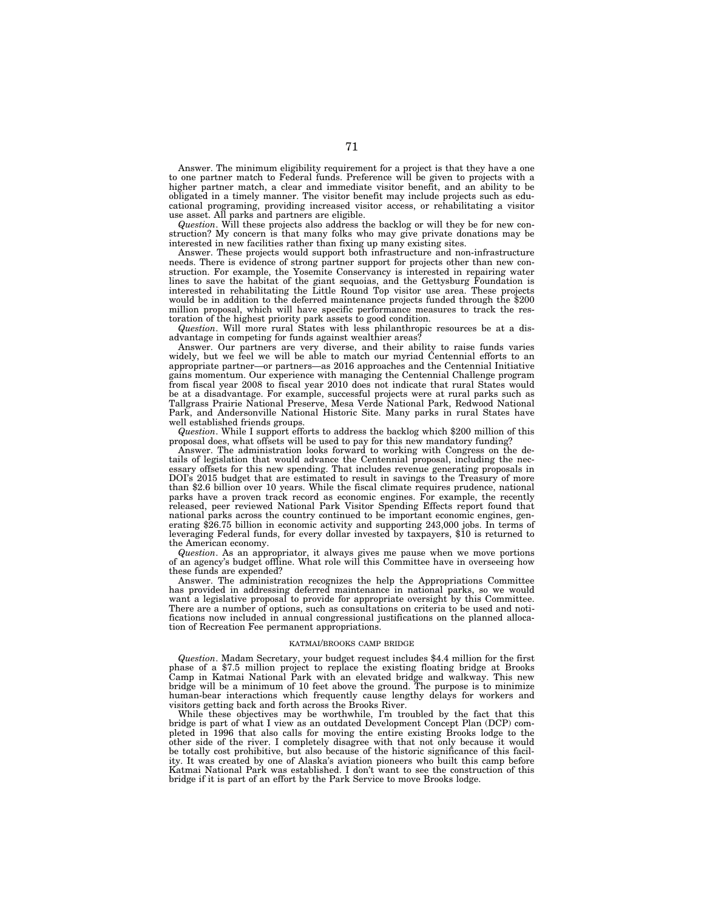Answer. The minimum eligibility requirement for a project is that they have a one to one partner match to Federal funds. Preference will be given to projects with a higher partner match, a clear and immediate visitor benefit, and an ability to be obligated in a timely manner. The visitor benefit may include projects such as educational programing, providing increased visitor access, or rehabilitating a visitor use asset. All parks and partners are eligible.

*Question*. Will these projects also address the backlog or will they be for new construction? My concern is that many folks who may give private donations may be interested in new facilities rather than fixing up many existing sites.

Answer. These projects would support both infrastructure and non-infrastructure needs. There is evidence of strong partner support for projects other than new construction. For example, the Yosemite Conservancy is interested in repairing water lines to save the habitat of the giant sequoias, and the Gettysburg Foundation is interested in rehabilitating the Little Round Top visitor use area. These projects would be in addition to the deferred maintenance projects funded through the \$200 million proposal, which will have specific performance measures to track the restoration of the highest priority park assets to good condition.

*Question*. Will more rural States with less philanthropic resources be at a disadvantage in competing for funds against wealthier areas?

Answer. Our partners are very diverse, and their ability to raise funds varies widely, but we feel we will be able to match our myriad Centennial efforts to an appropriate partner—or partners—as 2016 approaches and the Centennial Initiative gains momentum. Our experience with managing the Centennial Challenge program from fiscal year 2008 to fiscal year 2010 does not indicate that rural States would be at a disadvantage. For example, successful projects were at rural parks such as Tallgrass Prairie National Preserve, Mesa Verde National Park, Redwood National Park, and Andersonville National Historic Site. Many parks in rural States have well established friends groups.

*Question*. While I support efforts to address the backlog which \$200 million of this proposal does, what offsets will be used to pay for this new mandatory funding?

Answer. The administration looks forward to working with Congress on the details of legislation that would advance the Centennial proposal, including the necessary offsets for this new spending. That includes revenue generating proposals in DOI's 2015 budget that are estimated to result in savings to the Treasury of more than \$2.6 billion over 10 years. While the fiscal climate requires prudence, national parks have a proven track record as economic engines. For example, the recently released, peer reviewed National Park Visitor Spending Effects report found that national parks across the country continued to be important economic engines, generating \$26.75 billion in economic activity and supporting 243,000 jobs. In terms of leveraging Federal funds, for every dollar invested by taxpayers, \$10 is returned to the American economy.

*Question*. As an appropriator, it always gives me pause when we move portions of an agency's budget offline. What role will this Committee have in overseeing how these funds are expended?

Answer. The administration recognizes the help the Appropriations Committee has provided in addressing deferred maintenance in national parks, so we would want a legislative proposal to provide for appropriate oversight by this Committee. There are a number of options, such as consultations on criteria to be used and notifications now included in annual congressional justifications on the planned allocation of Recreation Fee permanent appropriations.

### KATMAI/BROOKS CAMP BRIDGE

*Question*. Madam Secretary, your budget request includes \$4.4 million for the first phase of a \$7.5 million project to replace the existing floating bridge at Brooks Camp in Katmai National Park with an elevated bridge and walkway. This new bridge will be a minimum of 10 feet above the ground. The purpose is to minimize human-bear interactions which frequently cause lengthy delays for workers and visitors getting back and forth across the Brooks River.

While these objectives may be worthwhile, I'm troubled by the fact that this bridge is part of what I view as an outdated Development Concept Plan (DCP) completed in 1996 that also calls for moving the entire existing Brooks lodge to the other side of the river. I completely disagree with that not only because it would be totally cost prohibitive, but also because of the historic significance of this facility. It was created by one of Alaska's aviation pioneers who built this camp before Katmai National Park was established. I don't want to see the construction of this bridge if it is part of an effort by the Park Service to move Brooks lodge.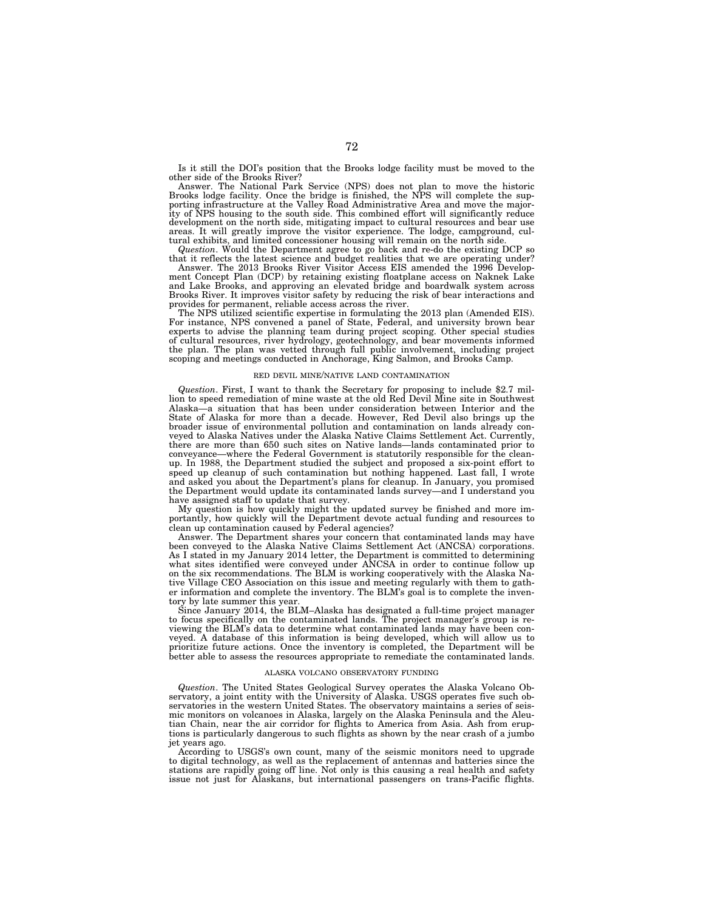Is it still the DOI's position that the Brooks lodge facility must be moved to the other side of the Brooks River?

Answer. The National Park Service (NPS) does not plan to move the historic Brooks lodge facility. Once the bridge is finished, the NPS will complete the supporting infrastructure at the Valley Road Administrative Area and move the majority of NPS housing to the south side. This combined effort will significantly reduce development on the north side, mitigating impact to cultural resources and bear use areas. It will greatly improve the visitor experience. The lodge, campground, cultural exhibits, and limited concessioner housing will remain on the north side.

*Question*. Would the Department agree to go back and re-do the existing DCP so that it reflects the latest science and budget realities that we are operating under?

Answer. The 2013 Brooks River Visitor Access EIS amended the 1996 Develop-ment Concept Plan (DCP) by retaining existing floatplane access on Naknek Lake and Lake Brooks, and approving an elevated bridge and boardwalk system across Brooks River. It improves visitor safety by reducing the risk of bear interactions and provides for permanent, reliable access across the river.

The NPS utilized scientific expertise in formulating the 2013 plan (Amended EIS). For instance, NPS convened a panel of State, Federal, and university brown bear experts to advise the planning team during project scoping. Other special studies of cultural resources, river hydrology, geotechnology, and bear movements informed the plan. The plan was vetted through full public involvement, including project scoping and meetings conducted in Anchorage, King Salmon, and Brooks Camp.

#### RED DEVIL MINE/NATIVE LAND CONTAMINATION

*Question*. First, I want to thank the Secretary for proposing to include \$2.7 million to speed remediation of mine waste at the old Red Devil Mine site in Southwest Alaska—a situation that has been under consideration between Interior and the State of Alaska for more than a decade. However, Red Devil also brings up the broader issue of environmental pollution and contamination on lands already conveyed to Alaska Natives under the Alaska Native Claims Settlement Act. Currently, there are more than 650 such sites on Native lands—lands contaminated prior to conveyance—where the Federal Government is statutorily responsible for the cleanup. In 1988, the Department studied the subject and proposed a six-point effort to speed up cleanup of such contamination but nothing happened. Last fall, I wrote and asked you about the Department's plans for cleanup. In January, you promised the Department would update its contaminated lands survey—and I understand you have assigned staff to update that survey.

My question is how quickly might the updated survey be finished and more importantly, how quickly will the Department devote actual funding and resources to clean up contamination caused by Federal agencies?

Answer. The Department shares your concern that contaminated lands may have been conveyed to the Alaska Native Claims Settlement Act (ANCSA) corporations. As I stated in my January 2014 letter, the Department is committed to determining what sites identified were conveyed under ANCSA in order to continue follow up on the six recommendations. The BLM is working cooperatively with the Alaska Native Village CEO Association on this issue and meeting regularly with them to gather information and complete the inventory. The BLM's goal is to complete the inventory by late summer this year.

Since January 2014, the BLM–Alaska has designated a full-time project manager to focus specifically on the contaminated lands. The project manager's group is reviewing the BLM's data to determine what contaminated lands may have been conveyed. A database of this information is being developed, which will allow us to prioritize future actions. Once the inventory is completed, the Department will be better able to assess the resources appropriate to remediate the contaminated lands.

#### ALASKA VOLCANO OBSERVATORY FUNDING

*Question*. The United States Geological Survey operates the Alaska Volcano Observatory, a joint entity with the University of Alaska. USGS operates five such observatories in the western United States. The observatory maintains a series of seismic monitors on volcanoes in Alaska, largely on the Alaska Peninsula and the Aleutian Chain, near the air corridor for flights to America from Asia. Ash from eruptions is particularly dangerous to such flights as shown by the near crash of a jumbo jet years ago.

According to USGS's own count, many of the seismic monitors need to upgrade to digital technology, as well as the replacement of antennas and batteries since the stations are rapidly going off line. Not only is this causing a real health and safety issue not just for Alaskans, but international passengers on trans-Pacific flights.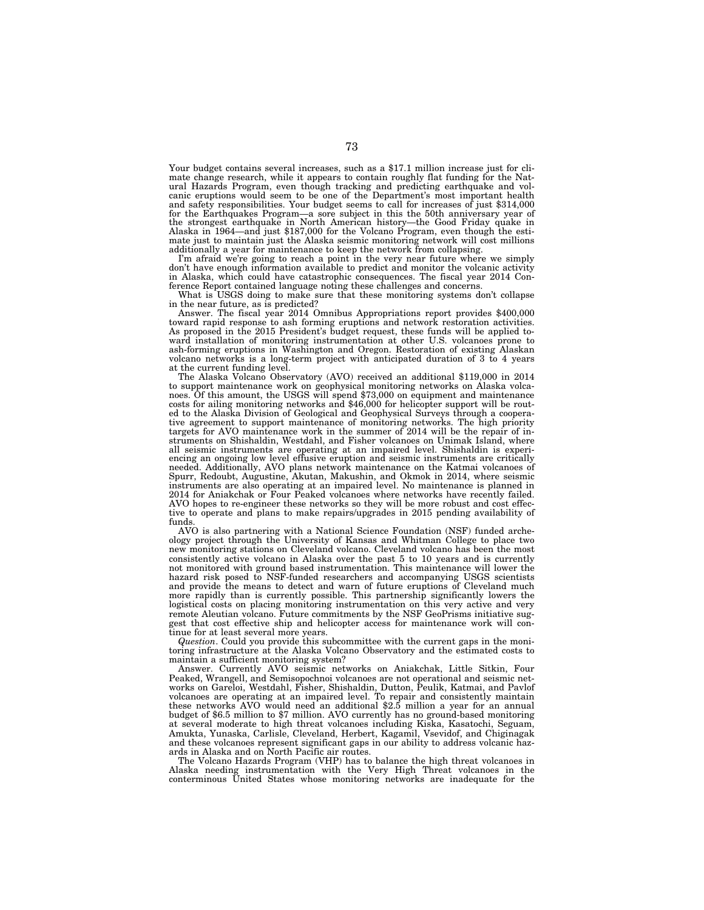Your budget contains several increases, such as a \$17.1 million increase just for climate change research, while it appears to contain roughly flat funding for the Natural Hazards Program, even though tracking and predicting earthquake and volcanic eruptions would seem to be one of the Department's most important health and safety responsibilities. Your budget seems to call for increases of just \$314,000 for the Earthquakes Program—a sore subject in this the 50th anniversary year of the strongest earthquake in North American history—the Good Friday quake in Alaska in 1964—and just \$187,000 for the Volcano Program, even though the estimate just to maintain just the Alaska seismic monitoring network will cost millions additionally a year for maintenance to keep the network from collapsing.

I'm afraid we're going to reach a point in the very near future where we simply don't have enough information available to predict and monitor the volcanic activity in Alaska, which could have catastrophic consequences. The fiscal year 2014 Conference Report contained language noting these challenges and concerns.

What is USGS doing to make sure that these monitoring systems don't collapse in the near future, as is predicted?

Answer. The fiscal year 2014 Omnibus Appropriations report provides \$400,000 toward rapid response to ash forming eruptions and network restoration activities. As proposed in the 2015 President's budget request, these funds will be applied toward installation of monitoring instrumentation at other U.S. volcanoes prone to ash-forming eruptions in Washington and Oregon. Restoration of existing Alaskan volcano networks is a long-term project with anticipated duration of 3 to 4 years at the current funding level.

The Alaska Volcano Observatory (AVO) received an additional \$119,000 in 2014 to support maintenance work on geophysical monitoring networks on Alaska volcanoes. Of this amount, the USGS will spend \$73,000 on equipment and maintenance costs for ailing monitoring networks and \$46,000 for helicopter support will be routed to the Alaska Division of Geological and Geophysical Surveys through a cooperative agreement to support maintenance of monitoring networks. The high priority<br>targets for AVO maintenance work in the summer of 2014 will be the repair of in-<br>struments on Shishaldin, Westdahl, and Fisher volcanoes on Un all seismic instruments are operating at an impaired level. Shishaldin is experiencing an ongoing low level effusive eruption and seismic instruments are critically needed. Additionally, AVO plans network maintenance on the Katmai volcanoes of Spurr, Redoubt, Augustine, Akutan, Makushin, and Okmok in 2014, where seismic instruments are also operating at an impaired level. No maintenance is planned in 2014 for Aniakchak or Four Peaked volcanoes where networks have recently failed. AVO hopes to re-engineer these networks so they will be more robust and cost effective to operate and plans to make repairs/upgrades in 2015 pending availability of funds.

AVO is also partnering with a National Science Foundation (NSF) funded archeology project through the University of Kansas and Whitman College to place two new monitoring stations on Cleveland volcano. Cleveland volcano has been the most consistently active volcano in Alaska over the past 5 to 10 years and is currently not monitored with ground based instrumentation. This maintenance will lower the hazard risk posed to NSF-funded researchers and accompanying USGS scientists and provide the means to detect and warn of future eruptions of Cleveland much more rapidly than is currently possible. This partnership significantly lowers the logistical costs on placing monitoring instrumentation on this very active and very remote Aleutian volcano. Future commitments by the NSF GeoPrisms initiative suggest that cost effective ship and helicopter access for maintenance work will continue for at least several more years.

*Question*. Could you provide this subcommittee with the current gaps in the monitoring infrastructure at the Alaska Volcano Observatory and the estimated costs to maintain a sufficient monitoring system?

Answer. Currently AVO seismic networks on Aniakchak, Little Sitkin, Four Peaked, Wrangell, and Semisopochnoi volcanoes are not operational and seismic networks on Gareloi, Westdahl, Fisher, Shishaldin, Dutton, Peulik, Katmai, and Pavlof volcanoes are operating at an impaired level. To repair and consistently maintain these networks AVO would need an additional \$2.5 million a year for an annual budget of \$6.5 million to \$7 million. AVO currently has no ground-based monitoring at several moderate to high threat volcanoes including Kiska, Kasatochi, Seguam, Amukta, Yunaska, Carlisle, Cleveland, Herbert, Kagamil, Vsevidof, and Chiginagak and these volcanoes represent significant gaps in our ability to address volcanic hazards in Alaska and on North Pacific air routes.

The Volcano Hazards Program (VHP) has to balance the high threat volcanoes in Alaska needing instrumentation with the Very High Threat volcanoes in the conterminous United States whose monitoring networks are inadequate for the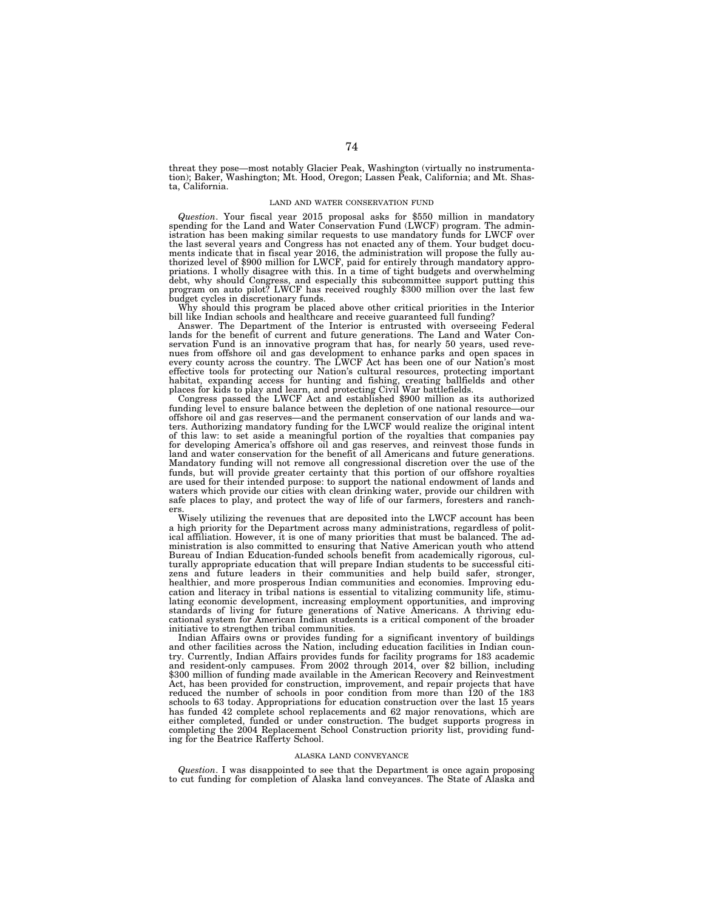threat they pose—most notably Glacier Peak, Washington (virtually no instrumentation); Baker, Washington; Mt. Hood, Oregon; Lassen Peak, California; and Mt. Shasta, California.

#### LAND AND WATER CONSERVATION FUND

*Question*. Your fiscal year 2015 proposal asks for \$550 million in mandatory spending for the Land and Water Conservation Fund (LWCF) program. The administration has been making similar requests to use mandatory funds for LWCF over the last several years and Congress has not enacted any of them. Your budget documents indicate that in fiscal year 2016, the administration will propose the fully au-thorized level of \$900 million for LWCF, paid for entirely through mandatory appropriations. I wholly disagree with this. In a time of tight budgets and overwhelming<br>debt, why should Congress, and especially this subcommittee support putting this<br>program on auto pilot? LWCF has received roughly \$300 mil budget cycles in discretionary funds.

Why should this program be placed above other critical priorities in the Interior bill like Indian schools and healthcare and receive guaranteed full funding?

Answer. The Department of the Interior is entrusted with overseeing Federal lands for the benefit of current and future generations. The Land and Water Conservation Fund is an innovative program that has, for nearly 50 years, used revenues from offshore oil and gas development to enhance parks and open spaces in every county across the country. The LWCF Act has been one of our Nation's most effective tools for protecting our Nation's cultural resources, protecting important habitat, expanding access for hunting and fishing, creating ballfields and other places for kids to play and learn, and protecting Civil War battlefields.

Congress passed the LWCF Act and established \$900 million as its authorized funding level to ensure balance between the depletion of one national resource—our offshore oil and gas reserves—and the permanent conservation of our lands and waters. Authorizing mandatory funding for the LWCF would realize the original intent of this law: to set aside a meaningful portion of the royalties that companies pay for developing America's offshore oil and gas reserves, and reinvest those funds in land and water conservation for the benefit of all Americans and future generations. Mandatory funding will not remove all congressional discretion over the use of the funds, but will provide greater certainty that this portion of our offshore royalties are used for their intended purpose: to support the national endowment of lands and waters which provide our cities with clean drinking water, provide our children with safe places to play, and protect the way of life of our farmers, foresters and ranchers.

Wisely utilizing the revenues that are deposited into the LWCF account has been a high priority for the Department across many administrations, regardless of political affiliation. However, it is one of many priorities that must be balanced. The administration is also committed to ensuring that Native American youth who attend Bureau of Indian Education-funded schools benefit from academically rigorous, culturally appropriate education that will prepare Indian students to be successful citizens and future leaders in their communities and help build safer, stronger, healthier, and more prosperous Indian communities and economies. Improving education and literacy in tribal nations is essential to vitalizing community life, stimulating economic development, increasing employment opportunities, and improving standards of living for future generations of Native Americans. A thriving educational system for American Indian students is a critical component of the broader initiative to strengthen tribal communities.

Indian Affairs owns or provides funding for a significant inventory of buildings and other facilities across the Nation, including education facilities in Indian country. Currently, Indian Affairs provides funds for facility programs for 183 academic and resident-only campuses. From 2002 through 2014, over \$2 billion, including \$300 million of funding made available in the American Recovery and Reinvestment Act, has been provided for construction, improvement, and repair projects that have reduced the number of schools in poor condition from more than 120 of the 183 schools to 63 today. Appropriations for education construction over the last 15 years has funded 42 complete school replacements and 62 major renovations, which are either completed, funded or under construction. The budget supports progress in completing the 2004 Replacement School Construction priority list, providing funding for the Beatrice Rafferty School.

### ALASKA LAND CONVEYANCE

*Question*. I was disappointed to see that the Department is once again proposing to cut funding for completion of Alaska land conveyances. The State of Alaska and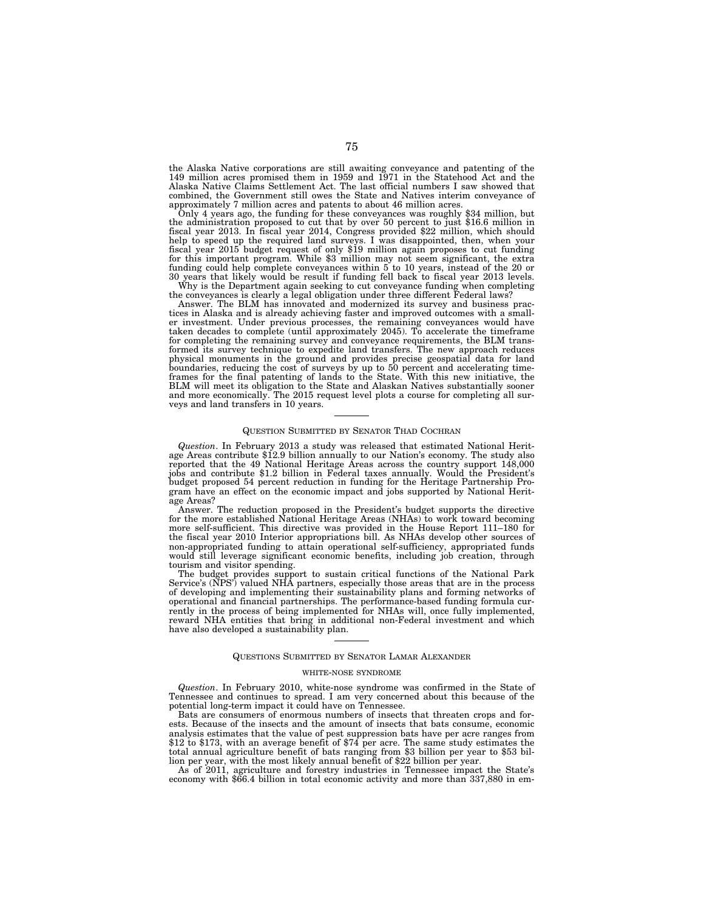the Alaska Native corporations are still awaiting conveyance and patenting of the<br>149 million acres promised them in 1959 and 1971 in the Statehood Act and the<br>Alaska Native Claims Settlement Act. The last official numbers combined, the Government still owes the State and Natives interim conveyance of

Only 4 years ago, the funding for these conveyances was roughly \$34 million, but<br>the administration proposed to cut that by over 50 percent to just \$16.6 million in fiscal year 2013. In fiscal year 2014, Congress provided \$22 million, which should<br>help to speed up the required land surveys. I was disappointed, then, when your<br>fiscal year 2015 budget request of only \$19 million again p for this important program. While \$3 million may not seem significant, the extra funding could help complete conveyances within 5 to 10 years, instead of the 20 or 30 years that likely would be result if funding fell back to fiscal year 2013 levels.

Why is the Department again seeking to cut conveyance funding when completing the conveyances is clearly a legal obligation under three different Federal laws?

Answer. The BLM has innovated and modernized its survey and business prac-tices in Alaska and is already achieving faster and improved outcomes with a smaller investment. Under previous processes, the remaining conveyances would have taken decades to complete (until approximately 2045). To accelerate the timeframe for completing the remaining survey and conveyance requirements, the BLM trans-formed its survey technique to expedite land transfers. The new approach reduces physical monuments in the ground and provides precise geospatial data for land<br>boundaries, reducing the cost of surveys by up to 50 percent and accelerating time-<br>frames for the final patenting of lands to the State. With and more economically. The 2015 request level plots a course for completing all surveys and land transfers in 10 years.

### QUESTION SUBMITTED BY SENATOR THAD COCHRAN

*Question*. In February 2013 a study was released that estimated National Herit- age Areas contribute \$12.9 billion annually to our Nation's economy. The study also reported that the 49 National Heritage Areas across the country support 148,000 jobs and contribute \$1.2 billion in Federal taxes annually. Would the President's budget proposed 54 percent reduction in funding for the Heritage Partnership Program have an effect on the economic impact and jobs supported by National Heritage Areas?

Answer. The reduction proposed in the President's budget supports the directive for the more established National Heritage Areas (NHAs) to work toward becoming more self-sufficient. This directive was provided in the House Report 111–180 for the fiscal year 2010 Interior appropriations bill. As NHAs develop other sources of non-appropriated funding to attain operational self-sufficiency, appropriated funds would still leverage significant economic benefits, including job creation, through tourism and visitor spending.

The budget provides support to sustain critical functions of the National Park Service's (NPS') valued NHA partners, especially those areas that are in the process of developing and implementing their sustainability plans and forming networks of operational and financial partnerships. The performance-based funding formula currently in the process of being implemented for NHAs will, once fully implemented, reward NHA entities that bring in additional non-Federal investment and which have also developed a sustainability plan.

# QUESTIONS SUBMITTED BY SENATOR LAMAR ALEXANDER

### WHITE-NOSE SYNDROME

*Question*. In February 2010, white-nose syndrome was confirmed in the State of Tennessee and continues to spread. I am very concerned about this because of the potential long-term impact it could have on Tennessee.

Bats are consumers of enormous numbers of insects that threaten crops and forests. Because of the insects and the amount of insects that bats consume, economic analysis estimates that the value of pest suppression bats have per acre ranges from \$12 to \$173, with an average benefit of \$74 per acre. The same study estimates the total annual agriculture benefit of bats ranging from \$3 billion per year to \$53 billion per year, with the most likely annual benefit of \$22 billion per year.

As of 2011, agriculture and forestry industries in Tennessee impact the State's economy with \$66.4 billion in total economic activity and more than 337,880 in em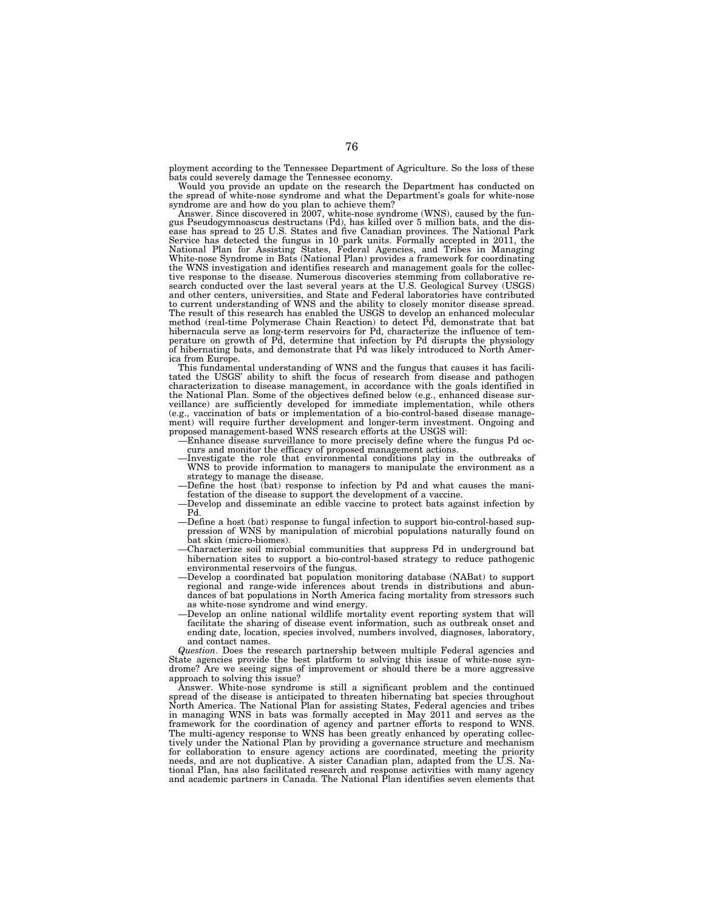ployment according to the Tennessee Department of Agriculture. So the loss of these bats could severely damage the Tennessee economy.

Would you provide an update on the research the Department has conducted on the spread of white-nose syndrome and what the Department's goals for white-nose

syndrome are and how do you plan to achieve them? Answer. Since discovered in 2007, white-nose syndrome (WNS), caused by the fun-gus Pseudogymnoascus destructans (Pd), has killed over 5 million bats, and the disease has spread to 25 U.S. States and five Canadian provinces. The National Park Service has detected the fungus in 10 park units. Formally accepted in 2011, the<br>National Plan for Assisting States, Federal Agencies, and Tribes in Managing<br>White-nose Syndrome in Bats (National Plan) provides a framework the WNS investigation and identifies research and management goals for the collec-tive response to the disease. Numerous discoveries stemming from collaborative research conducted over the last several years at the U.S. Geological Survey (USGS) and other centers, universities, and State and Federal laboratories have contributed to current understanding of WNS and the ability to closely monitor disease spread. The result of this research has enabled the USGS to develop an enhanced molecular method (real-time Polymerase Chain Reaction) to detect Pd, demonstrate that bat hibernacula serve as long-term reservoirs for Pd, characterize the influence of temperature on growth of Pd, determine that infection by Pd disrupts the physiology of hibernating bats, and demonstrate that Pd was likely introduced to North America from Europe.

This fundamental understanding of WNS and the fungus that causes it has facili-tated the USGS' ability to shift the focus of research from disease and pathogen characterization to disease management, in accordance with the goals identified in the National Plan. Some of the objectives defined below (e.g., enhanced disease surveillance) are sufficiently developed for immediate implementation, while others (e.g., vaccination of bats or implementation of a bio-control-based disease management) will require further development and longer-term investment. Ongoing and proposed management-based WNS research efforts at the USGS will:

—Enhance disease surveillance to more precisely define where the fungus Pd occurs and monitor the efficacy of proposed management actions.

- Investigate the role that environmental conditions play in the outbreaks of WNS to provide information to managers to manipulate the environment as a strategy to manage the disease.
- —Define the host (bat) response to infection by Pd and what causes the manifestation of the disease to support the development of a vaccine. —Develop and disseminate an edible vaccine to protect bats against infection by
- Pd.
- —Define a host (bat) response to fungal infection to support bio-control-based suppression of WNS by manipulation of microbial populations naturally found on bat skin (micro-biomes).
- —Characterize soil microbial communities that suppress Pd in underground bat hibernation sites to support a bio-control-based strategy to reduce pathogenic environmental reservoirs of the fungus.
- —Develop a coordinated bat population monitoring database (NABat) to support regional and range-wide inferences about trends in distributions and abundances of bat populations in North America facing mortality from stressors such as white-nose syndrome and wind energy.
- —Develop an online national wildlife mortality event reporting system that will facilitate the sharing of disease event information, such as outbreak onset and ending date, location, species involved, numbers involved, diagnoses, laboratory, and contact names.

*Question*. Does the research partnership between multiple Federal agencies and State agencies provide the best platform to solving this issue of white-nose syndrome? Are we seeing signs of improvement or should there be a more aggressive approach to solving this issue?

Answer. White-nose syndrome is still a significant problem and the continued spread of the disease is anticipated to threaten hibernating bat species throughout North America. The National Plan for assisting States, Federal agencies and tribes in managing WNS in bats was formally accepted in May 2011 and serves as the framework for the coordination of agency and partner efforts to respond to WNS. The multi-agency response to WNS has been greatly enhanced by operating collectively under the National Plan by providing a governance structure and mechanism for collaboration to ensure agency actions are coordinated, meeting the priority needs, and are not duplicative. A sister Canadian plan, adapted from the U.S. National Plan, has also facilitated research and response activities with many agency and academic partners in Canada. The National Plan identifies seven elements that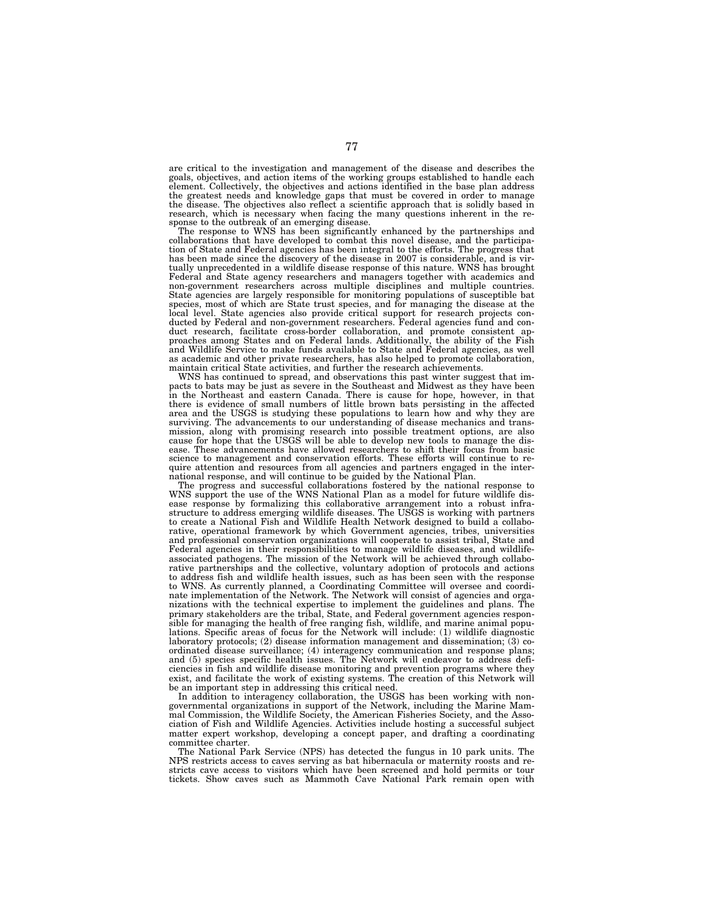are critical to the investigation and management of the disease and describes the goals, objectives, and action items of the working groups established to handle each element. Collectively, the objectives and actions identified in the base plan address the greatest needs and knowledge gaps that must be covered in order to manage the disease. The objectives also reflect a scientific approach that is solidly based in research, which is necessary when facing the many questions inherent in the response to the outbreak of an emerging disease.

The response to WNS has been significantly enhanced by the partnerships and collaborations that have developed to combat this novel disease, and the participa-tion of State and Federal agencies has been integral to the efforts. The progress that has been made since the discovery of the disease in 2007 is considerable, and is virtually unprecedented in a wildlife disease response of this nature. WNS has brought Federal and State agency researchers and managers together with academics and non-government researchers across multiple disciplines and multiple countries. State agencies are largely responsible for monitoring populations of susceptible bat species, most of which are State trust species, and for managing the disease at the local level. State agencies also provide critical support for research projects conducted by Federal and non-government researchers. Federal agencies fund and conducted by rederar and non-severnment research. The example consistent approaches among States and on Federal lands. Additionally, the ability of the Fish and Wildlife Service to make funds available to State and Federal agencies, as well as academic and other private researchers, has also helped to promote collaboration, maintain critical State activities, and further the research achievements.

WNS has continued to spread, and observations this past winter suggest that im-pacts to bats may be just as severe in the Southeast and Midwest as they have been in the Northeast and eastern Canada. There is cause for hope, however, in that there is evidence of small numbers of little brown bats persisting in the affected area and the USGS is studying these populations to learn how and why they are surviving. The advancements to our understanding of disease mechanics and transmission, along with promising research into possible treatment options, are also cause for hope that the USGS will be able to develop new tools to manage the disease. These advancements have allowed researchers to shift their focus from basic science to management and conservation efforts. These efforts will continue to require attention and resources from all agencies and partners engaged in the inter-national response, and will continue to be guided by the National Plan.

The progress and successful collaborations fostered by the national response to WNS support the use of the WNS National Plan as a model for future wildlife disease response by formalizing this collaborative arrangement into a robust infrastructure to address emerging wildlife diseases. The USGS is working with partners to create a National Fish and Wildlife Health Network designed to build a collaborative, operational framework by which Government agencies, tribes, universities and professional conservation organizations will cooperate to assist tribal, State and Federal agencies in their responsibilities to manage wildlife diseases, and wildlifeassociated pathogens. The mission of the Network will be achieved through collaborative partnerships and the collective, voluntary adoption of protocols and actions to address fish and wildlife health issues, such as has been seen with the response to WNS. As currently planned, a Coordinating Committee will oversee and coordinate implementation of the Network. The Network will consist of agencies and organizations with the technical expertise to implement the guidelines and plans. The primary stakeholders are the tribal, State, and Federal government agencies responsible for managing the health of free ranging fish, wildlife, and marine animal populations. Specific areas of focus for the Network will include: (1) wildlife diagnostic laboratory protocols; (2) disease information management and dissemination; (3) coordinated disease surveillance; (4) interagency communication and response plans; and (5) species specific health issues. The Network will endeavor to address deficiencies in fish and wildlife disease monitoring and prevention programs where they exist, and facilitate the work of existing systems. The creation of this Network will be an important step in addressing this critical need.

In addition to interagency collaboration, the USGS has been working with nongovernmental organizations in support of the Network, including the Marine Mammal Commission, the Wildlife Society, the American Fisheries Society, and the Association of Fish and Wildlife Agencies. Activities include hosting a successful subject matter expert workshop, developing a concept paper, and drafting a coordinating committee charter.

The National Park Service (NPS) has detected the fungus in 10 park units. The NPS restricts access to caves serving as bat hibernacula or maternity roosts and restricts cave access to visitors which have been screened and hold permits or tour tickets. Show caves such as Mammoth Cave National Park remain open with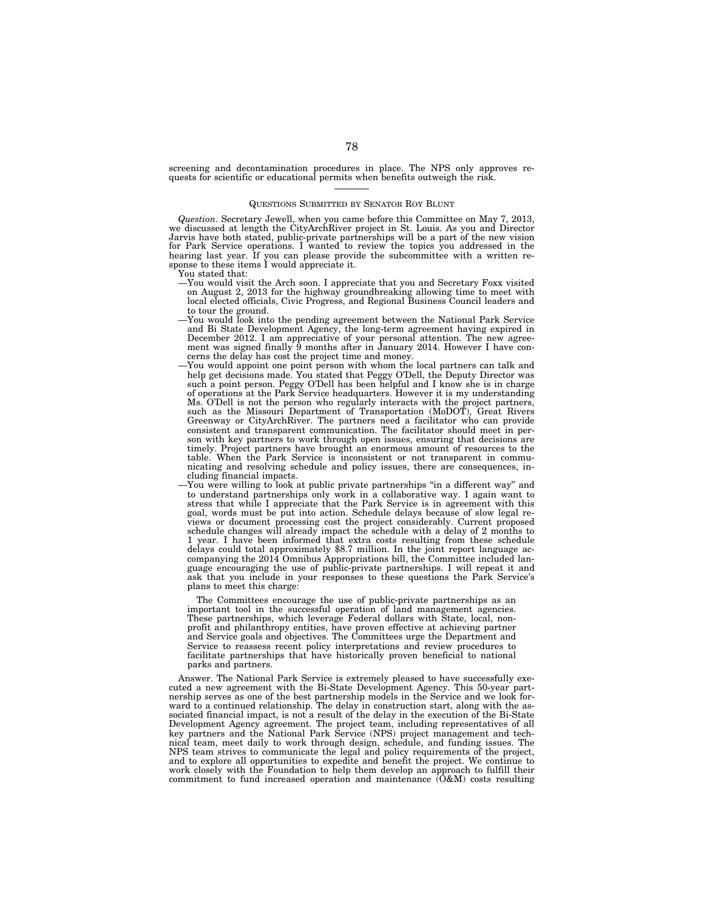screening and decontamination procedures in place. The NPS only approves requests for scientific or educational permits when benefits outweigh the risk.

#### QUESTIONS SUBMITTED BY SENATOR ROY BLUNT

*Question*. Secretary Jewell, when you came before this Committee on May 7, 2013, we discussed at length the CityArchRiver project in St. Louis. As you and Director Jarvis have both stated, public-private partnerships will be a part of the new vision for Park Service operations. I wanted to review the topics you addressed in the hearing last year. If you can please provide the subcommittee with a written response to these items I would appreciate it.

You stated that:

- —You would visit the Arch soon. I appreciate that you and Secretary Foxx visited on August 2, 2013 for the highway groundbreaking allowing time to meet with local elected officials, Civic Progress, and Regional Business Council leaders and to tour the ground.
- —You would look into the pending agreement between the National Park Service and Bi State Development Agency, the long-term agreement having expired in December 2012. I am appreciative of your personal attention. The new agreement was signed finally 9 months after in January 2014. However I have concerns the delay has cost the project time and money.
- —You would appoint one point person with whom the local partners can talk and help get decisions made. You stated that Peggy O'Dell, the Deputy Director was such a point person. Peggy O'Dell has been helpful and I know she is in charge of operations at the Park Service headquarters. However it is my understanding Ms. O'Dell is not the person who regularly interacts with the project partners, such as the Missouri Department of Transportation (MoDOT), Great Rivers Greenway or CityArchRiver. The partners need a facilitator who can provide consistent and transparent communication. The facilitator should meet in person with key partners to work through open issues, ensuring that decisions are timely. Project partners have brought an enormous amount of resources to the table. When the Park Service is inconsistent or not transparent in communicating and resolving schedule and policy issues, there are consequences, including financial impacts.
- You were willing to look at public private partnerships "in a different way" and to understand partnerships only work in a collaborative way. I again want to stress that while I appreciate that the Park Service is in agreement with this goal, words must be put into action. Schedule delays because of slow legal reviews or document processing cost the project considerably. Current proposed schedule changes will already impact the schedule with a delay of 2 months to 1 year. I have been informed that extra costs resulting from these schedule delays could total approximately \$8.7 million. In the joint report language accompanying the 2014 Omnibus Appropriations bill, the Committee included language encouraging the use of public-private partnerships. I will repeat it and ask that you include in your responses to these questions the Park Service's plans to meet this charge:

The Committees encourage the use of public-private partnerships as an important tool in the successful operation of land management agencies. These partnerships, which leverage Federal dollars with State, local, nonprofit and philanthropy entities, have proven effective at achieving partner and Service goals and objectives. The Committees urge the Department and Service to reassess recent policy interpretations and review procedures to facilitate partnerships that have historically proven beneficial to national parks and partners.

Answer. The National Park Service is extremely pleased to have successfully executed a new agreement with the Bi-State Development Agency. This 50-year partnership serves as one of the best partnership models in the Service and we look forward to a continued relationship. The delay in construction start, along with the associated financial impact, is not a result of the delay in the execution of the Bi-State Development Agency agreement. The project team, including representatives of all key partners and the National Park Service (NPS) project management and technical team, meet daily to work through design, schedule, and funding issues. The NPS team strives to communicate the legal and policy requirements of the project, and to explore all opportunities to expedite and benefit the project. We continue to work closely with the Foundation to help them develop an approach to fulfill their commitment to fund increased operation and maintenance  $(0&M)$  costs resulting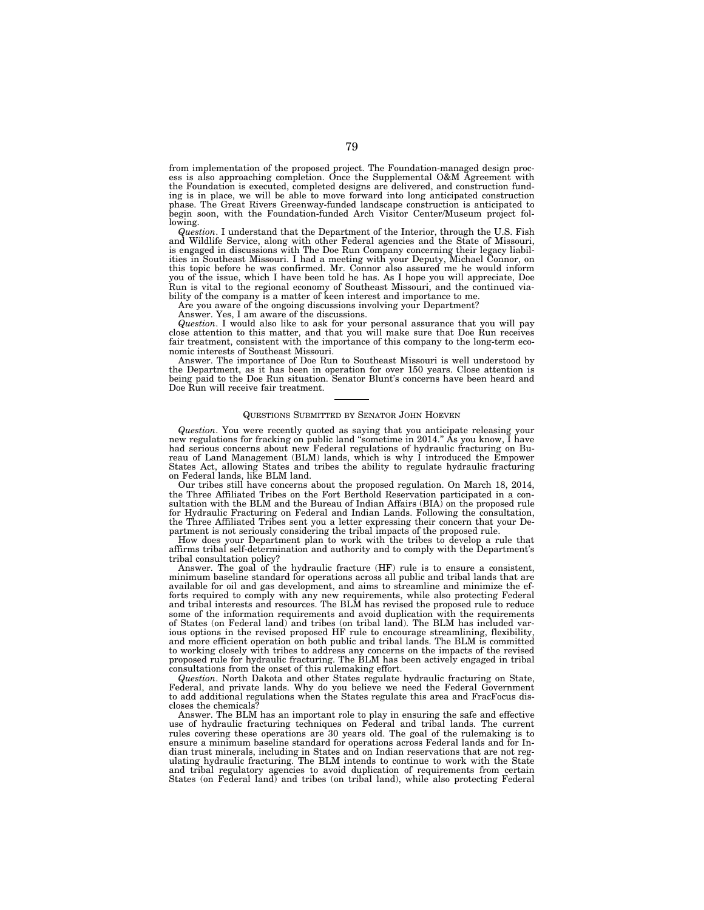from implementation of the proposed project. The Foundation-managed design proc-ess is also approaching completion. Once the Supplemental O&M Agreement with the Foundation is executed, completed designs are delivered, and construction funding is in place, we will be able to move forward into long anticipated construction phase. The Great Rivers Greenway-funded landscape construction is anticipated to begin soon, with the Foundation-funded Arch Visitor Center/Museum project following.

*Question*. I understand that the Department of the Interior, through the U.S. Fish and Wildlife Service, along with other Federal agencies and the State of Missouri, is engaged in discussions with The Doe Run Company concerning their legacy liabilities in Southeast Missouri. I had a meeting with your Deputy, Michael Connor, on this topic before he was confirmed. Mr. Connor also assured me he would inform you of the issue, which I have been told he has. As I hope you will appreciate, Doe Run is vital to the regional economy of Southeast Missouri, and the continued viability of the company is a matter of keen interest and importance to me.

Are you aware of the ongoing discussions involving your Department?

Answer. Yes, I am aware of the discussions.

*Question*. I would also like to ask for your personal assurance that you will pay close attention to this matter, and that you will make sure that Doe Run receives fair treatment, consistent with the importance of this company to the long-term economic interests of Southeast Missouri.

Answer. The importance of Doe Run to Southeast Missouri is well understood by the Department, as it has been in operation for over 150 years. Close attention is being paid to the Doe Run situation. Senator Blunt's concerns have been heard and Doe Run will receive fair treatment.

# QUESTIONS SUBMITTED BY SENATOR JOHN HOEVEN

*Question*. You were recently quoted as saying that you anticipate releasing your new regulations for fracking on public land ''sometime in 2014.'' As you know, I have had serious concerns about new Federal regulations of hydraulic fracturing on Bureau of Land Management (BLM) lands, which is why I introduced the Empower States Act, allowing States and tribes the ability to regulate hydraulic fracturing on Federal lands, like BLM land.

Our tribes still have concerns about the proposed regulation. On March 18, 2014, the Three Affiliated Tribes on the Fort Berthold Reservation participated in a consultation with the BLM and the Bureau of Indian Affairs (BIA) on the proposed rule for Hydraulic Fracturing on Federal and Indian Lands. Following the consultation, the Three Affiliated Tribes sent you a letter expressing their concern that your Department is not seriously considering the tribal impacts of the proposed rule.

How does your Department plan to work with the tribes to develop a rule that affirms tribal self-determination and authority and to comply with the Department's tribal consultation policy?

Answer. The goal of the hydraulic fracture (HF) rule is to ensure a consistent, minimum baseline standard for operations across all public and tribal lands that are available for oil and gas development, and aims to streamline and minimize the efforts required to comply with any new requirements, while also protecting Federal and tribal interests and resources. The BLM has revised the proposed rule to reduce some of the information requirements and avoid duplication with the requirements of States (on Federal land) and tribes (on tribal land). The BLM has included various options in the revised proposed HF rule to encourage streamlining, flexibility, and more efficient operation on both public and tribal lands. The BLM is committed to working closely with tribes to address any concerns on the impacts of the revised proposed rule for hydraulic fracturing. The BLM has been actively engaged in tribal consultations from the onset of this rulemaking effort.

*Question*. North Dakota and other States regulate hydraulic fracturing on State, Federal, and private lands. Why do you believe we need the Federal Government to add additional regulations when the States regulate this area and FracFocus discloses the chemicals?

Answer. The BLM has an important role to play in ensuring the safe and effective use of hydraulic fracturing techniques on Federal and tribal lands. The current rules covering these operations are 30 years old. The goal of the rulemaking is to ensure a minimum baseline standard for operations across Federal lands and for Indian trust minerals, including in States and on Indian reservations that are not regulating hydraulic fracturing. The BLM intends to continue to work with the State and tribal regulatory agencies to avoid duplication of requirements from certain States (on Federal land) and tribes (on tribal land), while also protecting Federal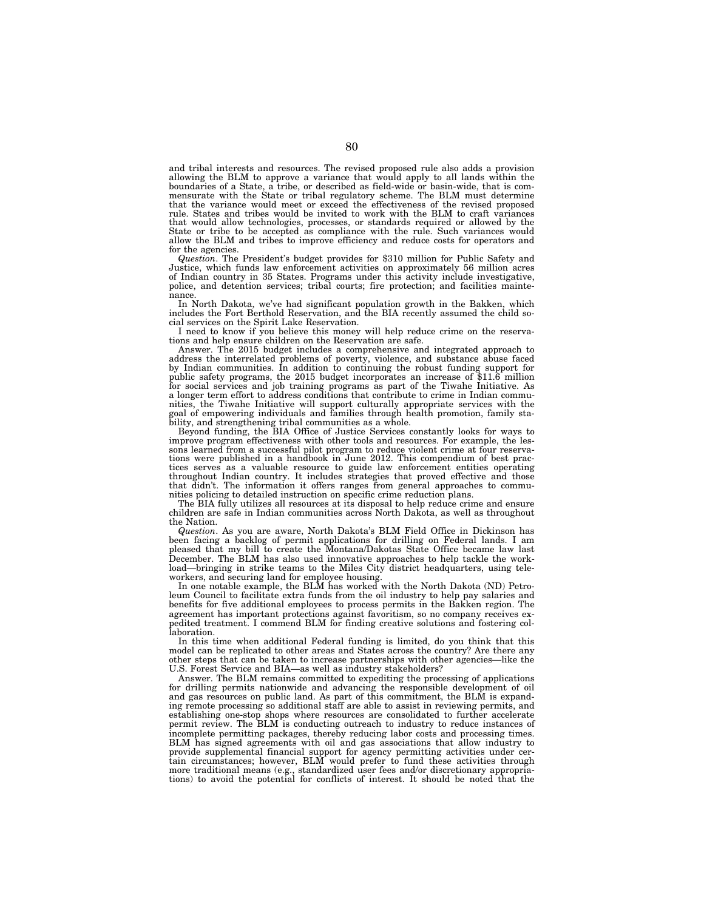and tribal interests and resources. The revised proposed rule also adds a provision allowing the BLM to approve a variance that would apply to all lands within the boundaries of a State, a tribe, or described as field-wide or basin-wide, that is commensurate with the State or tribal regulatory scheme. The BLM must determine that the variance would meet or exceed the effectiveness of the revised proposed rule. States and tribes would be invited to work with the BLM to craft variances that would allow technologies, processes, or standards required or allowed by the State or tribe to be accepted as compliance with the rule. Such variances would allow the BLM and tribes to improve efficiency and reduce costs for operators and for the agencies.

*Question*. The President's budget provides for \$310 million for Public Safety and Justice, which funds law enforcement activities on approximately 56 million acres of Indian country in 35 States. Programs under this activity include investigative, police, and detention services; tribal courts; fire protection; and facilities mainte-

nance.<br>In North Dakota, we've had significant population growth in the Bakken, which<br>includes the Fort Berthold Reservation, and the BIA recently assumed the child social services on the Spirit Lake Reservation.

I need to know if you believe this money will help reduce crime on the reserva-

tions and help ensure children on the Reservation are safe. Answer. The 2015 budget includes a comprehensive and integrated approach to address the interrelated problems of poverty, violence, and substance abuse faced by Indian communities. In addition to continuing the robust funding support for public safety programs, the 2015 budget incorporates an increase of \$11.6 million for social services and job training programs as part of the Tiwahe Initiative. As a longer term effort to address conditions that contribute to crime in Indian communities, the Tiwahe Initiative will support culturally appropriate services with the goal of empowering individuals and families through health promotion, family stability, and strengthening tribal communities as a whole.<br>B

improve program effectiveness with other tools and resources. For example, the lessons learned from a successful pilot program to reduce violent crime at four reservations were published in a handbook in June 2012. This compendium of best practices serves as a valuable resource to guide law enforcement entities operating<br>throughout Indian country. It includes strategies that proved effective and those<br>that didn't. The information it offers ranges from general a nities policing to detailed instruction on specific crime reduction plans.

The BIA fully utilizes all resources at its disposal to help reduce crime and ensure children are safe in Indian communities across North Dakota, as well as throughout the Nation.

*Question*. As you are aware, North Dakota's BLM Field Office in Dickinson has been facing a backlog of permit applications for drilling on Federal lands. I am pleased that my bill to create the Montana/Dakotas State Office became law last December. The BLM has also used innovative approaches to help tackle the workload—bringing in strike teams to the Miles City district headquarters, using teleworkers, and securing land for employee housing.

In one notable example, the BLM has worked with the North Dakota (ND) Petroleum Council to facilitate extra funds from the oil industry to help pay salaries and benefits for five additional employees to process permits in the Bakken region. The agreement has important protections against favoritism, so no company receives expedited treatment. I commend BLM for finding creative solutions and fostering collaboration.

In this time when additional Federal funding is limited, do you think that this model can be replicated to other areas and States across the country? Are there any other steps that can be taken to increase partnerships with other agencies—like the U.S. Forest Service and BIA—as well as industry stakeholders?

Answer. The BLM remains committed to expediting the processing of applications for drilling permits nationwide and advancing the responsible development of oil and gas resources on public land. As part of this commitment, the BLM is expanding remote processing so additional staff are able to assist in reviewing permits, and establishing one-stop shops where resources are consolidated to further accelerate permit review. The BLM is conducting outreach to industry to reduce instances of incomplete permitting packages, thereby reducing labor costs and processing times. BLM has signed agreements with oil and gas associations that allow industry to provide supplemental financial support for agency permitting activities under certain circumstances; however, BLM would prefer to fund these activities through more traditional means (e.g., standardized user fees and/or discretionary appropriations) to avoid the potential for conflicts of interest. It should be noted that the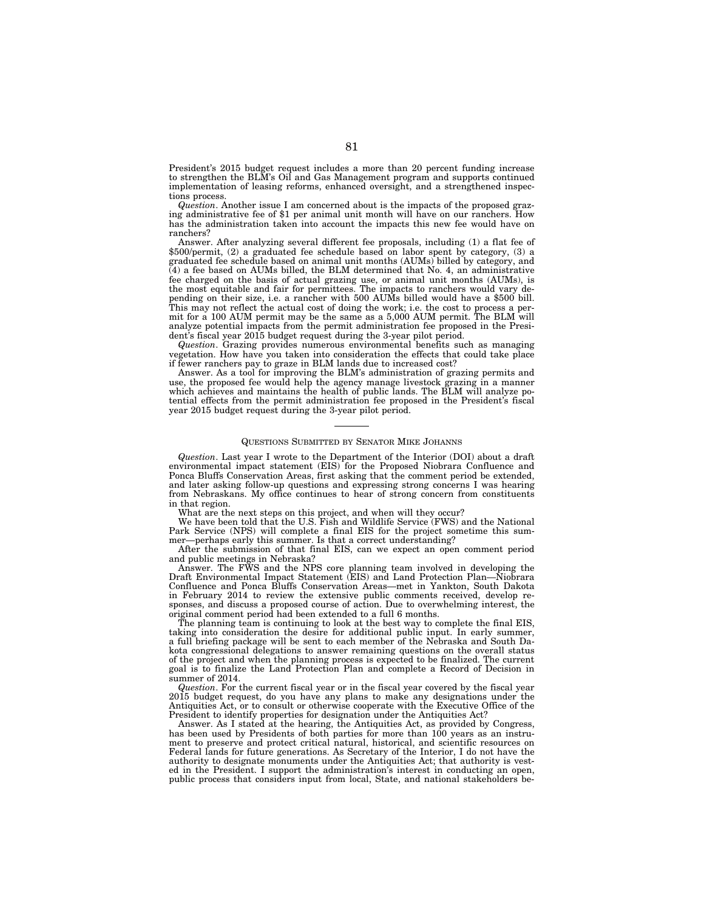President's 2015 budget request includes a more than 20 percent funding increase to strengthen the BLM's Oil and Gas Management program and supports continued implementation of leasing reforms, enhanced oversight, and a strengthened inspections process.

*Question*. Another issue I am concerned about is the impacts of the proposed grazing administrative fee of \$1 per animal unit month will have on our ranchers. How has the administration taken into account the impacts this new fee would have on ranchers?

Answer. After analyzing several different fee proposals, including (1) a flat fee of \$500/permit, (2) a graduated fee schedule based on labor spent by category, (3) a graduated fee schedule based on animal unit months (AUMs) billed by category, and (4) a fee based on AUMs billed, the BLM determined that No. 4, an administrative fee charged on the basis of actual grazing use, or animal unit months (AUMs), is the most equitable and fair for permittees. The impacts to ranchers would vary depending on their size, i.e. a rancher with 500 AUMs billed would have a \$500 bill. This may not reflect the actual cost of doing the work; i.e. the cost to process a permit for a 100 AUM permit may be the same as a 5,000 AUM permit. The BLM will analyze potential impacts from the permit administration fee proposed in the President's fiscal year 2015 budget request during the 3-year pilot period.

*Question*. Grazing provides numerous environmental benefits such as managing vegetation. How have you taken into consideration the effects that could take place if fewer ranchers pay to graze in BLM lands due to increased cost?

Answer. As a tool for improving the BLM's administration of grazing permits and use, the proposed fee would help the agency manage livestock grazing in a manner which achieves and maintains the health of public lands. The BLM will analyze potential effects from the permit administration fee proposed in the President's fiscal year 2015 budget request during the 3-year pilot period.

### QUESTIONS SUBMITTED BY SENATOR MIKE JOHANNS

*Question*. Last year I wrote to the Department of the Interior (DOI) about a draft environmental impact statement (EIS) for the Proposed Niobrara Confluence and Ponca Bluffs Conservation Areas, first asking that the comment period be extended, and later asking follow-up questions and expressing strong concerns I was hearing from Nebraskans. My office continues to hear of strong concern from constituents in that region.

What are the next steps on this project, and when will they occur?

We have been told that the U.S. Fish and Wildlife Service (FWS) and the National Park Service (NPS) will complete a final EIS for the project sometime this summer—perhaps early this summer. Is that a correct understanding?

After the submission of that final EIS, can we expect an open comment period and public meetings in Nebraska?

Answer. The FWS and the NPS core planning team involved in developing the Draft Environmental Impact Statement (EIS) and Land Protection Plan—Niobrara Confluence and Ponca Bluffs Conservation Areas—met in Yankton, South Dakota in February 2014 to review the extensive public comments received, develop responses, and discuss a proposed course of action. Due to overwhelming interest, the original comment period had been extended to a full 6 months.

The planning team is continuing to look at the best way to complete the final EIS, taking into consideration the desire for additional public input. In early summer, a full briefing package will be sent to each member of the Nebraska and South Dakota congressional delegations to answer remaining questions on the overall status of the project and when the planning process is expected to be finalized. The current goal is to finalize the Land Protection Plan and complete a Record of Decision in summer of 2014.

*Question*. For the current fiscal year or in the fiscal year covered by the fiscal year 2015 budget request, do you have any plans to make any designations under the Antiquities Act, or to consult or otherwise cooperate with the Executive Office of the President to identify properties for designation under the Antiquities Act?

Answer. As I stated at the hearing, the Antiquities Act, as provided by Congress, has been used by Presidents of both parties for more than 100 years as an instrument to preserve and protect critical natural, historical, and scientific resources on Federal lands for future generations. As Secretary of the Interior, I do not have the authority to designate monuments under the Antiquities Act; that authority is vested in the President. I support the administration's interest in conducting an open, public process that considers input from local, State, and national stakeholders be